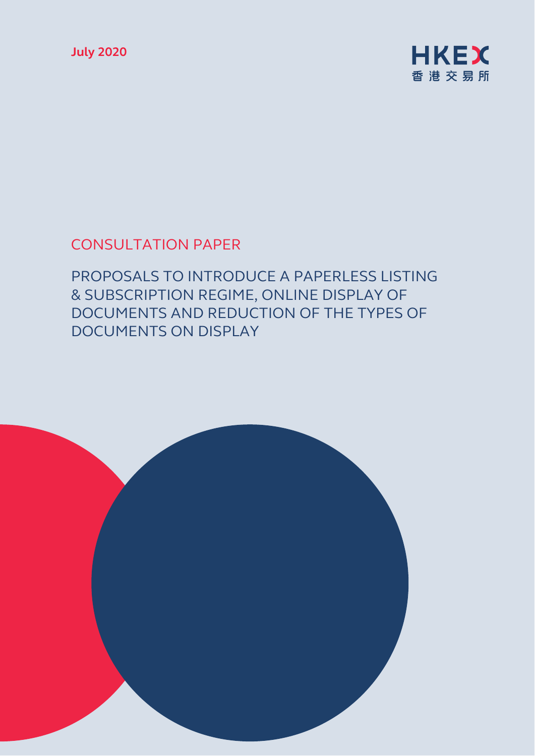**July 2020** 



# CONSULTATION PAPER

PROPOSALS TO INTRODUCE A PAPERLESS LISTING & SUBSCRIPTION REGIME, ONLINE DISPLAY OF DOCUMENTS AND REDUCTION OF THE TYPES OF DOCUMENTS ON DISPLAY

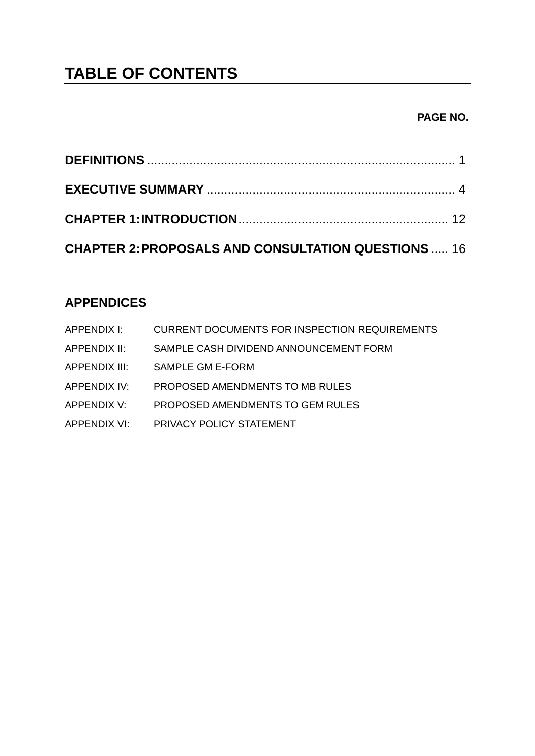# **TABLE OF CONTENTS**

### **PAGE NO.**

| <b>CHAPTER 2: PROPOSALS AND CONSULTATION QUESTIONS  16</b> |  |
|------------------------------------------------------------|--|

# **APPENDICES**

| APPENDIX I:   | CURRENT DOCUMENTS FOR INSPECTION REQUIREMENTS |
|---------------|-----------------------------------------------|
| APPENDIX II:  | SAMPLE CASH DIVIDEND ANNOUNCEMENT FORM        |
| APPENDIX III: | SAMPLE GM E-FORM                              |
| APPENDIX IV:  | PROPOSED AMENDMENTS TO MB RULES               |
| APPENDIX V:   | PROPOSED AMENDMENTS TO GEM RULES              |
| APPENDIX VI:  | <b>PRIVACY POLICY STATEMENT</b>               |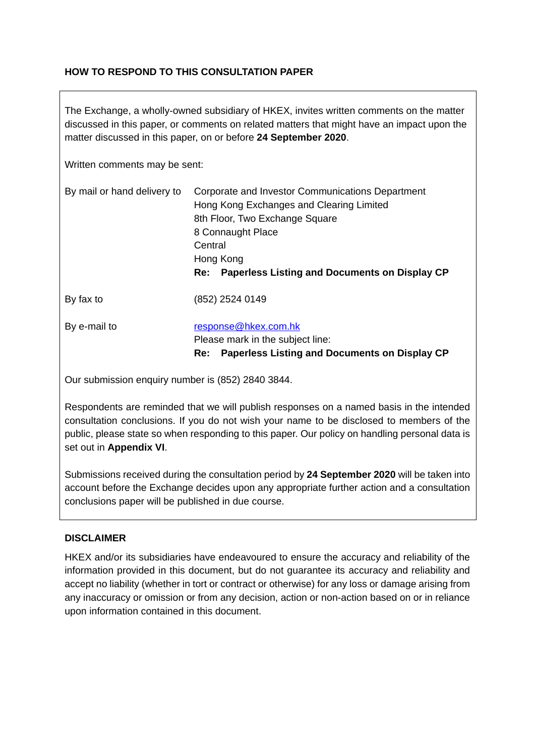### **HOW TO RESPOND TO THIS CONSULTATION PAPER**

The Exchange, a wholly-owned subsidiary of HKEX, invites written comments on the matter discussed in this paper, or comments on related matters that might have an impact upon the matter discussed in this paper, on or before **24 September 2020**.

Written comments may be sent:

| By mail or hand delivery to | Corporate and Investor Communications Department<br>Hong Kong Exchanges and Clearing Limited<br>8th Floor, Two Exchange Square<br>8 Connaught Place<br>Central<br>Hong Kong<br><b>Paperless Listing and Documents on Display CP</b><br>Re: |
|-----------------------------|--------------------------------------------------------------------------------------------------------------------------------------------------------------------------------------------------------------------------------------------|
| By fax to                   | (852) 2524 0149                                                                                                                                                                                                                            |
| By e-mail to                | response@hkex.com.hk<br>Please mark in the subject line:<br>Paperless Listing and Documents on Display CP<br>Re:                                                                                                                           |

Our submission enquiry number is (852) 2840 3844.

Respondents are reminded that we will publish responses on a named basis in the intended consultation conclusions. If you do not wish your name to be disclosed to members of the public, please state so when responding to this paper. Our policy on handling personal data is set out in **Appendix VI**.

Submissions received during the consultation period by **24 September 2020** will be taken into account before the Exchange decides upon any appropriate further action and a consultation conclusions paper will be published in due course.

#### **DISCLAIMER**

HKEX and/or its subsidiaries have endeavoured to ensure the accuracy and reliability of the information provided in this document, but do not guarantee its accuracy and reliability and accept no liability (whether in tort or contract or otherwise) for any loss or damage arising from any inaccuracy or omission or from any decision, action or non-action based on or in reliance upon information contained in this document.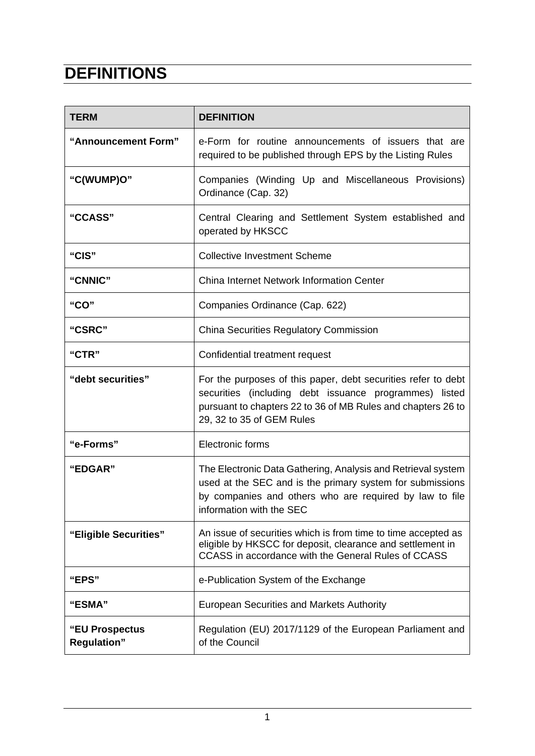# <span id="page-3-0"></span>**DEFINITIONS**

| <b>TERM</b>                          | <b>DEFINITION</b>                                                                                                                                                                                                    |  |
|--------------------------------------|----------------------------------------------------------------------------------------------------------------------------------------------------------------------------------------------------------------------|--|
| "Announcement Form"                  | e-Form for routine announcements of issuers that are<br>required to be published through EPS by the Listing Rules                                                                                                    |  |
| "C(WUMP)O"                           | Companies (Winding Up and Miscellaneous Provisions)<br>Ordinance (Cap. 32)                                                                                                                                           |  |
| "CCASS"                              | Central Clearing and Settlement System established and<br>operated by HKSCC                                                                                                                                          |  |
| "CIS"                                | <b>Collective Investment Scheme</b>                                                                                                                                                                                  |  |
| "CNNIC"                              | <b>China Internet Network Information Center</b>                                                                                                                                                                     |  |
| "CO"                                 | Companies Ordinance (Cap. 622)                                                                                                                                                                                       |  |
| "CSRC"                               | <b>China Securities Regulatory Commission</b>                                                                                                                                                                        |  |
| "CTR"                                | Confidential treatment request                                                                                                                                                                                       |  |
| "debt securities"                    | For the purposes of this paper, debt securities refer to debt<br>securities (including debt issuance programmes) listed<br>pursuant to chapters 22 to 36 of MB Rules and chapters 26 to<br>29, 32 to 35 of GEM Rules |  |
| "e-Forms"                            | Electronic forms                                                                                                                                                                                                     |  |
| "EDGAR"                              | The Electronic Data Gathering, Analysis and Retrieval system<br>used at the SEC and is the primary system for submissions<br>by companies and others who are required by law to file<br>information with the SEC     |  |
| "Eligible Securities"                | An issue of securities which is from time to time accepted as<br>eligible by HKSCC for deposit, clearance and settlement in<br>CCASS in accordance with the General Rules of CCASS                                   |  |
| "EPS"                                | e-Publication System of the Exchange                                                                                                                                                                                 |  |
| "ESMA"                               | <b>European Securities and Markets Authority</b>                                                                                                                                                                     |  |
| "EU Prospectus<br><b>Regulation"</b> | Regulation (EU) 2017/1129 of the European Parliament and<br>of the Council                                                                                                                                           |  |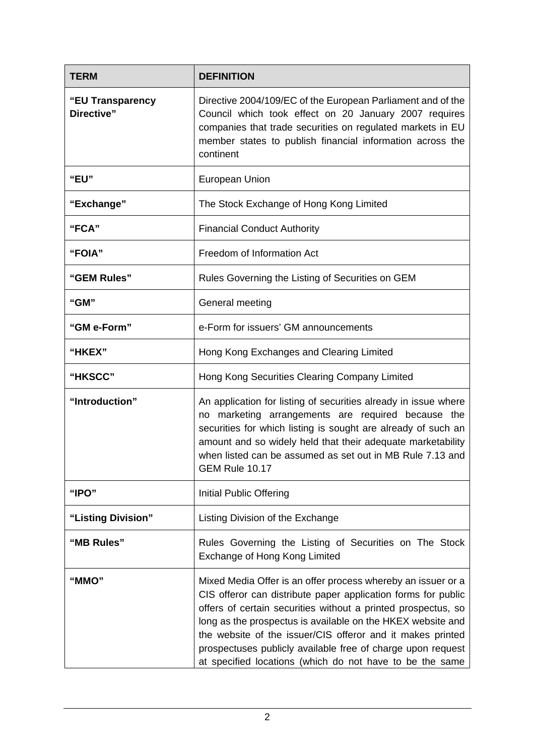| <b>TERM</b>                    | <b>DEFINITION</b>                                                                                                                                                                                                                                                                                                                                                                                                                                      |  |
|--------------------------------|--------------------------------------------------------------------------------------------------------------------------------------------------------------------------------------------------------------------------------------------------------------------------------------------------------------------------------------------------------------------------------------------------------------------------------------------------------|--|
| "EU Transparency<br>Directive" | Directive 2004/109/EC of the European Parliament and of the<br>Council which took effect on 20 January 2007 requires<br>companies that trade securities on regulated markets in EU<br>member states to publish financial information across the<br>continent                                                                                                                                                                                           |  |
| "EU"                           | <b>European Union</b>                                                                                                                                                                                                                                                                                                                                                                                                                                  |  |
| "Exchange"                     | The Stock Exchange of Hong Kong Limited                                                                                                                                                                                                                                                                                                                                                                                                                |  |
| "FCA"                          | <b>Financial Conduct Authority</b>                                                                                                                                                                                                                                                                                                                                                                                                                     |  |
| "FOIA"                         | Freedom of Information Act                                                                                                                                                                                                                                                                                                                                                                                                                             |  |
| "GEM Rules"                    | Rules Governing the Listing of Securities on GEM                                                                                                                                                                                                                                                                                                                                                                                                       |  |
| "GM"                           | General meeting                                                                                                                                                                                                                                                                                                                                                                                                                                        |  |
| "GM e-Form"                    | e-Form for issuers' GM announcements                                                                                                                                                                                                                                                                                                                                                                                                                   |  |
| <b>"HKEX"</b>                  | Hong Kong Exchanges and Clearing Limited                                                                                                                                                                                                                                                                                                                                                                                                               |  |
| "HKSCC"                        | Hong Kong Securities Clearing Company Limited                                                                                                                                                                                                                                                                                                                                                                                                          |  |
| "Introduction"                 | An application for listing of securities already in issue where<br>marketing arrangements are required because the<br>no<br>securities for which listing is sought are already of such an<br>amount and so widely held that their adequate marketability<br>when listed can be assumed as set out in MB Rule 7.13 and<br><b>GEM Rule 10.17</b>                                                                                                         |  |
| "IPO"                          | Initial Public Offering                                                                                                                                                                                                                                                                                                                                                                                                                                |  |
| "Listing Division"             | Listing Division of the Exchange                                                                                                                                                                                                                                                                                                                                                                                                                       |  |
| "MB Rules"                     | Rules Governing the Listing of Securities on The Stock<br>Exchange of Hong Kong Limited                                                                                                                                                                                                                                                                                                                                                                |  |
| "MMO"                          | Mixed Media Offer is an offer process whereby an issuer or a<br>CIS offeror can distribute paper application forms for public<br>offers of certain securities without a printed prospectus, so<br>long as the prospectus is available on the HKEX website and<br>the website of the issuer/CIS offeror and it makes printed<br>prospectuses publicly available free of charge upon request<br>at specified locations (which do not have to be the same |  |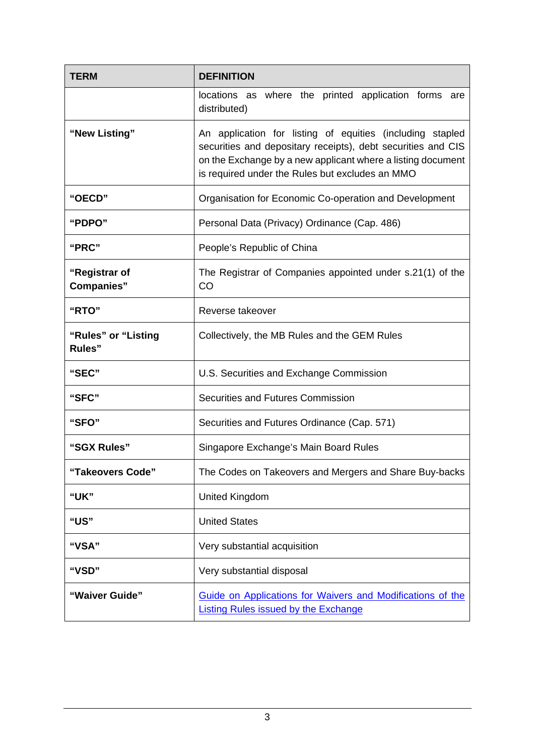| <b>TERM</b>                           | <b>DEFINITION</b>                                                                                                                                                                                                                           |  |
|---------------------------------------|---------------------------------------------------------------------------------------------------------------------------------------------------------------------------------------------------------------------------------------------|--|
|                                       | locations as where the printed application forms are<br>distributed)                                                                                                                                                                        |  |
| "New Listing"                         | An application for listing of equities (including stapled<br>securities and depositary receipts), debt securities and CIS<br>on the Exchange by a new applicant where a listing document<br>is required under the Rules but excludes an MMO |  |
| "OECD"                                | Organisation for Economic Co-operation and Development                                                                                                                                                                                      |  |
| "PDPO"                                | Personal Data (Privacy) Ordinance (Cap. 486)                                                                                                                                                                                                |  |
| "PRC"                                 | People's Republic of China                                                                                                                                                                                                                  |  |
| "Registrar of<br><b>Companies"</b>    | The Registrar of Companies appointed under s.21(1) of the<br><b>CO</b>                                                                                                                                                                      |  |
| "RTO"                                 | Reverse takeover                                                                                                                                                                                                                            |  |
| "Rules" or "Listing<br><b>Rules</b> " | Collectively, the MB Rules and the GEM Rules                                                                                                                                                                                                |  |
| "SEC"                                 | U.S. Securities and Exchange Commission                                                                                                                                                                                                     |  |
| "SFC"                                 | Securities and Futures Commission                                                                                                                                                                                                           |  |
| "SFO"                                 | Securities and Futures Ordinance (Cap. 571)                                                                                                                                                                                                 |  |
| "SGX Rules"                           | Singapore Exchange's Main Board Rules                                                                                                                                                                                                       |  |
| "Takeovers Code"                      | The Codes on Takeovers and Mergers and Share Buy-backs                                                                                                                                                                                      |  |
| "UK"                                  | <b>United Kingdom</b>                                                                                                                                                                                                                       |  |
| "US"                                  | <b>United States</b>                                                                                                                                                                                                                        |  |
| "VSA"                                 | Very substantial acquisition                                                                                                                                                                                                                |  |
| "VSD"                                 | Very substantial disposal                                                                                                                                                                                                                   |  |
| "Waiver Guide"                        | Guide on Applications for Waivers and Modifications of the<br><b>Listing Rules issued by the Exchange</b>                                                                                                                                   |  |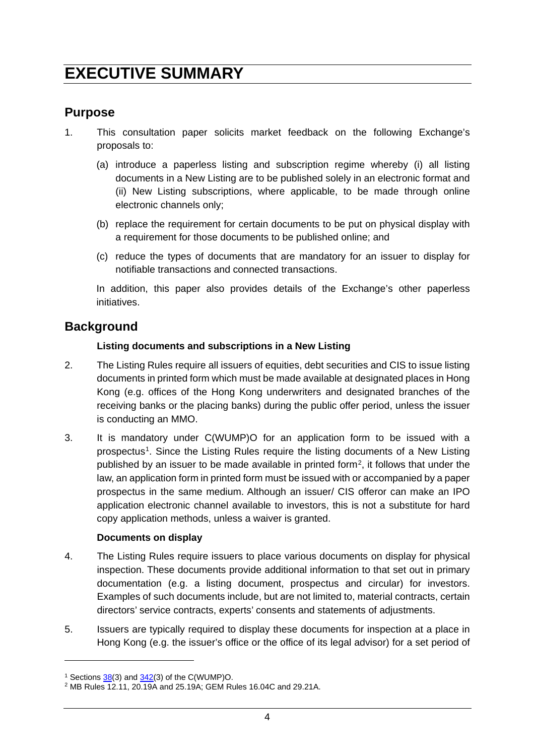# <span id="page-6-0"></span>**EXECUTIVE SUMMARY**

# **Purpose**

- 1. This consultation paper solicits market feedback on the following Exchange's proposals to:
	- (a) introduce a paperless listing and subscription regime whereby (i) all listing documents in a New Listing are to be published solely in an electronic format and (ii) New Listing subscriptions, where applicable, to be made through online electronic channels only;
	- (b) replace the requirement for certain documents to be put on physical display with a requirement for those documents to be published online; and
	- (c) reduce the types of documents that are mandatory for an issuer to display for notifiable transactions and connected transactions.

In addition, this paper also provides details of the Exchange's other paperless initiatives.

# **Background**

### **Listing documents and subscriptions in a New Listing**

- 2. The Listing Rules require all issuers of equities, debt securities and CIS to issue listing documents in printed form which must be made available at designated places in Hong Kong (e.g. offices of the Hong Kong underwriters and designated branches of the receiving banks or the placing banks) during the public offer period, unless the issuer is conducting an MMO.
- 3. It is mandatory under C(WUMP)O for an application form to be issued with a prospectus[1](#page-6-1). Since the Listing Rules require the listing documents of a New Listing published by an issuer to be made available in printed form[2,](#page-6-2) it follows that under the law, an application form in printed form must be issued with or accompanied by a paper prospectus in the same medium. Although an issuer/ CIS offeror can make an IPO application electronic channel available to investors, this is not a substitute for hard copy application methods, unless a waiver is granted.

### **Documents on display**

- 4. The Listing Rules require issuers to place various documents on display for physical inspection. These documents provide additional information to that set out in primary documentation (e.g. a listing document, prospectus and circular) for investors. Examples of such documents include, but are not limited to, material contracts, certain directors' service contracts, experts' consents and statements of adjustments.
- 5. Issuers are typically required to display these documents for inspection at a place in Hong Kong (e.g. the issuer's office or the office of its legal advisor) for a set period of

<span id="page-6-1"></span><sup>&</sup>lt;sup>1</sup> Sections  $38(3)$  and  $342(3)$  of the C(WUMP)O.

<span id="page-6-2"></span><sup>2</sup> MB Rules 12.11, 20.19A and 25.19A; GEM Rules 16.04C and 29.21A.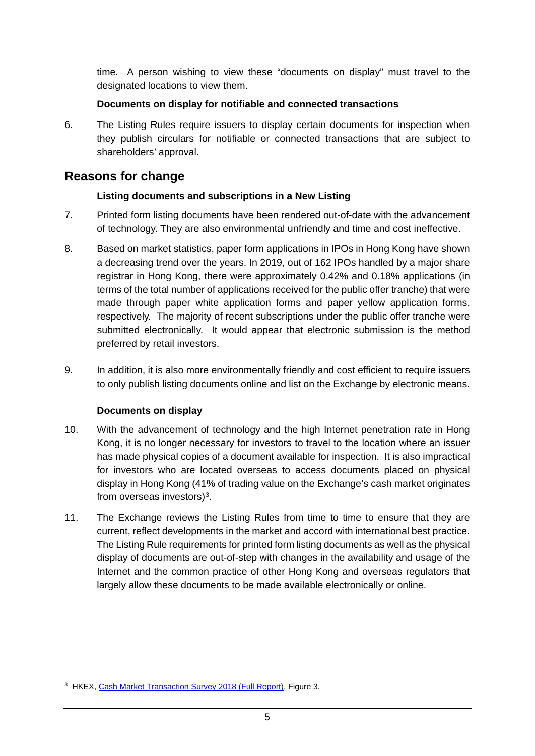time. A person wishing to view these "documents on display" must travel to the designated locations to view them.

#### **Documents on display for notifiable and connected transactions**

6. The Listing Rules require issuers to display certain documents for inspection when they publish circulars for notifiable or connected transactions that are subject to shareholders' approval.

## **Reasons for change**

### **Listing documents and subscriptions in a New Listing**

- 7. Printed form listing documents have been rendered out-of-date with the advancement of technology. They are also environmental unfriendly and time and cost ineffective.
- 8. Based on market statistics, paper form applications in IPOs in Hong Kong have shown a decreasing trend over the years. In 2019, out of 162 IPOs handled by a major share registrar in Hong Kong, there were approximately 0.42% and 0.18% applications (in terms of the total number of applications received for the public offer tranche) that were made through paper white application forms and paper yellow application forms, respectively. The majority of recent subscriptions under the public offer tranche were submitted electronically. It would appear that electronic submission is the method preferred by retail investors.
- 9. In addition, it is also more environmentally friendly and cost efficient to require issuers to only publish listing documents online and list on the Exchange by electronic means.

### **Documents on display**

- 10. With the advancement of technology and the high Internet penetration rate in Hong Kong, it is no longer necessary for investors to travel to the location where an issuer has made physical copies of a document available for inspection. It is also impractical for investors who are located overseas to access documents placed on physical display in Hong Kong (41% of trading value on the Exchange's cash market originates from overseas investors)[3.](#page-7-0)
- 11. The Exchange reviews the Listing Rules from time to time to ensure that they are current, reflect developments in the market and accord with international best practice. The Listing Rule requirements for printed form listing documents as well as the physical display of documents are out-of-step with changes in the availability and usage of the Internet and the common practice of other Hong Kong and overseas regulators that largely allow these documents to be made available electronically or online.

<span id="page-7-0"></span><sup>&</sup>lt;sup>3</sup> HKEX, [Cash Market Transaction Survey 2018 \(Full Report\),](https://www.hkex.com.hk/-/media/HKEX-Market/News/Research-Reports/HKEX-Surveys/Cash-Market-Transaction-Survey-2018/cmts2018_fullreport.pdf) Figure 3.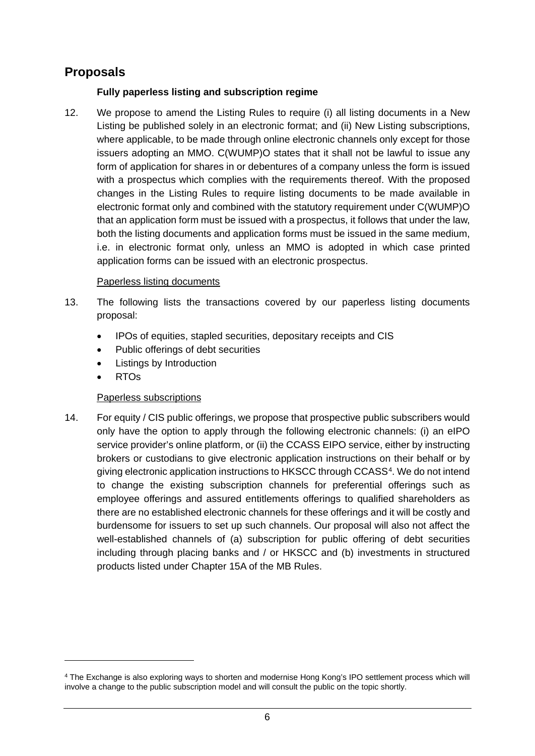# **Proposals**

### **Fully paperless listing and subscription regime**

12. We propose to amend the Listing Rules to require (i) all listing documents in a New Listing be published solely in an electronic format; and (ii) New Listing subscriptions, where applicable, to be made through online electronic channels only except for those issuers adopting an MMO. C(WUMP)O states that it shall not be lawful to issue any form of application for shares in or debentures of a company unless the form is issued with a prospectus which complies with the requirements thereof. With the proposed changes in the Listing Rules to require listing documents to be made available in electronic format only and combined with the statutory requirement under C(WUMP)O that an application form must be issued with a prospectus, it follows that under the law, both the listing documents and application forms must be issued in the same medium, i.e. in electronic format only, unless an MMO is adopted in which case printed application forms can be issued with an electronic prospectus.

#### Paperless listing documents

- 13. The following lists the transactions covered by our paperless listing documents proposal:
	- IPOs of equities, stapled securities, depositary receipts and CIS
	- Public offerings of debt securities
	- **Listings by Introduction**
	- RTOs

-

### Paperless subscriptions

14. For equity / CIS public offerings, we propose that prospective public subscribers would only have the option to apply through the following electronic channels: (i) an eIPO service provider's online platform, or (ii) the CCASS EIPO service, either by instructing brokers or custodians to give electronic application instructions on their behalf or by giving electronic application instructions to HKSCC through CCASS<sup>4</sup>. We do not intend to change the existing subscription channels for preferential offerings such as employee offerings and assured entitlements offerings to qualified shareholders as there are no established electronic channels for these offerings and it will be costly and burdensome for issuers to set up such channels. Our proposal will also not affect the well-established channels of (a) subscription for public offering of debt securities including through placing banks and / or HKSCC and (b) investments in structured products listed under Chapter 15A of the MB Rules.

<span id="page-8-0"></span><sup>4</sup> The Exchange is also exploring ways to shorten and modernise Hong Kong's IPO settlement process which will involve a change to the public subscription model and will consult the public on the topic shortly.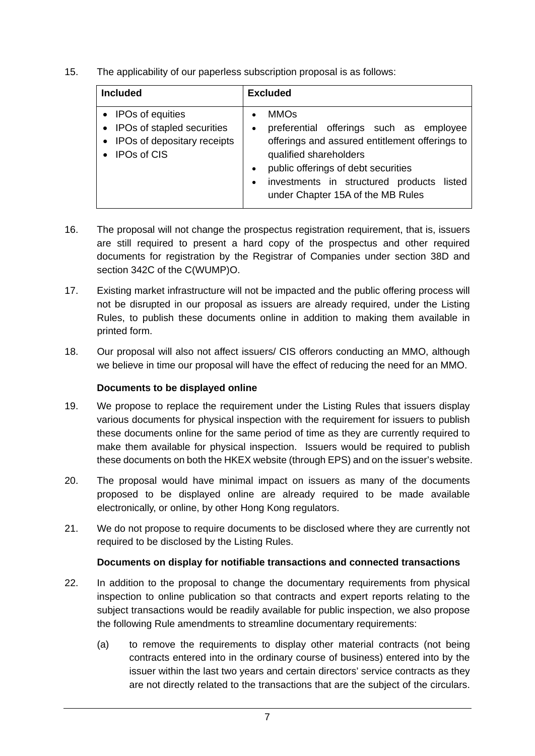15. The applicability of our paperless subscription proposal is as follows:

| <b>Included</b>                                                                                       | <b>Excluded</b>                                                                                                                                                                                                                                                                                    |
|-------------------------------------------------------------------------------------------------------|----------------------------------------------------------------------------------------------------------------------------------------------------------------------------------------------------------------------------------------------------------------------------------------------------|
| • IPOs of equities<br>IPOs of stapled securities<br>IPOs of depositary receipts<br><b>IPOs of CIS</b> | <b>MMOs</b><br>preferential offerings such as employee<br>$\bullet$<br>offerings and assured entitlement offerings to<br>qualified shareholders<br>public offerings of debt securities<br>$\bullet$<br>investments in structured products listed<br>$\bullet$<br>under Chapter 15A of the MB Rules |

- 16. The proposal will not change the prospectus registration requirement, that is, issuers are still required to present a hard copy of the prospectus and other required documents for registration by the Registrar of Companies under section 38D and section 342C of the C(WUMP)O.
- 17. Existing market infrastructure will not be impacted and the public offering process will not be disrupted in our proposal as issuers are already required, under the Listing Rules, to publish these documents online in addition to making them available in printed form.
- 18. Our proposal will also not affect issuers/ CIS offerors conducting an MMO, although we believe in time our proposal will have the effect of reducing the need for an MMO.

#### **Documents to be displayed online**

- 19. We propose to replace the requirement under the Listing Rules that issuers display various documents for physical inspection with the requirement for issuers to publish these documents online for the same period of time as they are currently required to make them available for physical inspection. Issuers would be required to publish these documents on both the HKEX website (through EPS) and on the issuer's website.
- 20. The proposal would have minimal impact on issuers as many of the documents proposed to be displayed online are already required to be made available electronically, or online, by other Hong Kong regulators.
- 21. We do not propose to require documents to be disclosed where they are currently not required to be disclosed by the Listing Rules.

#### **Documents on display for notifiable transactions and connected transactions**

- 22. In addition to the proposal to change the documentary requirements from physical inspection to online publication so that contracts and expert reports relating to the subject transactions would be readily available for public inspection, we also propose the following Rule amendments to streamline documentary requirements:
	- (a) to remove the requirements to display other material contracts (not being contracts entered into in the ordinary course of business) entered into by the issuer within the last two years and certain directors' service contracts as they are not directly related to the transactions that are the subject of the circulars.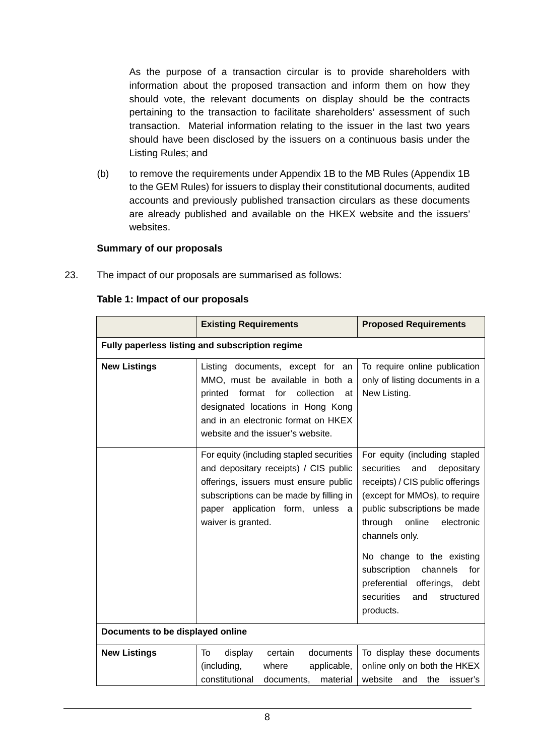As the purpose of a transaction circular is to provide shareholders with information about the proposed transaction and inform them on how they should vote, the relevant documents on display should be the contracts pertaining to the transaction to facilitate shareholders' assessment of such transaction. Material information relating to the issuer in the last two years should have been disclosed by the issuers on a continuous basis under the Listing Rules; and

(b) to remove the requirements under Appendix 1B to the MB Rules (Appendix 1B to the GEM Rules) for issuers to display their constitutional documents, audited accounts and previously published transaction circulars as these documents are already published and available on the HKEX website and the issuers' websites.

#### **Summary of our proposals**

23. The impact of our proposals are summarised as follows:

|                                                 | <b>Existing Requirements</b>                                                                                                                                                                                                    | <b>Proposed Requirements</b>                                                                                                                                                                                                                                                                                                                                               |  |
|-------------------------------------------------|---------------------------------------------------------------------------------------------------------------------------------------------------------------------------------------------------------------------------------|----------------------------------------------------------------------------------------------------------------------------------------------------------------------------------------------------------------------------------------------------------------------------------------------------------------------------------------------------------------------------|--|
| Fully paperless listing and subscription regime |                                                                                                                                                                                                                                 |                                                                                                                                                                                                                                                                                                                                                                            |  |
| <b>New Listings</b>                             | Listing documents, except for an<br>MMO, must be available in both a<br>printed format for<br>collection<br>at<br>designated locations in Hong Kong<br>and in an electronic format on HKEX<br>website and the issuer's website. | To require online publication<br>only of listing documents in a<br>New Listing.                                                                                                                                                                                                                                                                                            |  |
|                                                 | For equity (including stapled securities<br>and depositary receipts) / CIS public<br>offerings, issuers must ensure public<br>subscriptions can be made by filling in<br>paper application form, unless a<br>waiver is granted. | For equity (including stapled<br>securities<br>and<br>depositary<br>receipts) / CIS public offerings<br>(except for MMOs), to require<br>public subscriptions be made<br>through<br>online<br>electronic<br>channels only.<br>No change to the existing<br>subscription<br>channels<br>for<br>preferential offerings, debt<br>securities<br>structured<br>and<br>products. |  |
| Documents to be displayed online                |                                                                                                                                                                                                                                 |                                                                                                                                                                                                                                                                                                                                                                            |  |
| <b>New Listings</b>                             | display<br>certain<br>documents<br>To<br>(including,<br>where<br>applicable,<br>constitutional<br>material<br>documents,                                                                                                        | To display these documents<br>online only on both the HKEX<br>website<br>the<br>issuer's<br>and                                                                                                                                                                                                                                                                            |  |

#### **Table 1: Impact of our proposals**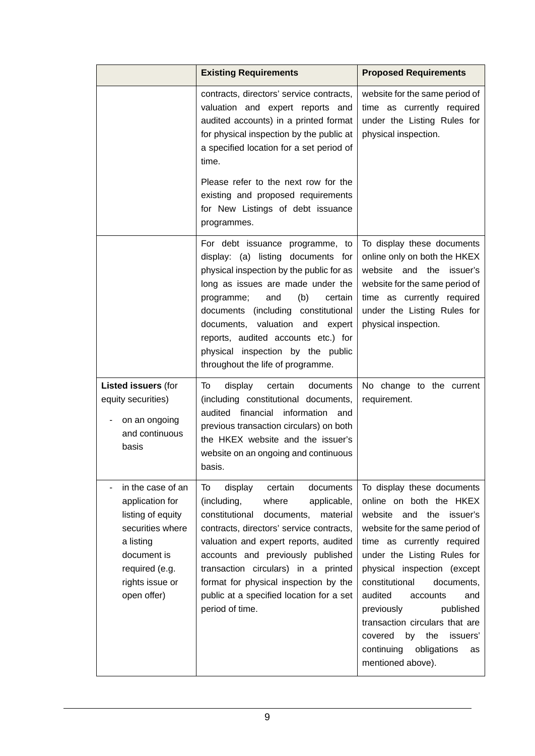|                                                                                                                                                               | <b>Existing Requirements</b>                                                                                                                                                                                                                                                                                                                                                                      | <b>Proposed Requirements</b>                                                                                                                                                                                                                                                                                                                                                                                                     |
|---------------------------------------------------------------------------------------------------------------------------------------------------------------|---------------------------------------------------------------------------------------------------------------------------------------------------------------------------------------------------------------------------------------------------------------------------------------------------------------------------------------------------------------------------------------------------|----------------------------------------------------------------------------------------------------------------------------------------------------------------------------------------------------------------------------------------------------------------------------------------------------------------------------------------------------------------------------------------------------------------------------------|
|                                                                                                                                                               | contracts, directors' service contracts,<br>valuation and expert reports and<br>audited accounts) in a printed format<br>for physical inspection by the public at<br>a specified location for a set period of<br>time.<br>Please refer to the next row for the<br>existing and proposed requirements<br>for New Listings of debt issuance<br>programmes.                                          | website for the same period of<br>time as currently required<br>under the Listing Rules for<br>physical inspection.                                                                                                                                                                                                                                                                                                              |
|                                                                                                                                                               | For debt issuance programme, to<br>display: (a) listing documents for<br>physical inspection by the public for as<br>long as issues are made under the<br>(b)<br>and<br>certain<br>programme;<br>documents (including constitutional<br>documents, valuation<br>and<br>expert<br>reports, audited accounts etc.) for<br>physical inspection by the public<br>throughout the life of programme.    | To display these documents<br>online only on both the HKEX<br>website<br>and<br>the<br>issuer's<br>website for the same period of<br>time as currently required<br>under the Listing Rules for<br>physical inspection.                                                                                                                                                                                                           |
| <b>Listed issuers (for</b><br>equity securities)<br>on an ongoing<br>and continuous<br>basis                                                                  | display<br>certain<br>documents<br>To<br>(including constitutional documents,<br>audited financial information<br>and<br>previous transaction circulars) on both<br>the HKEX website and the issuer's<br>website on an ongoing and continuous<br>basis.                                                                                                                                           | No change to the current<br>requirement.                                                                                                                                                                                                                                                                                                                                                                                         |
| in the case of an<br>application for<br>listing of equity<br>securities where<br>a listing<br>document is<br>required (e.g.<br>rights issue or<br>open offer) | To<br>display<br>certain<br>documents<br>(including,<br>where<br>applicable,<br>constitutional<br>documents,<br>material<br>contracts, directors' service contracts,<br>valuation and expert reports, audited<br>accounts and previously published<br>transaction circulars) in a printed<br>format for physical inspection by the<br>public at a specified location for a set<br>period of time. | To display these documents<br>online on both the HKEX<br>website and the issuer's<br>website for the same period of<br>time as currently required<br>under the Listing Rules for<br>physical inspection (except<br>constitutional<br>documents,<br>audited<br>accounts<br>and<br>published<br>previously<br>transaction circulars that are<br>by the<br>covered<br>issuers'<br>continuing obligations<br>as<br>mentioned above). |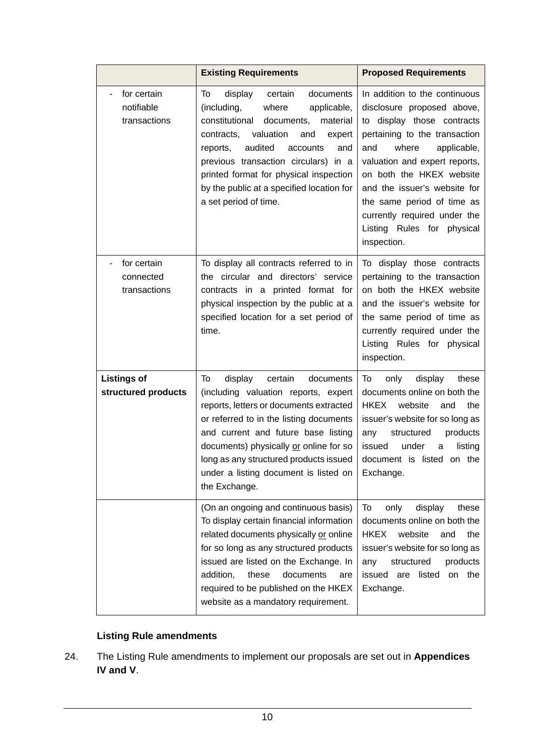|                                           | <b>Existing Requirements</b>                                                                                                                                                                                                                                                                                                                                           | <b>Proposed Requirements</b>                                                                                                                                                                                                                                                                                                                                      |
|-------------------------------------------|------------------------------------------------------------------------------------------------------------------------------------------------------------------------------------------------------------------------------------------------------------------------------------------------------------------------------------------------------------------------|-------------------------------------------------------------------------------------------------------------------------------------------------------------------------------------------------------------------------------------------------------------------------------------------------------------------------------------------------------------------|
| for certain<br>notifiable<br>transactions | display<br>certain<br>documents<br>To<br>(including,<br>where<br>applicable,<br>constitutional<br>documents,<br>material<br>valuation<br>contracts,<br>and<br>expert<br>audited<br>reports,<br>accounts<br>and<br>previous transaction circulars) in a<br>printed format for physical inspection<br>by the public at a specified location for<br>a set period of time. | In addition to the continuous<br>disclosure proposed above,<br>to display those contracts<br>pertaining to the transaction<br>where<br>and<br>applicable,<br>valuation and expert reports,<br>on both the HKEX website<br>and the issuer's website for<br>the same period of time as<br>currently required under the<br>Listing Rules for physical<br>inspection. |
| for certain<br>connected<br>transactions  | To display all contracts referred to in<br>the circular and directors' service<br>contracts in a printed format for<br>physical inspection by the public at a<br>specified location for a set period of<br>time.                                                                                                                                                       | To display those contracts<br>pertaining to the transaction<br>on both the HKEX website<br>and the issuer's website for<br>the same period of time as<br>currently required under the<br>Listing Rules for physical<br>inspection.                                                                                                                                |
| <b>Listings of</b><br>structured products | certain<br>To<br>display<br>documents<br>(including valuation reports, expert<br>reports, letters or documents extracted<br>or referred to in the listing documents<br>and current and future base listing<br>documents) physically or online for so<br>long as any structured products issued<br>under a listing document is listed on<br>the Exchange.               | To<br>only<br>display<br>these<br>documents online on both the<br><b>HKEX</b><br>website<br>the<br>and<br>issuer's website for so long as<br>structured<br>products<br>any<br>issued<br>under<br>listing<br>a<br>document is listed on the<br>Exchange.                                                                                                           |
|                                           | (On an ongoing and continuous basis)<br>To display certain financial information<br>related documents physically or online<br>for so long as any structured products<br>issued are listed on the Exchange. In<br>addition,<br>these<br>documents<br>are<br>required to be published on the HKEX<br>website as a mandatory requirement.                                 | To<br>only<br>display<br>these<br>documents online on both the<br>website<br><b>HKEX</b><br>the<br>and<br>issuer's website for so long as<br>structured<br>products<br>any<br>issued<br>listed<br>on the<br>are<br>Exchange.                                                                                                                                      |

## **Listing Rule amendments**

24. The Listing Rule amendments to implement our proposals are set out in **Appendices IV and V**.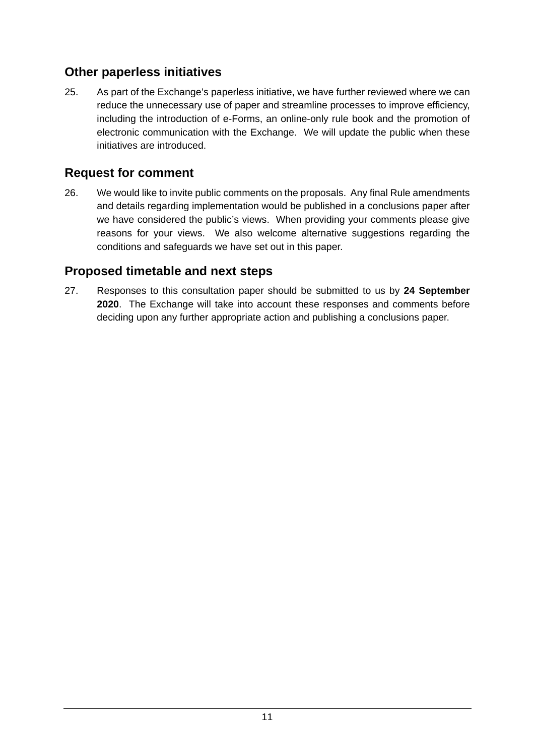# **Other paperless initiatives**

25. As part of the Exchange's paperless initiative, we have further reviewed where we can reduce the unnecessary use of paper and streamline processes to improve efficiency, including the introduction of e-Forms, an online-only rule book and the promotion of electronic communication with the Exchange. We will update the public when these initiatives are introduced.

# **Request for comment**

26. We would like to invite public comments on the proposals. Any final Rule amendments and details regarding implementation would be published in a conclusions paper after we have considered the public's views. When providing your comments please give reasons for your views. We also welcome alternative suggestions regarding the conditions and safeguards we have set out in this paper.

# **Proposed timetable and next steps**

27. Responses to this consultation paper should be submitted to us by **24 September 2020**. The Exchange will take into account these responses and comments before deciding upon any further appropriate action and publishing a conclusions paper.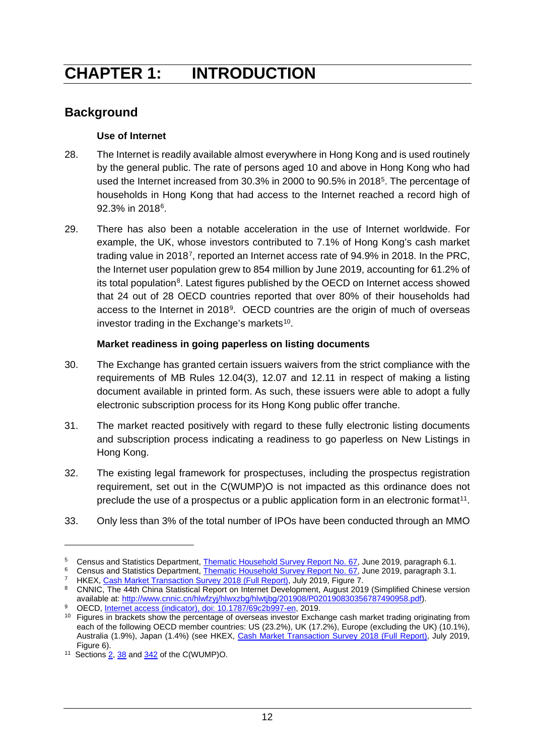# <span id="page-14-0"></span>**CHAPTER 1: INTRODUCTION**

# **Background**

### **Use of Internet**

- 28. The Internet is readily available almost everywhere in Hong Kong and is used routinely by the general public. The rate of persons aged 10 and above in Hong Kong who had used the Internet increased from 30.3% in 2000 to 90.5% in 2018<sup>5</sup>. The percentage of households in Hong Kong that had access to the Internet reached a record high of 92.3% in 2018[6.](#page-14-2)
- 29. There has also been a notable acceleration in the use of Internet worldwide. For example, the UK, whose investors contributed to 7.1% of Hong Kong's cash market trading value in 2018[7](#page-14-3), reported an Internet access rate of 94.9% in 2018. In the PRC, the Internet user population grew to 854 million by June 2019, accounting for 61.2% of its total population<sup>8</sup>. Latest figures published by the OECD on Internet access showed that 24 out of 28 OECD countries reported that over 80% of their households had access to the Internet in 2018[9.](#page-14-5) OECD countries are the origin of much of overseas investor trading in the Exchange's markets<sup>10</sup>.

### **Market readiness in going paperless on listing documents**

- 30. The Exchange has granted certain issuers waivers from the strict compliance with the requirements of MB Rules 12.04(3), 12.07 and 12.11 in respect of making a listing document available in printed form. As such, these issuers were able to adopt a fully electronic subscription process for its Hong Kong public offer tranche.
- 31. The market reacted positively with regard to these fully electronic listing documents and subscription process indicating a readiness to go paperless on New Listings in Hong Kong.
- 32. The existing legal framework for prospectuses, including the prospectus registration requirement, set out in the C(WUMP)O is not impacted as this ordinance does not preclude the use of a prospectus or a public application form in an electronic format<sup>[11](#page-14-7)</sup>.
- 33. Only less than 3% of the total number of IPOs have been conducted through an MMO

<span id="page-14-2"></span><span id="page-14-1"></span><sup>&</sup>lt;sup>5</sup> Census and Statistics Department, [Thematic Household Survey Report No. 67,](https://www.statistics.gov.hk/pub/B11302672019XXXXB0100.pdf) June 2019, paragraph 6.1.

Census and Statistics Department, [Thematic Household Survey Report No. 67,](https://www.statistics.gov.hk/pub/B11302672019XXXXB0100.pdf) June 2019, paragraph 3.1.

HKEX, [Cash Market Transaction Survey 2018 \(Full Report\),](https://www.hkex.com.hk/-/media/HKEX-Market/News/Research-Reports/HKEX-Surveys/Cash-Market-Transaction-Survey-2018/cmts2018_fullreport.pdf) July 2019, Figure 7.

<span id="page-14-4"></span><span id="page-14-3"></span><sup>8</sup> CNNIC, The 44th China Statistical Report on Internet Development, August 2019 (Simplified Chinese version available at: [http://www.cnnic.cn/hlwfzyj/hlwxzbg/hlwtjbg/201908/P020190830356787490958.pdf\)](http://www.cnnic.cn/hlwfzyj/hlwxzbg/hlwtjbg/201908/P020190830356787490958.pdf).

<span id="page-14-6"></span><span id="page-14-5"></span><sup>&</sup>lt;sup>9</sup> OECD, [Internet access \(indicator\), doi: 10.1787/69c2b997-en,](https://data.oecd.org/ict/internet-access.htm) 2019. <sup>10</sup> Figures in brackets show the percentage of overseas investor Exchange cash market trading originating from each of the following OECD member countries: US (23.2%), UK (17.2%), Europe (excluding the UK) (10.1%), Australia (1.9%), Japan (1.4%) (see HKEX, [Cash Market Transaction Survey 2018 \(Full Report\),](https://www.hkex.com.hk/-/media/HKEX-Market/News/Research-Reports/HKEX-Surveys/Cash-Market-Transaction-Survey-2018/cmts2018_fullreport.pdf) July 2019, Figure 6).

<span id="page-14-7"></span><sup>&</sup>lt;sup>11</sup> Section[s 2,](https://www.elegislation.gov.hk/hk/cap32!en?xpid=ID_1438402988395_001&INDEX_CS=N) [38](https://www.elegislation.gov.hk/hk/cap32!en?xpid=ID_1438402989207_003&INDEX_CS=N) an[d 342](https://www.elegislation.gov.hk/hk/cap32!en?xpid=ID_1438402998255_001&INDEX_CS=N) of the C(WUMP)O.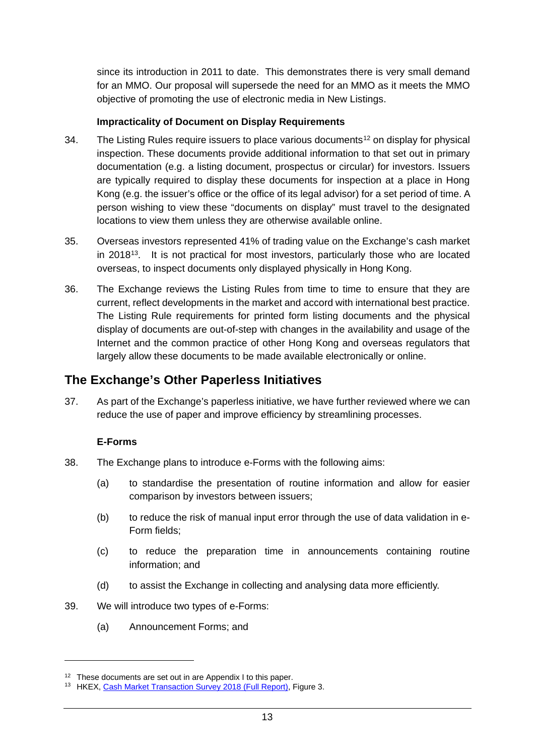since its introduction in 2011 to date. This demonstrates there is very small demand for an MMO. Our proposal will supersede the need for an MMO as it meets the MMO objective of promoting the use of electronic media in New Listings.

#### **Impracticality of Document on Display Requirements**

- 34. The Listing Rules require issuers to place various documents<sup>[12](#page-15-0)</sup> on display for physical inspection. These documents provide additional information to that set out in primary documentation (e.g. a listing document, prospectus or circular) for investors. Issuers are typically required to display these documents for inspection at a place in Hong Kong (e.g. the issuer's office or the office of its legal advisor) for a set period of time. A person wishing to view these "documents on display" must travel to the designated locations to view them unless they are otherwise available online.
- 35. Overseas investors represented 41% of trading value on the Exchange's cash market in 2018<sup>[13](#page-15-1)</sup>. It is not practical for most investors, particularly those who are located overseas, to inspect documents only displayed physically in Hong Kong.
- 36. The Exchange reviews the Listing Rules from time to time to ensure that they are current, reflect developments in the market and accord with international best practice. The Listing Rule requirements for printed form listing documents and the physical display of documents are out-of-step with changes in the availability and usage of the Internet and the common practice of other Hong Kong and overseas regulators that largely allow these documents to be made available electronically or online.

## **The Exchange's Other Paperless Initiatives**

37. As part of the Exchange's paperless initiative, we have further reviewed where we can reduce the use of paper and improve efficiency by streamlining processes.

#### **E-Forms**

- 38. The Exchange plans to introduce e-Forms with the following aims:
	- (a) to standardise the presentation of routine information and allow for easier comparison by investors between issuers;
	- (b) to reduce the risk of manual input error through the use of data validation in e-Form fields;
	- (c) to reduce the preparation time in announcements containing routine information; and
	- (d) to assist the Exchange in collecting and analysing data more efficiently.
- 39. We will introduce two types of e-Forms:
	- (a) Announcement Forms; and

<span id="page-15-0"></span><sup>&</sup>lt;sup>12</sup> These documents are set out in are Appendix I to this paper.

<span id="page-15-1"></span><sup>&</sup>lt;sup>13</sup> HKEX, [Cash Market Transaction Survey 2018 \(Full Report\),](https://www.hkex.com.hk/-/media/HKEX-Market/News/Research-Reports/HKEX-Surveys/Cash-Market-Transaction-Survey-2018/cmts2018_fullreport.pdf) Figure 3.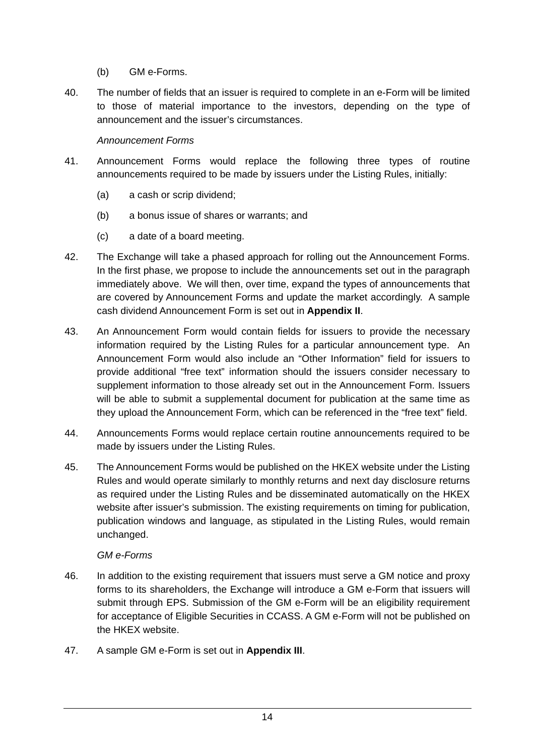- (b) GM e-Forms.
- 40. The number of fields that an issuer is required to complete in an e-Form will be limited to those of material importance to the investors, depending on the type of announcement and the issuer's circumstances.

#### *Announcement Forms*

- 41. Announcement Forms would replace the following three types of routine announcements required to be made by issuers under the Listing Rules, initially:
	- (a) a cash or scrip dividend;
	- (b) a bonus issue of shares or warrants; and
	- (c) a date of a board meeting.
- 42. The Exchange will take a phased approach for rolling out the Announcement Forms. In the first phase, we propose to include the announcements set out in the paragraph immediately above. We will then, over time, expand the types of announcements that are covered by Announcement Forms and update the market accordingly. A sample cash dividend Announcement Form is set out in **Appendix II**.
- 43. An Announcement Form would contain fields for issuers to provide the necessary information required by the Listing Rules for a particular announcement type. An Announcement Form would also include an "Other Information" field for issuers to provide additional "free text" information should the issuers consider necessary to supplement information to those already set out in the Announcement Form. Issuers will be able to submit a supplemental document for publication at the same time as they upload the Announcement Form, which can be referenced in the "free text" field.
- 44. Announcements Forms would replace certain routine announcements required to be made by issuers under the Listing Rules.
- 45. The Announcement Forms would be published on the HKEX website under the Listing Rules and would operate similarly to monthly returns and next day disclosure returns as required under the Listing Rules and be disseminated automatically on the HKEX website after issuer's submission. The existing requirements on timing for publication, publication windows and language, as stipulated in the Listing Rules, would remain unchanged.

#### *GM e-Forms*

- 46. In addition to the existing requirement that issuers must serve a GM notice and proxy forms to its shareholders, the Exchange will introduce a GM e-Form that issuers will submit through EPS. Submission of the GM e-Form will be an eligibility requirement for acceptance of Eligible Securities in CCASS. A GM e-Form will not be published on the HKEX website.
- 47. A sample GM e-Form is set out in **Appendix III**.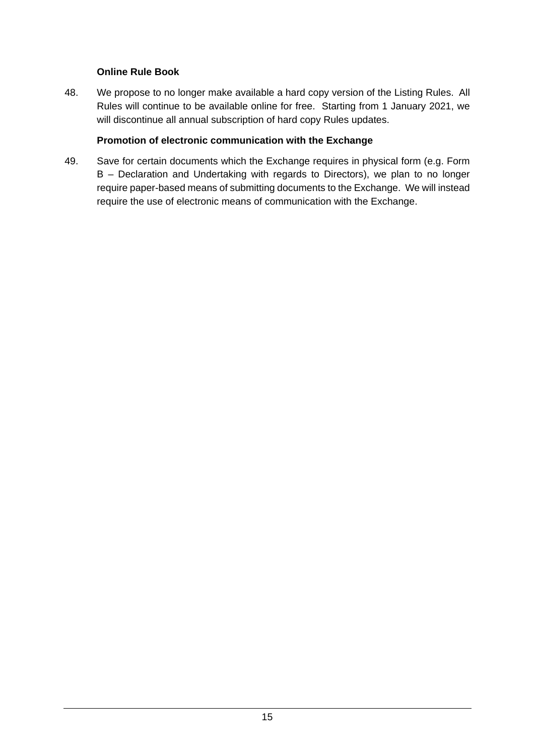#### **Online Rule Book**

48. We propose to no longer make available a hard copy version of the Listing Rules. All Rules will continue to be available online for free. Starting from 1 January 2021, we will discontinue all annual subscription of hard copy Rules updates.

#### **Promotion of electronic communication with the Exchange**

49. Save for certain documents which the Exchange requires in physical form (e.g. Form B – Declaration and Undertaking with regards to Directors), we plan to no longer require paper-based means of submitting documents to the Exchange. We will instead require the use of electronic means of communication with the Exchange.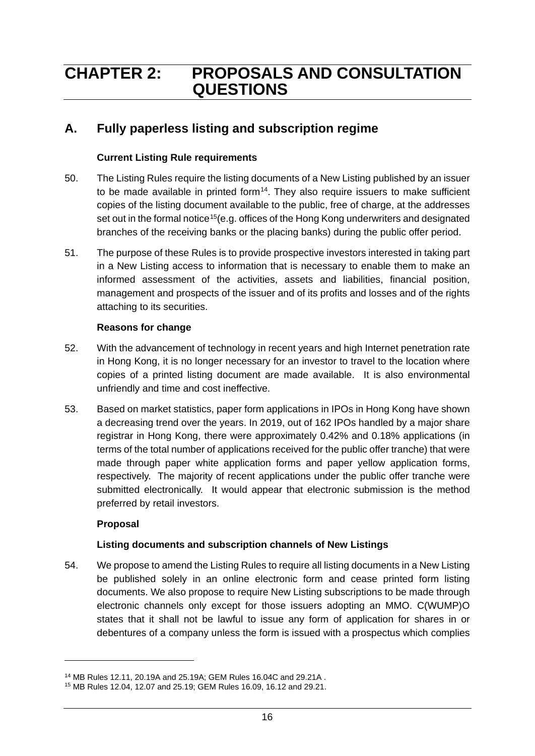# <span id="page-18-0"></span>**CHAPTER 2: PROPOSALS AND CONSULTATION QUESTIONS**

# **A. Fully paperless listing and subscription regime**

#### **Current Listing Rule requirements**

- 50. The Listing Rules require the listing documents of a New Listing published by an issuer to be made available in printed form $14$ . They also require issuers to make sufficient copies of the listing document available to the public, free of charge, at the addresses set out in the formal notice<sup>15</sup>(e.g. offices of the Hong Kong underwriters and designated branches of the receiving banks or the placing banks) during the public offer period.
- 51. The purpose of these Rules is to provide prospective investors interested in taking part in a New Listing access to information that is necessary to enable them to make an informed assessment of the activities, assets and liabilities, financial position, management and prospects of the issuer and of its profits and losses and of the rights attaching to its securities.

#### **Reasons for change**

- 52. With the advancement of technology in recent years and high Internet penetration rate in Hong Kong, it is no longer necessary for an investor to travel to the location where copies of a printed listing document are made available. It is also environmental unfriendly and time and cost ineffective.
- 53. Based on market statistics, paper form applications in IPOs in Hong Kong have shown a decreasing trend over the years. In 2019, out of 162 IPOs handled by a major share registrar in Hong Kong, there were approximately 0.42% and 0.18% applications (in terms of the total number of applications received for the public offer tranche) that were made through paper white application forms and paper yellow application forms, respectively. The majority of recent applications under the public offer tranche were submitted electronically. It would appear that electronic submission is the method preferred by retail investors.

### **Proposal**

-

### **Listing documents and subscription channels of New Listings**

54. We propose to amend the Listing Rules to require all listing documents in a New Listing be published solely in an online electronic form and cease printed form listing documents. We also propose to require New Listing subscriptions to be made through electronic channels only except for those issuers adopting an MMO. C(WUMP)O states that it shall not be lawful to issue any form of application for shares in or debentures of a company unless the form is issued with a prospectus which complies

<span id="page-18-1"></span><sup>14</sup> MB Rules 12.11, 20.19A and 25.19A; GEM Rules 16.04C and 29.21A .

<span id="page-18-2"></span><sup>15</sup> MB Rules 12.04, 12.07 and 25.19; GEM Rules 16.09, 16.12 and 29.21.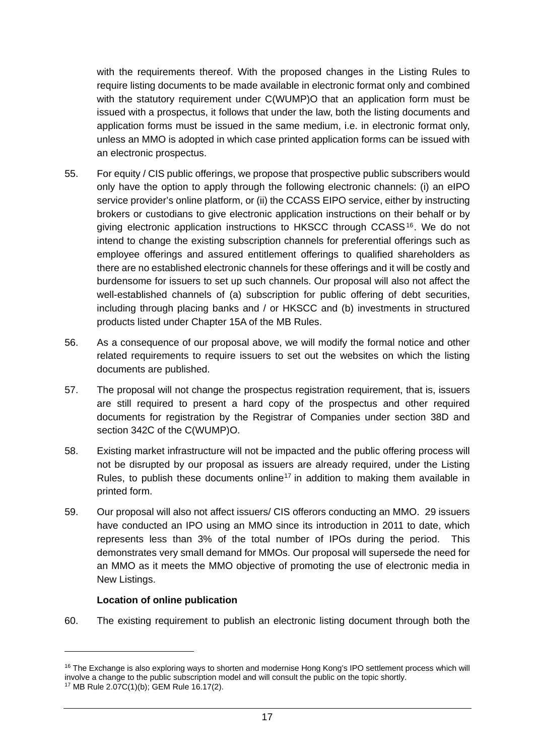with the requirements thereof. With the proposed changes in the Listing Rules to require listing documents to be made available in electronic format only and combined with the statutory requirement under C(WUMP)O that an application form must be issued with a prospectus, it follows that under the law, both the listing documents and application forms must be issued in the same medium, i.e. in electronic format only, unless an MMO is adopted in which case printed application forms can be issued with an electronic prospectus.

- 55. For equity / CIS public offerings, we propose that prospective public subscribers would only have the option to apply through the following electronic channels: (i) an eIPO service provider's online platform, or (ii) the CCASS EIPO service, either by instructing brokers or custodians to give electronic application instructions on their behalf or by giving electronic application instructions to HKSCC through CCASS[16](#page-19-0) . We do not intend to change the existing subscription channels for preferential offerings such as employee offerings and assured entitlement offerings to qualified shareholders as there are no established electronic channels for these offerings and it will be costly and burdensome for issuers to set up such channels. Our proposal will also not affect the well-established channels of (a) subscription for public offering of debt securities, including through placing banks and / or HKSCC and (b) investments in structured products listed under Chapter 15A of the MB Rules.
- 56. As a consequence of our proposal above, we will modify the formal notice and other related requirements to require issuers to set out the websites on which the listing documents are published.
- 57. The proposal will not change the prospectus registration requirement, that is, issuers are still required to present a hard copy of the prospectus and other required documents for registration by the Registrar of Companies under section 38D and section 342C of the C(WUMP)O.
- 58. Existing market infrastructure will not be impacted and the public offering process will not be disrupted by our proposal as issuers are already required, under the Listing Rules, to publish these documents online<sup>[17](#page-19-1)</sup> in addition to making them available in printed form.
- 59. Our proposal will also not affect issuers/ CIS offerors conducting an MMO. 29 issuers have conducted an IPO using an MMO since its introduction in 2011 to date, which represents less than 3% of the total number of IPOs during the period. This demonstrates very small demand for MMOs. Our proposal will supersede the need for an MMO as it meets the MMO objective of promoting the use of electronic media in New Listings.

#### **Location of online publication**

60. The existing requirement to publish an electronic listing document through both the

<span id="page-19-0"></span><sup>&</sup>lt;sup>16</sup> The Exchange is also exploring ways to shorten and modernise Hong Kong's IPO settlement process which will involve a change to the public subscription model and will consult the public on the topic shortly. 17 MB Rule 2.07C(1)(b); GEM Rule 16.17(2).

<span id="page-19-1"></span>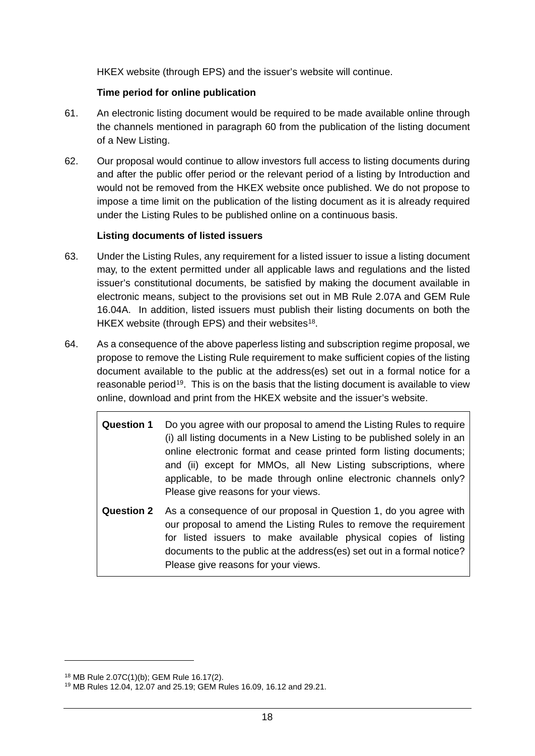HKEX website (through EPS) and the issuer's website will continue.

### **Time period for online publication**

- 61. An electronic listing document would be required to be made available online through the channels mentioned in paragraph 60 from the publication of the listing document of a New Listing.
- 62. Our proposal would continue to allow investors full access to listing documents during and after the public offer period or the relevant period of a listing by Introduction and would not be removed from the HKEX website once published. We do not propose to impose a time limit on the publication of the listing document as it is already required under the Listing Rules to be published online on a continuous basis.

#### **Listing documents of listed issuers**

- 63. Under the Listing Rules, any requirement for a listed issuer to issue a listing document may, to the extent permitted under all applicable laws and regulations and the listed issuer's constitutional documents, be satisfied by making the document available in electronic means, subject to the provisions set out in MB Rule 2.07A and GEM Rule 16.04A. In addition, listed issuers must publish their listing documents on both the HKEX website (through EPS) and their websites<sup>[18](#page-20-0)</sup>.
- 64. As a consequence of the above paperless listing and subscription regime proposal, we propose to remove the Listing Rule requirement to make sufficient copies of the listing document available to the public at the address(es) set out in a formal notice for a reasonable period<sup>[19](#page-20-1)</sup>. This is on the basis that the listing document is available to view online, download and print from the HKEX website and the issuer's website.
	- **Question 1** Do you agree with our proposal to amend the Listing Rules to require (i) all listing documents in a New Listing to be published solely in an online electronic format and cease printed form listing documents; and (ii) except for MMOs, all New Listing subscriptions, where applicable, to be made through online electronic channels only? Please give reasons for your views.
	- **Question 2** As a consequence of our proposal in Question 1, do you agree with our proposal to amend the Listing Rules to remove the requirement for listed issuers to make available physical copies of listing documents to the public at the address(es) set out in a formal notice? Please give reasons for your views.

<span id="page-20-0"></span><sup>18</sup> MB Rule 2.07C(1)(b); GEM Rule 16.17(2).

<span id="page-20-1"></span><sup>19</sup> MB Rules 12.04, 12.07 and 25.19; GEM Rules 16.09, 16.12 and 29.21.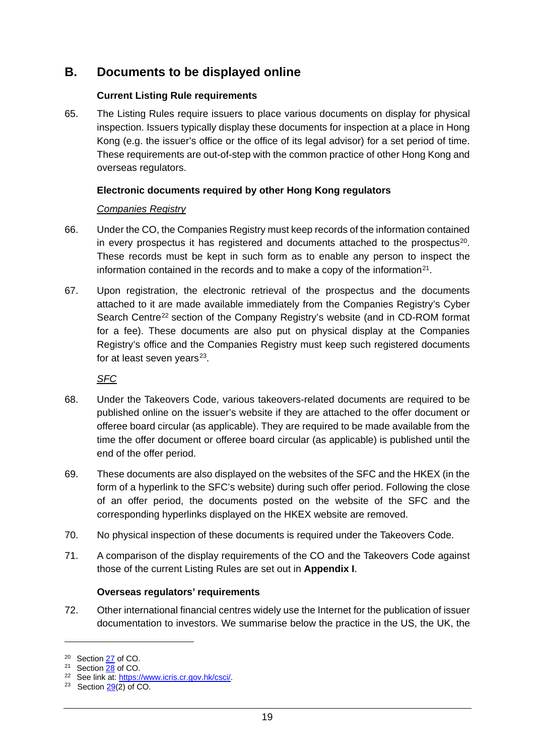# **B. Documents to be displayed online**

#### **Current Listing Rule requirements**

65. The Listing Rules require issuers to place various documents on display for physical inspection. Issuers typically display these documents for inspection at a place in Hong Kong (e.g. the issuer's office or the office of its legal advisor) for a set period of time. These requirements are out-of-step with the common practice of other Hong Kong and overseas regulators.

#### **Electronic documents required by other Hong Kong regulators**

#### *Companies Registry*

- 66. Under the CO, the Companies Registry must keep records of the information contained in every prospectus it has registered and documents attached to the prospectus[20](#page-21-0). These records must be kept in such form as to enable any person to inspect the information contained in the records and to make a copy of the information $21$ .
- 67. Upon registration, the electronic retrieval of the prospectus and the documents attached to it are made available immediately from the Companies Registry's Cyber Search Centre<sup>[22](#page-21-2)</sup> section of the Company Registry's website (and in CD-ROM format for a fee). These documents are also put on physical display at the Companies Registry's office and the Companies Registry must keep such registered documents for at least seven years $23$ .

*SFC*

- 68. Under the Takeovers Code, various takeovers-related documents are required to be published online on the issuer's website if they are attached to the offer document or offeree board circular (as applicable). They are required to be made available from the time the offer document or offeree board circular (as applicable) is published until the end of the offer period.
- 69. These documents are also displayed on the websites of the SFC and the HKEX (in the form of a hyperlink to the SFC's website) during such offer period. Following the close of an offer period, the documents posted on the website of the SFC and the corresponding hyperlinks displayed on the HKEX website are removed.
- 70. No physical inspection of these documents is required under the Takeovers Code.
- 71. A comparison of the display requirements of the CO and the Takeovers Code against those of the current Listing Rules are set out in **Appendix I**.

### **Overseas regulators' requirements**

72. Other international financial centres widely use the Internet for the publication of issuer documentation to investors. We summarise below the practice in the US, the UK, the

<span id="page-21-0"></span><sup>&</sup>lt;sup>20</sup> Section **27** of CO.

<span id="page-21-1"></span><sup>21</sup> Section [28](https://www.elegislation.gov.hk/hk/cap622?xpid=ID_1438403540446_001) of CO.

<span id="page-21-2"></span><sup>&</sup>lt;sup>22</sup> See link at: [https://www.icris.cr.gov.hk/csci/.](https://www.icris.cr.gov.hk/csci/)

<span id="page-21-3"></span><sup>&</sup>lt;sup>23</sup> Section  $\frac{29(2)}{29}$  of CO.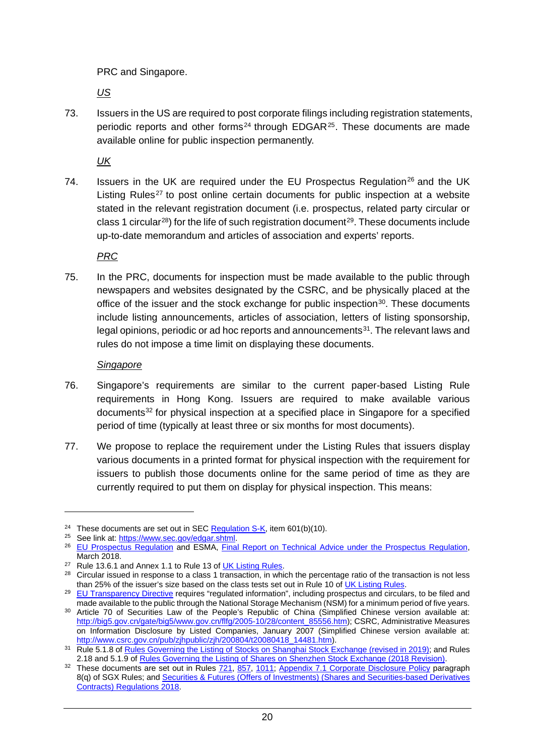PRC and Singapore.

*US*

73. Issuers in the US are required to post corporate filings including registration statements, periodic reports and other forms<sup>24</sup> through EDGAR $25$ . These documents are made available online for public inspection permanently.

*UK*

74. Issuers in the UK are required under the EU Prospectus Regulation<sup>26</sup> and the UK Listing Rules<sup>[27](#page-22-3)</sup> to post online certain documents for public inspection at a website stated in the relevant registration document (i.e. prospectus, related party circular or class 1 circular<sup>28</sup>) for the life of such registration document<sup>[29](#page-22-5)</sup>. These documents include up-to-date memorandum and articles of association and experts' reports.

*PRC*

75. In the PRC, documents for inspection must be made available to the public through newspapers and websites designated by the CSRC, and be physically placed at the office of the issuer and the stock exchange for public inspection $30$ . These documents include listing announcements, articles of association, letters of listing sponsorship, legal opinions, periodic or ad hoc reports and announcements $31$ . The relevant laws and rules do not impose a time limit on displaying these documents.

#### *Singapore*

- 76. Singapore's requirements are similar to the current paper-based Listing Rule requirements in Hong Kong. Issuers are required to make available various documents<sup>[32](#page-22-8)</sup> for physical inspection at a specified place in Singapore for a specified period of time (typically at least three or six months for most documents).
- 77. We propose to replace the requirement under the Listing Rules that issuers display various documents in a printed format for physical inspection with the requirement for issuers to publish those documents online for the same period of time as they are currently required to put them on display for physical inspection. This means:

<span id="page-22-0"></span><sup>&</sup>lt;sup>24</sup> These documents are set out in SEC [Regulation S-K,](https://www.ecfr.gov/cgi-bin/text-idx?amp;node=17:3.0.1.1.11&rgn=div5) item  $601(b)(10)$ .

<span id="page-22-1"></span><sup>&</sup>lt;sup>25</sup> See link at: [https://www.sec.gov/edgar.shtml.](https://www.sec.gov/edgar.shtml)

<span id="page-22-2"></span><sup>&</sup>lt;sup>26</sup> [EU Prospectus Regulation](https://eur-lex.europa.eu/legal-content/EN/TXT/?uri=CELEX%3A32017R1129) and ESMA, [Final Report on Technical Advice under the Prospectus Regulation,](https://www.esma.europa.eu/sites/default/files/library/esma31-62-800_final_report_on_technical_advice_under_the_pr.pdf) March 2018.

<span id="page-22-3"></span><sup>&</sup>lt;sup>27</sup> Rule 13.6.1 and Annex 1.1 to Rule 13 of **UK Listing Rules**.

<span id="page-22-4"></span><sup>&</sup>lt;sup>28</sup> Circular issued in response to a class 1 transaction, in which the percentage ratio of the transaction is not less than 25% of the issuer's size based on the class tests set out in Rule 10 of [UK Listing Rules.](https://www.handbook.fca.org.uk/handbook/LR.pdf)

<span id="page-22-5"></span><sup>&</sup>lt;sup>29</sup> [EU Transparency Directive](https://eur-lex.europa.eu/legal-content/GA/TXT/?uri=CELEX:32004L0109) requires "regulated information", including prospectus and circulars, to be filed and made available to the public through the National Storage Mechanism (NSM) for a minimum period of five years.

<span id="page-22-6"></span><sup>30</sup> Article 70 of Securities Law of the People's Republic of China (Simplified Chinese version available at: [http://big5.gov.cn/gate/big5/www.gov.cn/flfg/2005-10/28/content\\_85556.htm\)](http://big5.gov.cn/gate/big5/www.gov.cn/flfg/2005-10/28/content_85556.htm); CSRC, Administrative Measures on Information Disclosure by Listed Companies, January 2007 (Simplified Chinese version available at: [http://www.csrc.gov.cn/pub/zjhpublic/zjh/200804/t20080418\\_14481.htm\)](http://www.csrc.gov.cn/pub/zjhpublic/zjh/200804/t20080418_14481.htm).

<span id="page-22-7"></span><sup>&</sup>lt;sup>31</sup> Rule 5.1.8 of [Rules Governing the Listing of Stocks on Shanghai Stock Exchange \(revised in 2019\);](http://english.sse.com.cn/start/rules/sse/public/c/4938268.pdf) and Rules 2.18 and 5.1.9 o[f Rules Governing the Listing of Shares on Shenzhen Stock Exchange \(2018 Revision\).](http://www.szse.cn/English/rules/siteRule/P020190806407720871488.pdf)

<span id="page-22-8"></span><sup>&</sup>lt;sup>32</sup> These documents are set out in Rules [721,](http://rulebook.sgx.com/rulebook/721-3) [857,](http://rulebook.sgx.com/rulebook/857-0) [1011;](http://rulebook.sgx.com/rulebook/1011-2) [Appendix 7.1 Corporate Disclosure Policy](http://rulebook.sgx.com/rulebook/appendix-71-corporate-disclosure-policy) paragraph 8(q) of SGX Rules; and **Securities & Futures** (Offers of Investments) (Shares and Securities-based Derivatives [Contracts\) Regulations 2018.](https://sso.agc.gov.sg/SL/SFA2001-S664-2018?DocDate=20181005)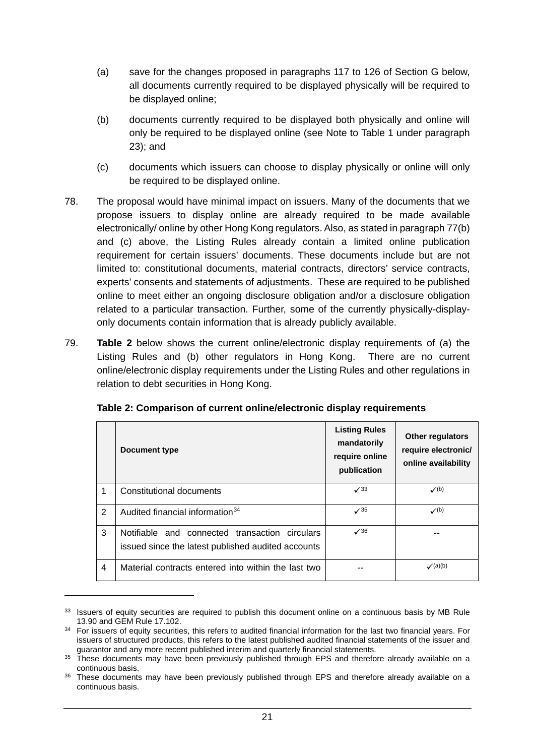- (a) save for the changes proposed in paragraphs 117 to 126 of Section G below, all documents currently required to be displayed physically will be required to be displayed online;
- (b) documents currently required to be displayed both physically and online will only be required to be displayed online (see Note to Table 1 under paragraph 23); and
- (c) documents which issuers can choose to display physically or online will only be required to be displayed online.
- 78. The proposal would have minimal impact on issuers. Many of the documents that we propose issuers to display online are already required to be made available electronically/ online by other Hong Kong regulators. Also, as stated in paragraph 77(b) and (c) above, the Listing Rules already contain a limited online publication requirement for certain issuers' documents. These documents include but are not limited to: constitutional documents, material contracts, directors' service contracts, experts' consents and statements of adjustments. These are required to be published online to meet either an ongoing disclosure obligation and/or a disclosure obligation related to a particular transaction. Further, some of the currently physically-displayonly documents contain information that is already publicly available.
- 79. **Table 2** below shows the current online/electronic display requirements of (a) the Listing Rules and (b) other regulators in Hong Kong. There are no current online/electronic display requirements under the Listing Rules and other regulations in relation to debt securities in Hong Kong.

|                         | <b>Document type</b>                                                                                 | <b>Listing Rules</b><br>mandatorily<br>require online<br>publication | Other regulators<br>require electronic/<br>online availability |
|-------------------------|------------------------------------------------------------------------------------------------------|----------------------------------------------------------------------|----------------------------------------------------------------|
| 1                       | Constitutional documents                                                                             | $\sqrt{33}$                                                          | $\checkmark$ (b)                                               |
| 2                       | Audited financial information <sup>34</sup>                                                          | $\sqrt{35}$                                                          | $\checkmark$ (b)                                               |
| 3                       | Notifiable and connected transaction circulars<br>issued since the latest published audited accounts | $\sqrt{36}$                                                          |                                                                |
| $\overline{\mathbf{4}}$ | Material contracts entered into within the last two                                                  |                                                                      | $\checkmark$ (a)(b)                                            |

<span id="page-23-0"></span><sup>&</sup>lt;sup>33</sup> Issuers of equity securities are required to publish this document online on a continuous basis by MB Rule 13.90 and GEM Rule 17.102. 34 For issuers of equity securities, this refers to audited financial information for the last two financial years. For

<span id="page-23-1"></span>issuers of structured products, this refers to the latest published audited financial statements of the issuer and guarantor and any more recent published interim and quarterly financial statements.

<span id="page-23-2"></span><sup>&</sup>lt;sup>35</sup> These documents may have been previously published through EPS and therefore already available on a continuous basis.

<span id="page-23-3"></span><sup>36</sup> These documents may have been previously published through EPS and therefore already available on a continuous basis.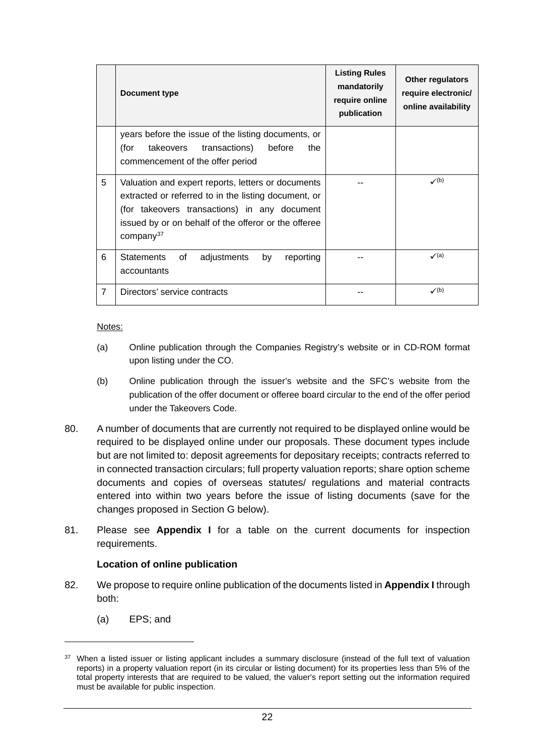|                | <b>Document type</b>                                                                                                                                                                                                                        | <b>Listing Rules</b><br>mandatorily<br>require online<br>publication | Other regulators<br>require electronic/<br>online availability |  |
|----------------|---------------------------------------------------------------------------------------------------------------------------------------------------------------------------------------------------------------------------------------------|----------------------------------------------------------------------|----------------------------------------------------------------|--|
|                | years before the issue of the listing documents, or<br>takeovers<br>transactions)<br>before<br>the<br>(for<br>commencement of the offer period                                                                                              |                                                                      |                                                                |  |
| 5              | Valuation and expert reports, letters or documents<br>extracted or referred to in the listing document, or<br>(for takeovers transactions) in any document<br>issued by or on behalf of the offeror or the offeree<br>company <sup>37</sup> |                                                                      | $\checkmark$ (b)                                               |  |
| 6              | <b>Statements</b><br>of<br>adjustments<br>by<br>reporting<br>accountants                                                                                                                                                                    |                                                                      | $\checkmark$ (a)                                               |  |
| $\overline{7}$ | Directors' service contracts                                                                                                                                                                                                                |                                                                      | $\checkmark$ (b)                                               |  |

Notes:

- (a) Online publication through the Companies Registry's website or in CD-ROM format upon listing under the CO.
- (b) Online publication through the issuer's website and the SFC's website from the publication of the offer document or offeree board circular to the end of the offer period under the Takeovers Code.
- 80. A number of documents that are currently not required to be displayed online would be required to be displayed online under our proposals. These document types include but are not limited to: deposit agreements for depositary receipts; contracts referred to in connected transaction circulars; full property valuation reports; share option scheme documents and copies of overseas statutes/ regulations and material contracts entered into within two years before the issue of listing documents (save for the changes proposed in Section G below).
- 81. Please see **Appendix I** for a table on the current documents for inspection requirements.

#### **Location of online publication**

- 82. We propose to require online publication of the documents listed in **Appendix I** through both:
	- (a) EPS; and

<span id="page-24-0"></span><sup>&</sup>lt;sup>37</sup> When a listed issuer or listing applicant includes a summary disclosure (instead of the full text of valuation reports) in a property valuation report (in its circular or listing document) for its properties less than 5% of the total property interests that are required to be valued, the valuer's report setting out the information required must be available for public inspection.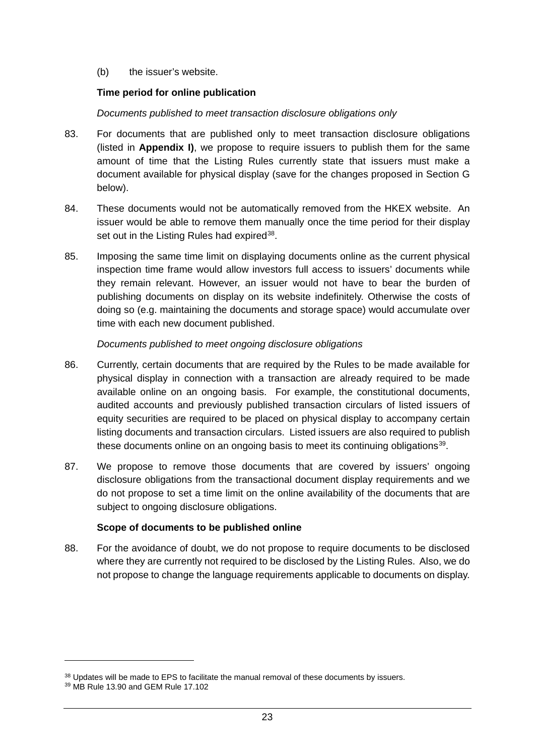(b) the issuer's website.

#### **Time period for online publication**

#### *Documents published to meet transaction disclosure obligations only*

- 83. For documents that are published only to meet transaction disclosure obligations (listed in **Appendix I)**, we propose to require issuers to publish them for the same amount of time that the Listing Rules currently state that issuers must make a document available for physical display (save for the changes proposed in Section G below).
- 84. These documents would not be automatically removed from the HKEX website. An issuer would be able to remove them manually once the time period for their display set out in the Listing Rules had expired<sup>38</sup>.
- 85. Imposing the same time limit on displaying documents online as the current physical inspection time frame would allow investors full access to issuers' documents while they remain relevant. However, an issuer would not have to bear the burden of publishing documents on display on its website indefinitely. Otherwise the costs of doing so (e.g. maintaining the documents and storage space) would accumulate over time with each new document published.

#### *Documents published to meet ongoing disclosure obligations*

- 86. Currently, certain documents that are required by the Rules to be made available for physical display in connection with a transaction are already required to be made available online on an ongoing basis. For example, the constitutional documents, audited accounts and previously published transaction circulars of listed issuers of equity securities are required to be placed on physical display to accompany certain listing documents and transaction circulars. Listed issuers are also required to publish these documents online on an ongoing basis to meet its continuing obligations<sup>39</sup>.
- 87. We propose to remove those documents that are covered by issuers' ongoing disclosure obligations from the transactional document display requirements and we do not propose to set a time limit on the online availability of the documents that are subject to ongoing disclosure obligations.

#### **Scope of documents to be published online**

88. For the avoidance of doubt, we do not propose to require documents to be disclosed where they are currently not required to be disclosed by the Listing Rules. Also, we do not propose to change the language requirements applicable to documents on display.

<span id="page-25-0"></span><sup>38</sup> Updates will be made to EPS to facilitate the manual removal of these documents by issuers.

<span id="page-25-1"></span><sup>39</sup> MB Rule 13.90 and GEM Rule 17.102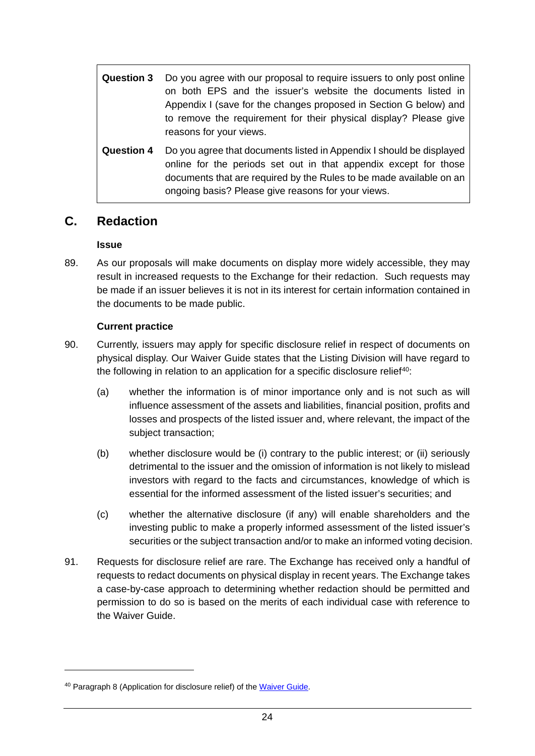| <b>Question 3</b> | Do you agree with our proposal to require issuers to only post online<br>on both EPS and the issuer's website the documents listed in<br>Appendix I (save for the changes proposed in Section G below) and<br>to remove the requirement for their physical display? Please give<br>reasons for your views. |  |  |  |  |  |  |  |
|-------------------|------------------------------------------------------------------------------------------------------------------------------------------------------------------------------------------------------------------------------------------------------------------------------------------------------------|--|--|--|--|--|--|--|
| <b>Question 4</b> | Do you agree that documents listed in Appendix I should be displayed<br>online for the periods set out in that appendix except for those<br>documents that are required by the Rules to be made available on an<br>ongoing basis? Please give reasons for your views.                                      |  |  |  |  |  |  |  |

# **C. Redaction**

#### **Issue**

89. As our proposals will make documents on display more widely accessible, they may result in increased requests to the Exchange for their redaction. Such requests may be made if an issuer believes it is not in its interest for certain information contained in the documents to be made public.

### **Current practice**

- 90. Currently, issuers may apply for specific disclosure relief in respect of documents on physical display. Our Waiver Guide states that the Listing Division will have regard to the following in relation to an application for a specific disclosure relief<sup>40</sup>:
	- (a) whether the information is of minor importance only and is not such as will influence assessment of the assets and liabilities, financial position, profits and losses and prospects of the listed issuer and, where relevant, the impact of the subject transaction;
	- (b) whether disclosure would be (i) contrary to the public interest; or (ii) seriously detrimental to the issuer and the omission of information is not likely to mislead investors with regard to the facts and circumstances, knowledge of which is essential for the informed assessment of the listed issuer's securities; and
	- (c) whether the alternative disclosure (if any) will enable shareholders and the investing public to make a properly informed assessment of the listed issuer's securities or the subject transaction and/or to make an informed voting decision.
- 91. Requests for disclosure relief are rare. The Exchange has received only a handful of requests to redact documents on physical display in recent years. The Exchange takes a case-by-case approach to determining whether redaction should be permitted and permission to do so is based on the merits of each individual case with reference to the Waiver Guide.

<span id="page-26-0"></span><sup>40</sup> Paragraph 8 (Application for disclosure relief) of the [Waiver Guide.](https://www.hkex.com.hk/-/media/HKEX-Market/Listing/Rules-and-Guidance/Other-Resources/Listed-Issuers/Practices-and-Procedures-for-Handling-Listing-related-Matters/c_waiver.doc?la=en)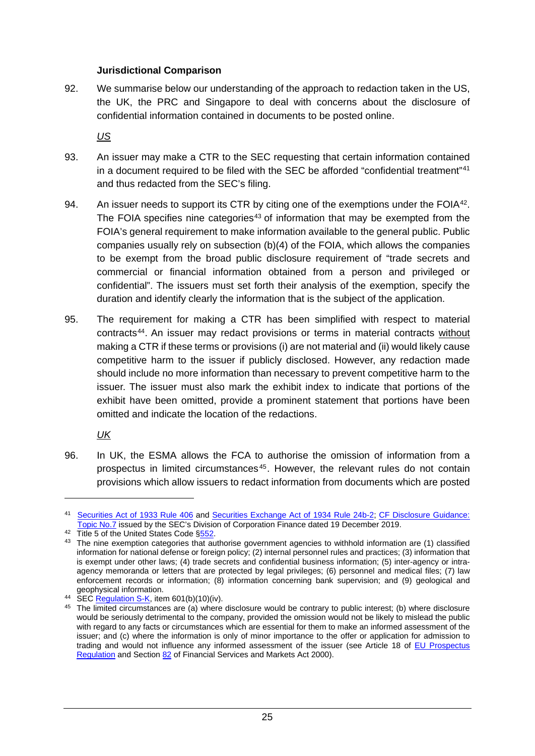#### **Jurisdictional Comparison**

92. We summarise below our understanding of the approach to redaction taken in the US, the UK, the PRC and Singapore to deal with concerns about the disclosure of confidential information contained in documents to be posted online.

*US*

- 93. An issuer may make a CTR to the SEC requesting that certain information contained in a document required to be filed with the SEC be afforded "confidential treatment"[41](#page-27-0) and thus redacted from the SEC's filing.
- 94. An issuer needs to support its CTR by citing one of the exemptions under the FOI $A^{42}$  $A^{42}$  $A^{42}$ . The FOIA specifies nine categories<sup>[43](#page-27-2)</sup> of information that may be exempted from the FOIA's general requirement to make information available to the general public. Public companies usually rely on subsection (b)(4) of the FOIA, which allows the companies to be exempt from the broad public disclosure requirement of "trade secrets and commercial or financial information obtained from a person and privileged or confidential". The issuers must set forth their analysis of the exemption, specify the duration and identify clearly the information that is the subject of the application.
- 95. The requirement for making a CTR has been simplified with respect to material contracts[44](#page-27-3) . An issuer may redact provisions or terms in material contracts without making a CTR if these terms or provisions (i) are not material and (ii) would likely cause competitive harm to the issuer if publicly disclosed. However, any redaction made should include no more information than necessary to prevent competitive harm to the issuer. The issuer must also mark the exhibit index to indicate that portions of the exhibit have been omitted, provide a prominent statement that portions have been omitted and indicate the location of the redactions.

*UK*

<u>.</u>

96. In UK, the ESMA allows the FCA to authorise the omission of information from a prospectus in limited circumstances [45](#page-27-4) . However, the relevant rules do not contain provisions which allow issuers to redact information from documents which are posted

<span id="page-27-0"></span><sup>41</sup> [Securities Act of 1933 Rule 406](https://www.law.cornell.edu/cfr/text/17/230.406) and [Securities Exchange Act of 1934 Rule 24b-2;](https://www.law.cornell.edu/cfr/text/17/240.24b-2) [CF Disclosure Guidance:](https://www.sec.gov/corpfin/confidential-treatment-applications)  Topic No.7 issued by the SEC's Division of Corporation Finance dated 19 December 2019.<br><sup>42</sup> Title 5 of the United States Code [§552.](https://www.law.cornell.edu/uscode/text/5/552)

<span id="page-27-2"></span><span id="page-27-1"></span><sup>&</sup>lt;sup>43</sup> The nine exemption categories that authorise government agencies to withhold information are (1) classified information for national defense or foreign policy; (2) internal personnel rules and practices; (3) information that is exempt under other laws; (4) trade secrets and confidential business information; (5) inter-agency or intraagency memoranda or letters that are protected by legal privileges; (6) personnel and medical files; (7) law enforcement records or information; (8) information concerning bank supervision; and (9) geological and geophysical information.

<span id="page-27-3"></span> $^{44}$  SE[C Regulation S-K,](https://www.ecfr.gov/cgi-bin/text-idx?amp;node=17:3.0.1.1.11&rgn=div5#se17.3.229_1601) item 601(b)(10)(iv).

<span id="page-27-4"></span><sup>&</sup>lt;sup>45</sup> The limited circumstances are (a) where disclosure would be contrary to public interest; (b) where disclosure would be seriously detrimental to the company, provided the omission would not be likely to mislead the public with regard to any facts or circumstances which are essential for them to make an informed assessment of the issuer; and (c) where the information is only of minor importance to the offer or application for admission to trading and would not influence any informed assessment of the issuer (see Article 18 of [EU Prospectus](https://eur-lex.europa.eu/legal-content/EN/TXT/?uri=CELEX%3A32017R1129)  [Regulation](https://eur-lex.europa.eu/legal-content/EN/TXT/?uri=CELEX%3A32017R1129) and Section [82](http://www.legislation.gov.uk/ukpga/2000/8/section/82) of Financial Services and Markets Act 2000).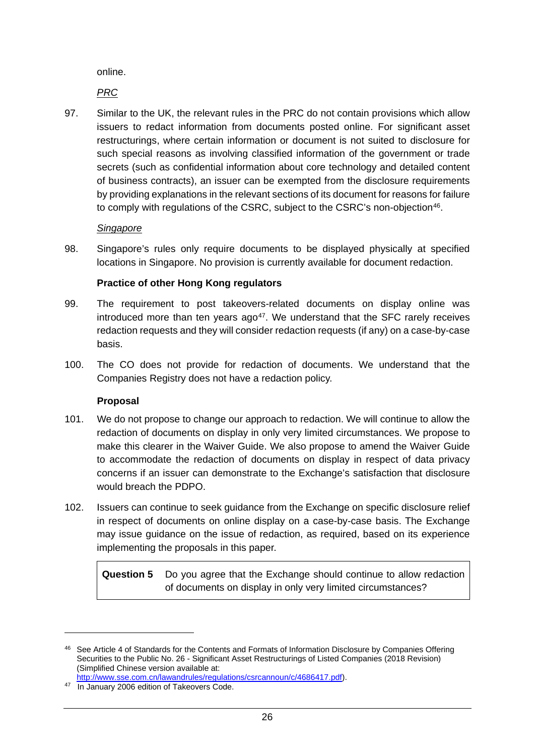online.

*PRC*

97. Similar to the UK, the relevant rules in the PRC do not contain provisions which allow issuers to redact information from documents posted online. For significant asset restructurings, where certain information or document is not suited to disclosure for such special reasons as involving classified information of the government or trade secrets (such as confidential information about core technology and detailed content of business contracts), an issuer can be exempted from the disclosure requirements by providing explanations in the relevant sections of its document for reasons for failure to comply with regulations of the CSRC, subject to the CSRC's non-objection<sup>[46](#page-28-0)</sup>.

#### *Singapore*

98. Singapore's rules only require documents to be displayed physically at specified locations in Singapore. No provision is currently available for document redaction.

#### **Practice of other Hong Kong regulators**

- 99. The requirement to post takeovers-related documents on display online was introduced more than ten years  $ago^{47}$ . We understand that the SFC rarely receives redaction requests and they will consider redaction requests (if any) on a case-by-case basis.
- 100. The CO does not provide for redaction of documents. We understand that the Companies Registry does not have a redaction policy.

#### **Proposal**

- 101. We do not propose to change our approach to redaction. We will continue to allow the redaction of documents on display in only very limited circumstances. We propose to make this clearer in the Waiver Guide. We also propose to amend the Waiver Guide to accommodate the redaction of documents on display in respect of data privacy concerns if an issuer can demonstrate to the Exchange's satisfaction that disclosure would breach the PDPO.
- 102. Issuers can continue to seek guidance from the Exchange on specific disclosure relief in respect of documents on online display on a case-by-case basis. The Exchange may issue guidance on the issue of redaction, as required, based on its experience implementing the proposals in this paper.

**Question 5** Do you agree that the Exchange should continue to allow redaction of documents on display in only very limited circumstances?

<span id="page-28-0"></span><sup>46</sup> See Article 4 of Standards for the Contents and Formats of Information Disclosure by Companies Offering Securities to the Public No. 26 - Significant Asset Restructurings of Listed Companies (2018 Revision) (Simplified Chinese version available at:

[http://www.sse.com.cn/lawandrules/regulations/csrcannoun/c/4686417.pdf\)](http://www.sse.com.cn/lawandrules/regulations/csrcannoun/c/4686417.pdf).

<span id="page-28-1"></span><sup>&</sup>lt;sup>47</sup> In January 2006 edition of Takeovers Code.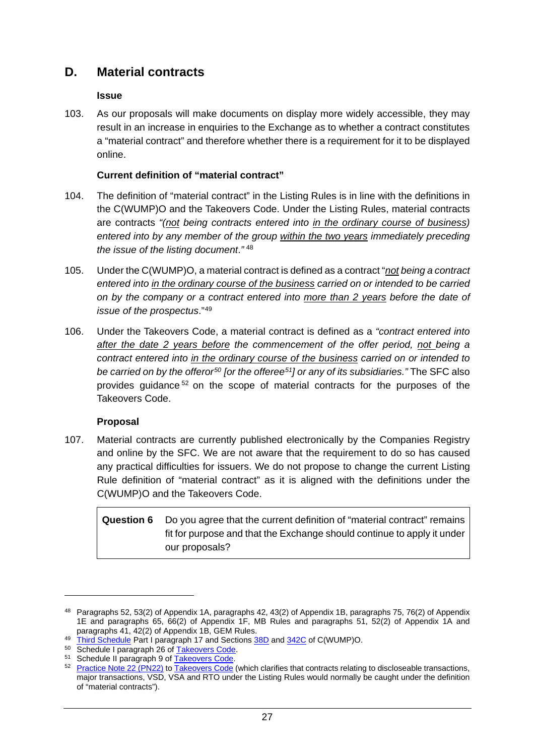## **D. Material contracts**

#### **Issue**

103. As our proposals will make documents on display more widely accessible, they may result in an increase in enquiries to the Exchange as to whether a contract constitutes a "material contract" and therefore whether there is a requirement for it to be displayed online.

#### **Current definition of "material contract"**

- 104. The definition of "material contract" in the Listing Rules is in line with the definitions in the C(WUMP)O and the Takeovers Code. Under the Listing Rules, material contracts are contracts *"(not being contracts entered into in the ordinary course of business) entered into by any member of the group within the two years immediately preceding the issue of the listing document*.*"* [48](#page-29-0)
- 105. Under the C(WUMP)O, a material contract is defined as a contract "*not being a contract entered into in the ordinary course of the business carried on or intended to be carried on by the company or a contract entered into more than 2 years before the date of issue of the prospectus*."[49](#page-29-1)
- 106. Under the Takeovers Code, a material contract is defined as a *"contract entered into after the date 2 years before the commencement of the offer period, not being a contract entered into in the ordinary course of the business carried on or intended to be carried on by the offeror[50](#page-29-2) [or the offeree[51](#page-29-3)] or any of its subsidiaries."* The SFC also provides guidance [52](#page-29-4) on the scope of material contracts for the purposes of the Takeovers Code.

#### **Proposal**

-

107. Material contracts are currently published electronically by the Companies Registry and online by the SFC. We are not aware that the requirement to do so has caused any practical difficulties for issuers. We do not propose to change the current Listing Rule definition of "material contract" as it is aligned with the definitions under the C(WUMP)O and the Takeovers Code.

### **Question 6** Do you agree that the current definition of "material contract" remains fit for purpose and that the Exchange should continue to apply it under our proposals?

<span id="page-29-0"></span><sup>48</sup> Paragraphs 52, 53(2) of Appendix 1A, paragraphs 42, 43(2) of Appendix 1B, paragraphs 75, 76(2) of Appendix 1E and paragraphs 65, 66(2) of Appendix 1F, MB Rules and paragraphs 51, 52(2) of Appendix 1A and paragraphs 41, 42(2) of Appendix 1B, GEM Rules.

<span id="page-29-1"></span><sup>49</sup> [Third Schedule](https://www.elegislation.gov.hk/hk/cap32?xpid=ID_1438402999300_001) Part I paragraph 17 and Sections [38D](https://www.elegislation.gov.hk/hk/cap32?xpid=ID_1438402989300_001) an[d 342C](https://www.elegislation.gov.hk/hk/cap32?xpid=ID_1438402998317_002) of C(WUMP)O.

<span id="page-29-2"></span><sup>50</sup> Schedule I paragraph 26 of [Takeovers Code.](https://www.sfc.hk/web/EN/assets/components/codes/files-current/web/codes/the-codes-on-takeovers-and-mergers-and-share-buy-backs/the-codes-on-takeovers-and-mergers-and-share-buy-backs.pdf)

<span id="page-29-3"></span><sup>51</sup> Schedule II paragraph 9 of [Takeovers Code.](https://www.sfc.hk/web/EN/assets/components/codes/files-current/web/codes/the-codes-on-takeovers-and-mergers-and-share-buy-backs/the-codes-on-takeovers-and-mergers-and-share-buy-backs.pdf)

<span id="page-29-4"></span><sup>&</sup>lt;sup>52</sup> [Practice Note 22 \(PN22\)](https://www.sfc.hk/web/EN/files/CF/pdf/Practice_Notes/Practice%20Note%2022%2020181231e.pdf) to [Takeovers Code](https://www.sfc.hk/web/EN/assets/components/codes/files-current/web/codes/the-codes-on-takeovers-and-mergers-and-share-buy-backs/the-codes-on-takeovers-and-mergers-and-share-buy-backs.pdf) (which clarifies that contracts relating to discloseable transactions, major transactions, VSD, VSA and RTO under the Listing Rules would normally be caught under the definition of "material contracts").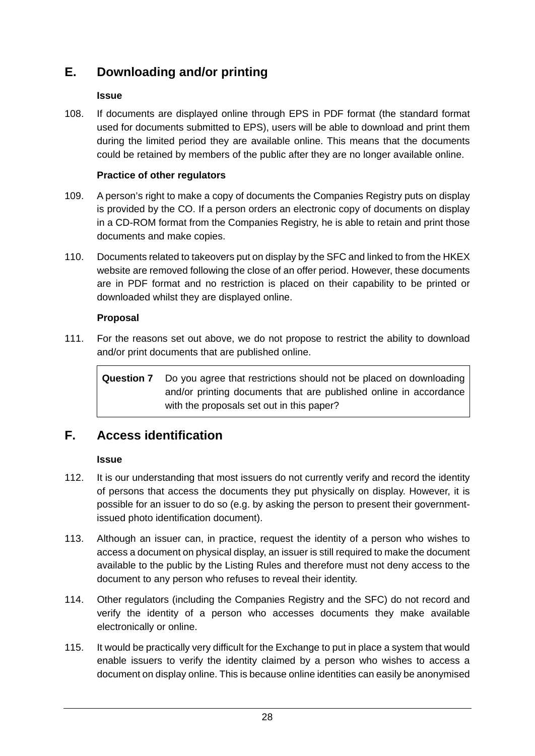# **E. Downloading and/or printing**

### **Issue**

108. If documents are displayed online through EPS in PDF format (the standard format used for documents submitted to EPS), users will be able to download and print them during the limited period they are available online. This means that the documents could be retained by members of the public after they are no longer available online.

### **Practice of other regulators**

- 109. A person's right to make a copy of documents the Companies Registry puts on display is provided by the CO. If a person orders an electronic copy of documents on display in a CD-ROM format from the Companies Registry, he is able to retain and print those documents and make copies.
- 110. Documents related to takeovers put on display by the SFC and linked to from the HKEX website are removed following the close of an offer period. However, these documents are in PDF format and no restriction is placed on their capability to be printed or downloaded whilst they are displayed online.

#### **Proposal**

111. For the reasons set out above, we do not propose to restrict the ability to download and/or print documents that are published online.

**Question 7** Do you agree that restrictions should not be placed on downloading and/or printing documents that are published online in accordance with the proposals set out in this paper?

# **F. Access identification**

### **Issue**

- 112. It is our understanding that most issuers do not currently verify and record the identity of persons that access the documents they put physically on display. However, it is possible for an issuer to do so (e.g. by asking the person to present their governmentissued photo identification document).
- 113. Although an issuer can, in practice, request the identity of a person who wishes to access a document on physical display, an issuer is still required to make the document available to the public by the Listing Rules and therefore must not deny access to the document to any person who refuses to reveal their identity.
- 114. Other regulators (including the Companies Registry and the SFC) do not record and verify the identity of a person who accesses documents they make available electronically or online.
- 115. It would be practically very difficult for the Exchange to put in place a system that would enable issuers to verify the identity claimed by a person who wishes to access a document on display online. This is because online identities can easily be anonymised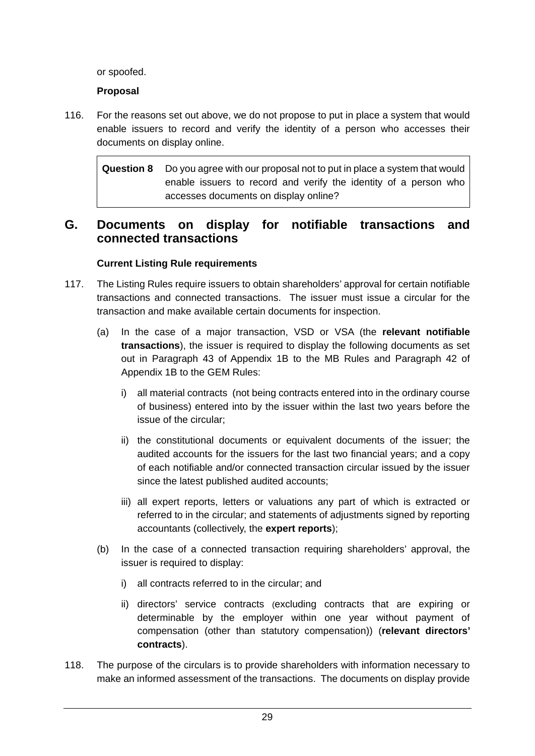or spoofed.

### **Proposal**

116. For the reasons set out above, we do not propose to put in place a system that would enable issuers to record and verify the identity of a person who accesses their documents on display online.

**Question 8** Do you agree with our proposal not to put in place a system that would enable issuers to record and verify the identity of a person who accesses documents on display online?

## **G. Documents on display for notifiable transactions and connected transactions**

### **Current Listing Rule requirements**

- 117. The Listing Rules require issuers to obtain shareholders' approval for certain notifiable transactions and connected transactions. The issuer must issue a circular for the transaction and make available certain documents for inspection.
	- (a) In the case of a major transaction, VSD or VSA (the **relevant notifiable transactions**), the issuer is required to display the following documents as set out in Paragraph 43 of Appendix 1B to the MB Rules and Paragraph 42 of Appendix 1B to the GEM Rules:
		- i) all material contracts (not being contracts entered into in the ordinary course of business) entered into by the issuer within the last two years before the issue of the circular;
		- ii) the constitutional documents or equivalent documents of the issuer; the audited accounts for the issuers for the last two financial years; and a copy of each notifiable and/or connected transaction circular issued by the issuer since the latest published audited accounts;
		- iii) all expert reports, letters or valuations any part of which is extracted or referred to in the circular; and statements of adjustments signed by reporting accountants (collectively, the **expert reports**);
	- (b) In the case of a connected transaction requiring shareholders' approval, the issuer is required to display:
		- i) all contracts referred to in the circular; and
		- ii) directors' service contracts (excluding contracts that are expiring or determinable by the employer within one year without payment of compensation (other than statutory compensation)) (**relevant directors' contracts**).
- 118. The purpose of the circulars is to provide shareholders with information necessary to make an informed assessment of the transactions. The documents on display provide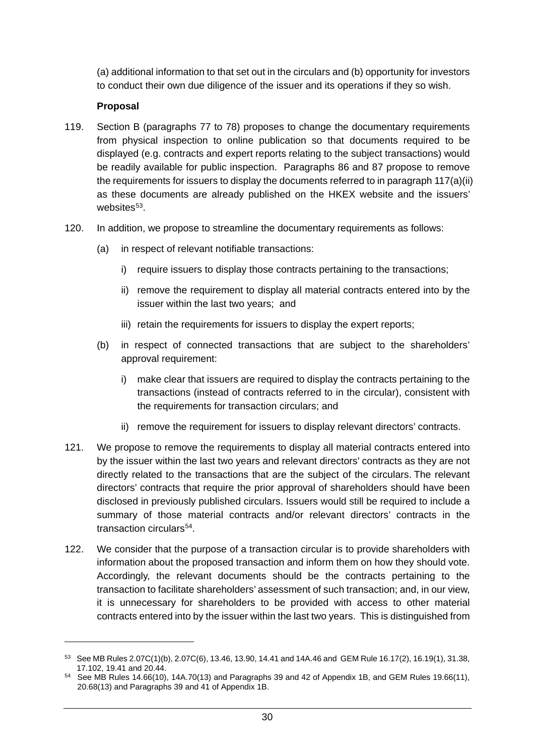(a) additional information to that set out in the circulars and (b) opportunity for investors to conduct their own due diligence of the issuer and its operations if they so wish.

#### **Proposal**

- 119. Section B (paragraphs 77 to 78) proposes to change the documentary requirements from physical inspection to online publication so that documents required to be displayed (e.g. contracts and expert reports relating to the subject transactions) would be readily available for public inspection. Paragraphs 86 and 87 propose to remove the requirements for issuers to display the documents referred to in paragraph 117(a)(ii) as these documents are already published on the HKEX website and the issuers' websites $53$ .
- 120. In addition, we propose to streamline the documentary requirements as follows:
	- (a) in respect of relevant notifiable transactions:
		- i) require issuers to display those contracts pertaining to the transactions;
		- ii) remove the requirement to display all material contracts entered into by the issuer within the last two years; and
		- iii) retain the requirements for issuers to display the expert reports;
	- (b) in respect of connected transactions that are subject to the shareholders' approval requirement:
		- i) make clear that issuers are required to display the contracts pertaining to the transactions (instead of contracts referred to in the circular), consistent with the requirements for transaction circulars; and
		- ii) remove the requirement for issuers to display relevant directors' contracts.
- 121. We propose to remove the requirements to display all material contracts entered into by the issuer within the last two years and relevant directors' contracts as they are not directly related to the transactions that are the subject of the circulars. The relevant directors' contracts that require the prior approval of shareholders should have been disclosed in previously published circulars. Issuers would still be required to include a summary of those material contracts and/or relevant directors' contracts in the transaction circulars<sup>[54](#page-32-1)</sup>.
- 122. We consider that the purpose of a transaction circular is to provide shareholders with information about the proposed transaction and inform them on how they should vote. Accordingly, the relevant documents should be the contracts pertaining to the transaction to facilitate shareholders' assessment of such transaction; and, in our view, it is unnecessary for shareholders to be provided with access to other material contracts entered into by the issuer within the last two years. This is distinguished from

<span id="page-32-0"></span><sup>53</sup> See MB Rules 2.07C(1)(b), 2.07C(6), 13.46, 13.90, 14.41 and 14A.46 and GEM Rule 16.17(2), 16.19(1), 31.38, 17.102, 19.41 and 20.44.

<span id="page-32-1"></span> $54$  See MB Rules 14.66(10), 14A.70(13) and Paragraphs 39 and 42 of Appendix 1B, and GEM Rules 19.66(11), 20.68(13) and Paragraphs 39 and 41 of Appendix 1B.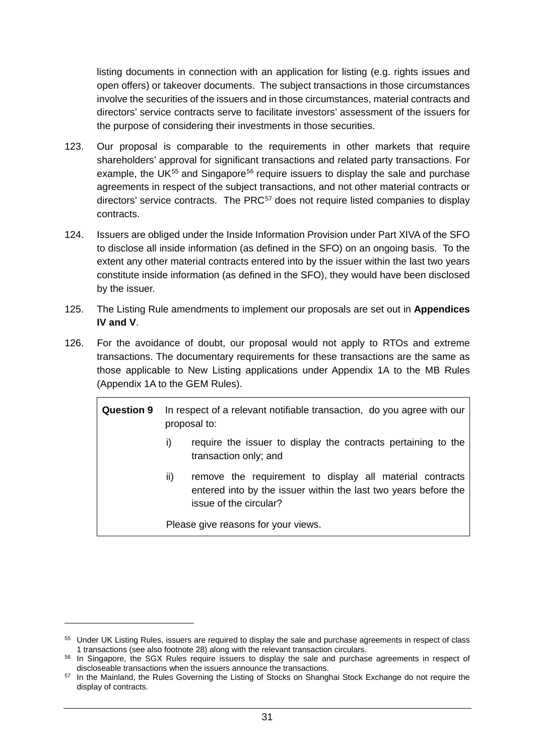listing documents in connection with an application for listing (e.g. rights issues and open offers) or takeover documents. The subject transactions in those circumstances involve the securities of the issuers and in those circumstances, material contracts and directors' service contracts serve to facilitate investors' assessment of the issuers for the purpose of considering their investments in those securities.

- 123. Our proposal is comparable to the requirements in other markets that require shareholders' approval for significant transactions and related party transactions. For example, the UK<sup>[55](#page-33-0)</sup> and Singapore<sup>[56](#page-33-1)</sup> require issuers to display the sale and purchase agreements in respect of the subject transactions, and not other material contracts or directors' service contracts. The PRC<sup>[57](#page-33-2)</sup> does not require listed companies to display contracts.
- 124. Issuers are obliged under the Inside Information Provision under Part XIVA of the SFO to disclose all inside information (as defined in the SFO) on an ongoing basis. To the extent any other material contracts entered into by the issuer within the last two years constitute inside information (as defined in the SFO), they would have been disclosed by the issuer.
- 125. The Listing Rule amendments to implement our proposals are set out in **Appendices IV and V**.
- 126. For the avoidance of doubt, our proposal would not apply to RTOs and extreme transactions. The documentary requirements for these transactions are the same as those applicable to New Listing applications under Appendix 1A to the MB Rules (Appendix 1A to the GEM Rules).

**Question 9** In respect of a relevant notifiable transaction, do you agree with our proposal to:

- i) require the issuer to display the contracts pertaining to the transaction only; and
- ii) remove the requirement to display all material contracts entered into by the issuer within the last two years before the issue of the circular?

Please give reasons for your views.

<span id="page-33-0"></span><sup>55</sup> Under UK Listing Rules, issuers are required to display the sale and purchase agreements in respect of class

<span id="page-33-1"></span><sup>1</sup> transactions (see also footnote 28) along with the relevant transaction circulars.<br><sup>56</sup> In Singapore, the SGX Rules require issuers to display the sale and purchase agreements in respect of discloseable transactions when

<span id="page-33-2"></span><sup>57</sup> In the Mainland, the Rules Governing the Listing of Stocks on Shanghai Stock Exchange do not require the display of contracts.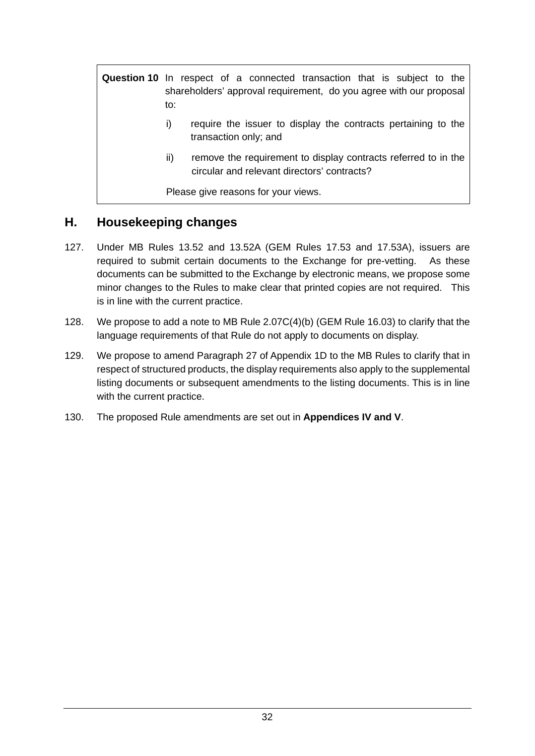**Question 10** In respect of a connected transaction that is subject to the shareholders' approval requirement, do you agree with our proposal to:

- i) require the issuer to display the contracts pertaining to the transaction only; and
- ii) remove the requirement to display contracts referred to in the circular and relevant directors' contracts?

Please give reasons for your views.

## **H. Housekeeping changes**

- 127. Under MB Rules 13.52 and 13.52A (GEM Rules 17.53 and 17.53A), issuers are required to submit certain documents to the Exchange for pre-vetting. As these documents can be submitted to the Exchange by electronic means, we propose some minor changes to the Rules to make clear that printed copies are not required. This is in line with the current practice.
- 128. We propose to add a note to MB Rule 2.07C(4)(b) (GEM Rule 16.03) to clarify that the language requirements of that Rule do not apply to documents on display.
- 129. We propose to amend Paragraph 27 of Appendix 1D to the MB Rules to clarify that in respect of structured products, the display requirements also apply to the supplemental listing documents or subsequent amendments to the listing documents. This is in line with the current practice.
- 130. The proposed Rule amendments are set out in **Appendices IV and V**.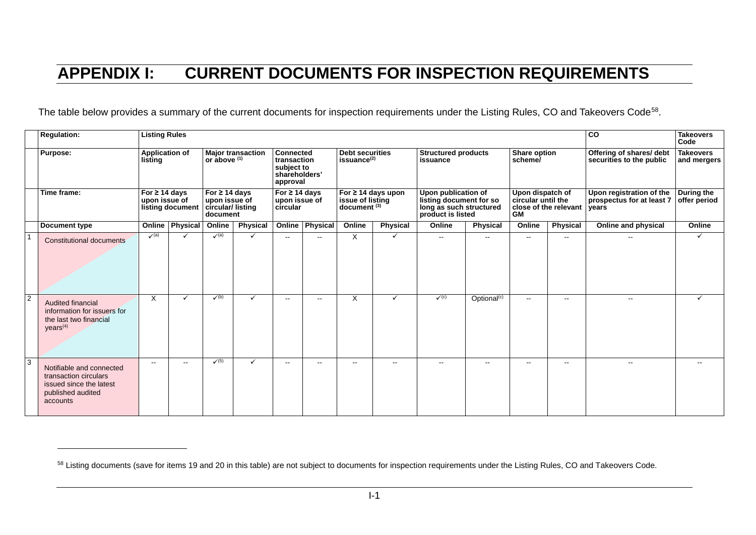# <span id="page-35-0"></span>**APPENDIX I: CURRENT DOCUMENTS FOR INSPECTION REQUIREMENTS**

The table below provides a summary of the current documents for inspection requirements under the Listing Rules, CO and Takeovers Code<sup>[58](#page-35-0)</sup>.

|                | <b>Regulation:</b>                                                                                            | <b>Listing Rules</b>                                                                        |                 |                                                                                                                                           |                 |                                                                                                                               |                          |                                                                                                                             |                 |                                                                                                                                          |                         | co                                                                                                      | <b>Takeovers</b><br>Code |                                                                                                                        |                                                               |
|----------------|---------------------------------------------------------------------------------------------------------------|---------------------------------------------------------------------------------------------|-----------------|-------------------------------------------------------------------------------------------------------------------------------------------|-----------------|-------------------------------------------------------------------------------------------------------------------------------|--------------------------|-----------------------------------------------------------------------------------------------------------------------------|-----------------|------------------------------------------------------------------------------------------------------------------------------------------|-------------------------|---------------------------------------------------------------------------------------------------------|--------------------------|------------------------------------------------------------------------------------------------------------------------|---------------------------------------------------------------|
|                | <b>Purpose:</b>                                                                                               | <b>Application of</b><br>listing<br>For $\geq$ 14 days<br>upon issue of<br>listing document |                 | <b>Major transaction</b><br>or $above$ <sup><math>(1)</math></sup><br>For $\geq$ 14 days<br>upon issue of<br>circular/listing<br>document |                 | <b>Connected</b><br>transaction<br>subject to<br>shareholders'<br>approval<br>For $\geq$ 14 days<br>upon issue of<br>circular |                          | <b>Debt securities</b><br>issuance <sup>(2)</sup><br>For $\geq$ 14 days upon<br>issue of listing<br>document <sup>(3)</sup> |                 | <b>Structured products</b><br>issuance<br>Upon publication of<br>listing document for so<br>long as such structured<br>product is listed |                         | Share option<br>scheme/<br>Upon dispatch of<br>circular until the<br>close of the relevant<br><b>GM</b> |                          | Offering of shares/ debt<br>securities to the public<br>Upon registration of the<br>prospectus for at least 7<br>years | <b>Takeovers</b><br>and mergers<br>During the<br>offer period |
|                | Time frame:                                                                                                   |                                                                                             |                 |                                                                                                                                           |                 |                                                                                                                               |                          |                                                                                                                             |                 |                                                                                                                                          |                         |                                                                                                         |                          |                                                                                                                        |                                                               |
|                | <b>Document type</b>                                                                                          |                                                                                             | Online Physical | Online                                                                                                                                    | <b>Physical</b> |                                                                                                                               | <b>Online Physical</b>   | Online                                                                                                                      | <b>Physical</b> | Online                                                                                                                                   | <b>Physical</b>         | Online                                                                                                  | <b>Physical</b>          | Online and physical                                                                                                    | Online                                                        |
|                | Constitutional documents                                                                                      | $\checkmark$ (a)                                                                            |                 | $\sqrt{a}$                                                                                                                                | $\checkmark$    | $\mathbf{u}$                                                                                                                  | $\overline{\phantom{a}}$ | X                                                                                                                           | $\checkmark$    | $\sim$                                                                                                                                   | $\mathbf{u}$            | $\sim$ $\sim$                                                                                           | $\overline{\phantom{a}}$ |                                                                                                                        | ✓                                                             |
| $\overline{2}$ | Audited financial<br>information for issuers for<br>the last two financial<br>years <sup>(4)</sup>            | X                                                                                           | $\checkmark$    | $\checkmark$ (b)                                                                                                                          | $\checkmark$    | $- -$                                                                                                                         | $\overline{\phantom{a}}$ | X                                                                                                                           | ✓               | $\checkmark$ (c)                                                                                                                         | Optional <sup>(c)</sup> | $\mathbf{u}$                                                                                            | $\mathbf{u}$             | $\overline{\phantom{a}}$                                                                                               | ✓                                                             |
| 3              | Notifiable and connected<br>transaction circulars<br>issued since the latest<br>published audited<br>accounts | $\sim$                                                                                      | $\sim$ $\sim$   | $\sqrt{(5)}$                                                                                                                              | ✓               | $\sim$ $\sim$                                                                                                                 | $\sim$ $\sim$            | $\sim$ $\sim$                                                                                                               | $\sim$          | $\sim$                                                                                                                                   | $\sim$ $\sim$           | $\sim$ $\sim$                                                                                           | $\overline{\phantom{a}}$ | $\overline{\phantom{a}}$                                                                                               | $- -$                                                         |

 $\overline{a}$ 

<sup>58</sup> Listing documents (save for items 19 and 20 in this table) are not subject to documents for inspection requirements under the Listing Rules, CO and Takeovers Code.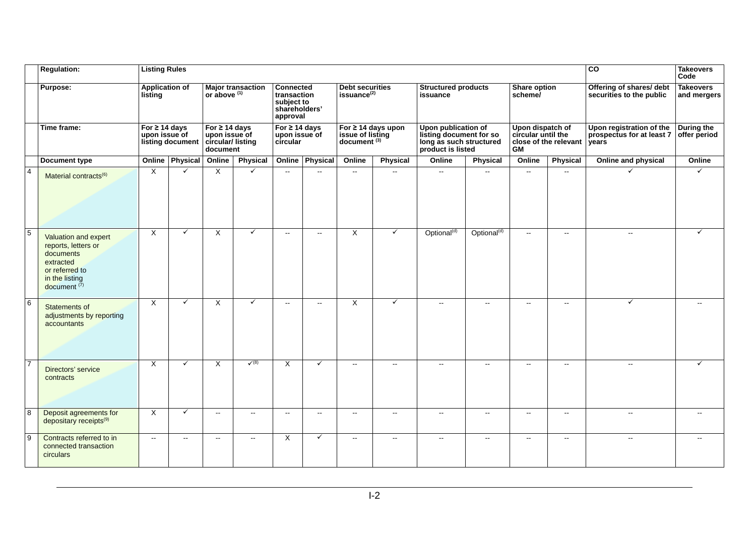|                | <b>Regulation:</b>                                                                                                          | <b>Listing Rules</b>                                    |                 |                                                                     |                          |                                                                            |                          |                                                                        |                          |                                                                                                |                           |                                                                              |                          | $\overline{c}$                                                 | <b>Takeovers</b><br>Code        |
|----------------|-----------------------------------------------------------------------------------------------------------------------------|---------------------------------------------------------|-----------------|---------------------------------------------------------------------|--------------------------|----------------------------------------------------------------------------|--------------------------|------------------------------------------------------------------------|--------------------------|------------------------------------------------------------------------------------------------|---------------------------|------------------------------------------------------------------------------|--------------------------|----------------------------------------------------------------|---------------------------------|
|                | Purpose:                                                                                                                    | <b>Application of</b><br>listing                        |                 | or above (1)                                                        | <b>Major transaction</b> | <b>Connected</b><br>transaction<br>subject to<br>shareholders'<br>approval |                          | <b>Debt securities</b><br>issuance <sup>(2)</sup>                      |                          | <b>Structured products</b><br>issuance                                                         |                           | Share option<br>scheme/                                                      |                          | Offering of shares/ debt<br>securities to the public           | <b>Takeovers</b><br>and mergers |
| Time frame:    |                                                                                                                             | For $\geq$ 14 days<br>upon issue of<br>listing document |                 | For $\geq$ 14 days<br>upon issue of<br>circular/listing<br>document |                          | For $\geq$ 14 days<br>upon issue of<br>circular                            |                          | For $\geq$ 14 days upon<br>issue of listing<br>document <sup>(3)</sup> |                          | Upon publication of<br>listing document for so<br>long as such structured<br>product is listed |                           | Upon dispatch of<br>circular until the<br>close of the relevant<br><b>GM</b> |                          | Upon registration of the<br>prospectus for at least 7<br>vears | During the<br>offer period      |
|                | <b>Document type</b>                                                                                                        |                                                         | Online Physical | Online                                                              | <b>Physical</b>          |                                                                            | <b>Online Physical</b>   | Online                                                                 | Physical                 | Online                                                                                         | <b>Physical</b>           | Online                                                                       | Physical                 | Online and physical                                            | Online                          |
| $\overline{4}$ | Material contracts <sup>(6)</sup>                                                                                           | $\times$                                                | $\checkmark$    | $\times$                                                            | $\checkmark$             | $\mathbf{u}$                                                               | $\overline{a}$           | $\overline{\phantom{a}}$                                               | $\overline{\phantom{a}}$ | $\overline{\phantom{a}}$                                                                       | $\mathbf{L}$              | $\sim$ $\sim$                                                                | $\overline{\phantom{a}}$ | $\checkmark$                                                   | $\checkmark$                    |
| $\overline{5}$ | Valuation and expert<br>reports, letters or<br>documents<br>extracted<br>or referred to<br>in the listing<br>document $(7)$ | $\overline{X}$                                          | $\checkmark$    | $\overline{X}$                                                      | $\checkmark$             | $\mathbf{u}$                                                               | $\overline{\phantom{a}}$ | $\overline{X}$                                                         | $\checkmark$             | Optional <sup>(d)</sup>                                                                        | Optional <sup>(d)</sup>   | $\sim$ $\sim$                                                                | $\mathbf{u}$             | $\sim$                                                         |                                 |
| 6              | Statements of<br>adjustments by reporting<br>accountants                                                                    | $\times$                                                | $\checkmark$    | $\times$                                                            | $\checkmark$             | $\sim$                                                                     | $\sim$                   | $\overline{X}$                                                         | $\checkmark$             | $\sim$                                                                                         | $\mathbb{L}^{\mathbb{L}}$ | $\sim$                                                                       | $\mathbf{u}$             | $\checkmark$                                                   |                                 |
| $\overline{7}$ | Directors' service<br>contracts                                                                                             | $\times$                                                | $\checkmark$    | $\times$                                                            | $\sqrt{8}$               | X                                                                          | $\checkmark$             | $\overline{\phantom{a}}$                                               | $\overline{a}$           |                                                                                                | $\mathbf{L}$              | $\overline{a}$                                                               | $\overline{\phantom{a}}$ | $\sim$                                                         | ✓                               |
| $\overline{8}$ | Deposit agreements for<br>depositary receipts <sup>(9)</sup>                                                                | $\times$                                                | $\checkmark$    | $\sim$                                                              | $\sim$ $\sim$            | $\mathbf{L}$                                                               | $\overline{a}$           | $\sim$                                                                 | $\overline{\phantom{a}}$ | $\sim$                                                                                         | $\mathbf{u}$              | $\mathbf{u}$                                                                 | $\overline{\phantom{a}}$ |                                                                |                                 |
| $\overline{9}$ | Contracts referred to in<br>connected transaction<br>circulars                                                              | $\overline{\phantom{a}}$                                | $\mathbf{u}$    | $\sim$                                                              | $\sim$ $\sim$            | X                                                                          | $\checkmark$             | $\sim$                                                                 | $\overline{a}$           | $\overline{\phantom{a}}$                                                                       | $\overline{\phantom{a}}$  | $\mathbf{u}$                                                                 | $\sim$                   | $\mathbf{u}$                                                   | $\sim$                          |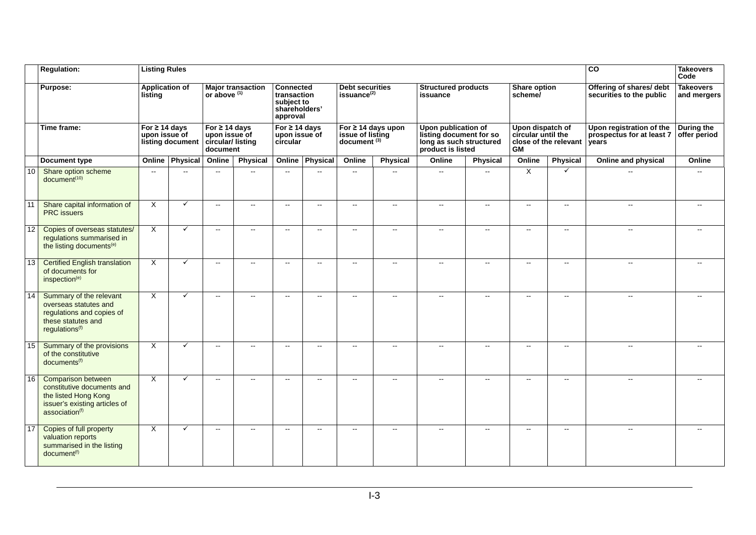|             | <b>Regulation:</b>                                                                                                                             | <b>Listing Rules</b>                                    |                          |                                                                     |                          |                                                                            |                          |                                                                        |                           |                                                                                                |                             |                                                                              |                          | $\overline{c}$                                                 | <b>Takeovers</b><br>Code        |
|-------------|------------------------------------------------------------------------------------------------------------------------------------------------|---------------------------------------------------------|--------------------------|---------------------------------------------------------------------|--------------------------|----------------------------------------------------------------------------|--------------------------|------------------------------------------------------------------------|---------------------------|------------------------------------------------------------------------------------------------|-----------------------------|------------------------------------------------------------------------------|--------------------------|----------------------------------------------------------------|---------------------------------|
|             | <b>Purpose:</b>                                                                                                                                |                                                         | <b>Application of</b>    | or above $(1)$                                                      | <b>Major transaction</b> | <b>Connected</b><br>transaction<br>subject to<br>shareholders'<br>approval |                          | <b>Debt securities</b><br>issuance <sup>(2)</sup>                      |                           | <b>Structured products</b><br>issuance                                                         |                             | Share option<br>scheme/                                                      |                          | Offering of shares/ debt<br>securities to the public           | <b>Takeovers</b><br>and mergers |
| Time frame: |                                                                                                                                                | For $\geq$ 14 days<br>upon issue of<br>listing document |                          | For $\geq$ 14 days<br>upon issue of<br>circular/listing<br>document |                          | For $\geq 14$ days<br>upon issue of<br>circular                            |                          | For $\geq$ 14 days upon<br>issue of listing<br>document <sup>(3)</sup> |                           | Upon publication of<br>listing document for so<br>long as such structured<br>product is listed |                             | Upon dispatch of<br>circular until the<br>close of the relevant<br><b>GM</b> |                          | Upon registration of the<br>prospectus for at least 7<br>years | During the<br>offer period      |
|             | Document type                                                                                                                                  | Online                                                  | Physical                 | Online                                                              | <b>Physical</b>          | Online                                                                     | Physical                 | Online                                                                 | Physical                  | Online                                                                                         | <b>Physical</b>             | Online                                                                       | Physical                 | Online and physical                                            | Online                          |
| 10          | Share option scheme<br>document <sup>(10)</sup>                                                                                                | $\sim$                                                  | $\overline{\phantom{a}}$ | $\sim$                                                              | $\sim$                   | $\sim$                                                                     | $\overline{\phantom{a}}$ | $\sim$                                                                 | $\overline{\phantom{a}}$  | $\overline{\phantom{a}}$                                                                       | --                          | X                                                                            | $\checkmark$             |                                                                | $\overline{\phantom{a}}$        |
| 11          | Share capital information of<br><b>PRC</b> issuers                                                                                             | $\overline{\mathsf{x}}$                                 | $\checkmark$             | $\sim$                                                              | $\sim$ $\sim$            | $\mathbf{u}$                                                               | $\overline{\phantom{a}}$ | $\overline{\phantom{a}}$                                               | $\overline{\phantom{a}}$  | $\overline{a}$                                                                                 | $\sim$                      | $\sim$                                                                       | $\mathbf{u}$             | $\sim$                                                         |                                 |
| 12          | Copies of overseas statutes/<br>regulations summarised in<br>the listing documents <sup>(e)</sup>                                              | X                                                       | $\checkmark$             | $\sim$                                                              | $\sim$ $\sim$            | $\mathbf{u}$                                                               | $\overline{a}$           | $\mathbf{u}$                                                           | $\mathbf{L}$              | $\sim$                                                                                         | $\overline{a}$              | $\sim$                                                                       | $\mathbf{u}$             |                                                                |                                 |
| 13          | <b>Certified English translation</b><br>of documents for<br>inspection <sup>(e)</sup>                                                          | $\overline{X}$                                          | ✓                        | $\sim$                                                              | $\sim$                   | $\mathbf{u}$                                                               | $\overline{\phantom{a}}$ | $\mathbb{H}^{\mathbb{Z}}$                                              | $\overline{\phantom{a}}$  | $\overline{a}$                                                                                 | $\mathcal{L}_{\mathcal{L}}$ | $\mathbb{H}^{\mathbb{Z}}$                                                    | н.                       |                                                                |                                 |
| 14          | Summary of the relevant<br>overseas statutes and<br>regulations and copies of<br>these statutes and<br>regulations <sup>(f)</sup>              | $\mathsf{X}$                                            | ✓                        | $\sim$                                                              | $\sim$                   | $\mathbf{u}$                                                               | $\overline{\phantom{a}}$ | $\mathbb{H}^{\mathbb{Z}}$                                              | $\mathbb{H}^{\mathbb{Z}}$ | $\overline{a}$                                                                                 | $\mathcal{L}_{\mathcal{L}}$ | $\mathbb{H}^{\mathbb{Z}}$                                                    | ш.                       | $-$                                                            |                                 |
| 15          | Summary of the provisions<br>of the constitutive<br>documents <sup>(f)</sup>                                                                   | $\overline{X}$                                          | $\checkmark$             | $\sim$                                                              | $\sim$                   | $\sim$                                                                     | $\overline{\phantom{a}}$ | $\overline{\phantom{a}}$                                               | $\sim$                    | $\sim$                                                                                         | $\overline{a}$              | $\sim$                                                                       | $\overline{a}$           |                                                                |                                 |
| 16          | <b>Comparison between</b><br>constitutive documents and<br>the listed Hong Kong<br>issuer's existing articles of<br>association <sup>(f)</sup> | $\times$                                                | $\checkmark$             | $\sim$                                                              | $\sim$                   | $\mathbf{u}$                                                               | $\overline{\phantom{a}}$ | $\sim$ $\sim$                                                          | $\sim$                    |                                                                                                | $\overline{a}$              | $\sim$ $\sim$                                                                | $\overline{a}$           |                                                                |                                 |
| 17          | Copies of full property<br>valuation reports<br>summarised in the listing<br>document <sup>(f)</sup>                                           | $\times$                                                | ✓                        | $\sim$                                                              | $\sim$                   | $\mathbf{u}$                                                               | $\overline{\phantom{a}}$ | $\overline{\phantom{a}}$                                               | $\mathbf{u}$              | $\overline{\phantom{a}}$                                                                       | $\mathbf{u}$                | $\mathbf{u}$                                                                 | $\overline{\phantom{a}}$ | $\overline{\phantom{a}}$                                       |                                 |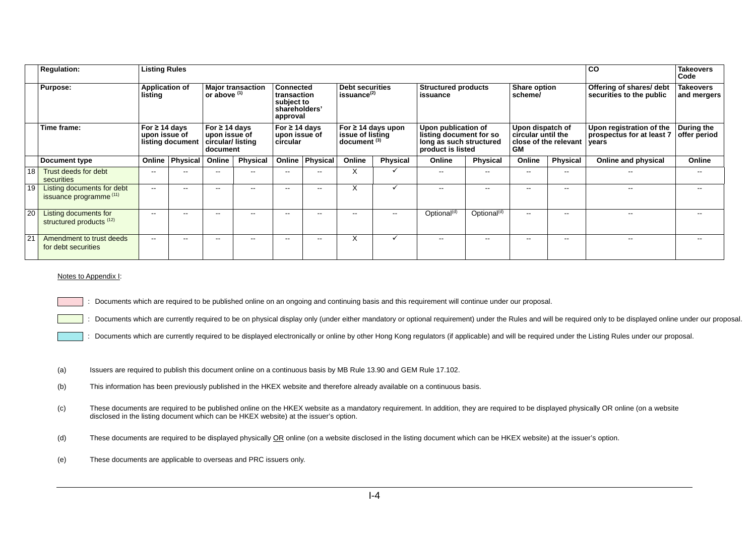|    | <b>Listing Rules</b><br><b>Regulation:</b>                   |                                                                                             |                 |                                                                                                                   |                 |                                                                                                                        |                 |                                                                                                                      |                 |                                                                                                                                          |                         | CO                                                                                                      | <b>Takeovers</b><br>Code |                                                                |                                                               |
|----|--------------------------------------------------------------|---------------------------------------------------------------------------------------------|-----------------|-------------------------------------------------------------------------------------------------------------------|-----------------|------------------------------------------------------------------------------------------------------------------------|-----------------|----------------------------------------------------------------------------------------------------------------------|-----------------|------------------------------------------------------------------------------------------------------------------------------------------|-------------------------|---------------------------------------------------------------------------------------------------------|--------------------------|----------------------------------------------------------------|---------------------------------------------------------------|
|    | Purpose:                                                     | <b>Application of</b><br>listing<br>For $\geq$ 14 days<br>upon issue of<br>listing document |                 | <b>Major transaction</b><br>or above $(1)$<br>For $\geq$ 14 days<br>upon issue of<br>circular/listing<br>document |                 | Connected<br>transaction<br>subject to<br>shareholders'<br>approval<br>For $\geq$ 14 days<br>upon issue of<br>circular |                 | <b>Debt securities</b><br>issuance <sup>(2)</sup><br>For $\geq$ 14 days upon<br>issue of listing<br>$document^{(3)}$ |                 | <b>Structured products</b><br>issuance<br>Upon publication of<br>listing document for so<br>long as such structured<br>product is listed |                         | Share option<br>scheme/<br>Upon dispatch of<br>circular until the<br>close of the relevant<br><b>GM</b> |                          | Offering of shares/ debt<br>securities to the public           | <b>Takeovers</b><br>and mergers<br>During the<br>offer period |
|    | Time frame:                                                  |                                                                                             |                 |                                                                                                                   |                 |                                                                                                                        |                 |                                                                                                                      |                 |                                                                                                                                          |                         |                                                                                                         |                          | Upon registration of the<br>prospectus for at least 7<br>years |                                                               |
|    | Document type                                                | Online                                                                                      | <b>Physical</b> | Online                                                                                                            | <b>Physical</b> |                                                                                                                        | Online Physical | Online                                                                                                               | <b>Physical</b> | Online                                                                                                                                   | <b>Physical</b>         | Online                                                                                                  | <b>Physical</b>          | Online and physical                                            | Online                                                        |
| 18 | Trust deeds for debt<br>securities                           | --                                                                                          |                 |                                                                                                                   |                 | --                                                                                                                     |                 | х                                                                                                                    |                 |                                                                                                                                          | $\sim$ $\sim$           | --                                                                                                      | $\overline{\phantom{m}}$ | --                                                             |                                                               |
| 19 | <b>Listing documents for debt</b><br>issuance programme (11) | $\sim$ $\sim$                                                                               | --              |                                                                                                                   | --              | $\sim$ $\sim$                                                                                                          | --              | X                                                                                                                    |                 | ٠.                                                                                                                                       | $\sim$ $\sim$           | --                                                                                                      | $\sim$ $\sim$            | --                                                             |                                                               |
| 20 | Listing documents for<br>structured products (12)            | $- -$                                                                                       | --              | $\overline{\phantom{a}}$                                                                                          | $- -$           | $\sim$ $\sim$                                                                                                          | --              | $\sim$ $\sim$                                                                                                        | $\sim$ $\sim$   | Optional <sup>(d)</sup>                                                                                                                  | Optional <sup>(d)</sup> | $\overline{\phantom{a}}$                                                                                | $\sim$ $\sim$            | --                                                             |                                                               |
| 21 | Amendment to trust deeds<br>for debt securities              | $\sim$ $\sim$                                                                               | --              |                                                                                                                   | --              | $\sim$ $\sim$                                                                                                          | $\sim$ $\sim$   | X                                                                                                                    |                 |                                                                                                                                          | $\sim$ $\sim$           | --                                                                                                      | $\sim$ $\sim$            |                                                                |                                                               |

#### Notes to Appendix I:

: Documents which are required to be published online on an ongoing and continuing basis and this requirement will continue under our proposal.

Documents which are currently required to be on physical display only (under either mandatory or optional requirement) under the Rules and will be required only to be displayed online under our proposal.

- : Documents which are currently required to be displayed electronically or online by other Hong Kong regulators (if applicable) and will be required under the Listing Rules under our proposal.
- (a) Issuers are required to publish this document online on a continuous basis by MB Rule 13.90 and GEM Rule 17.102.
- (b) This information has been previously published in the HKEX website and therefore already available on a continuous basis.
- (c) These documents are required to be published online on the HKEX website as a mandatory requirement. In addition, they are required to be displayed physically OR online (on a website disclosed in the listing document which can be HKEX website) at the issuer's option.
- (d) These documents are required to be displayed physically OR online (on a website disclosed in the listing document which can be HKEX website) at the issuer's option.
- (e) These documents are applicable to overseas and PRC issuers only.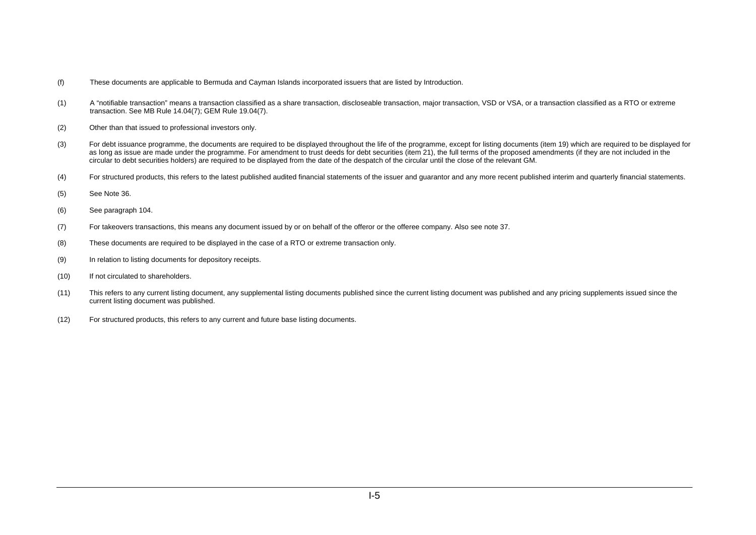- (f) These documents are applicable to Bermuda and Cayman Islands incorporated issuers that are listed by Introduction.
- (1) A "notifiable transaction" means a transaction classified as a share transaction, discloseable transaction, major transaction, VSD or VSA, or a transaction classified as a RTO or extreme transaction. See MB Rule 14.04(7); GEM Rule 19.04(7).
- (2) Other than that issued to professional investors only.
- (3) For debt issuance programme, the documents are required to be displayed throughout the life of the programme, except for listing documents (item 19) which are required to be displayed for as long as issue are made under the programme. For amendment to trust deeds for debt securities (item 21), the full terms of the proposed amendments (if they are not included in the circular to debt securities holders) are required to be displayed from the date of the despatch of the circular until the close of the relevant GM.
- (4) For structured products, this refers to the latest published audited financial statements of the issuer and guarantor and any more recent published interim and quarterly financial statements.
- (5) See Note 36.
- (6) See paragraph 104.
- (7) For takeovers transactions, this means any document issued by or on behalf of the offeror or the offeree company. Also see note 37.
- (8) These documents are required to be displayed in the case of a RTO or extreme transaction only.
- (9) In relation to listing documents for depository receipts.
- (10) If not circulated to shareholders.
- (11) This refers to any current listing document, any supplemental listing documents published since the current listing document was published and any pricing supplements issued since the current listing document was published.
- (12) For structured products, this refers to any current and future base listing documents.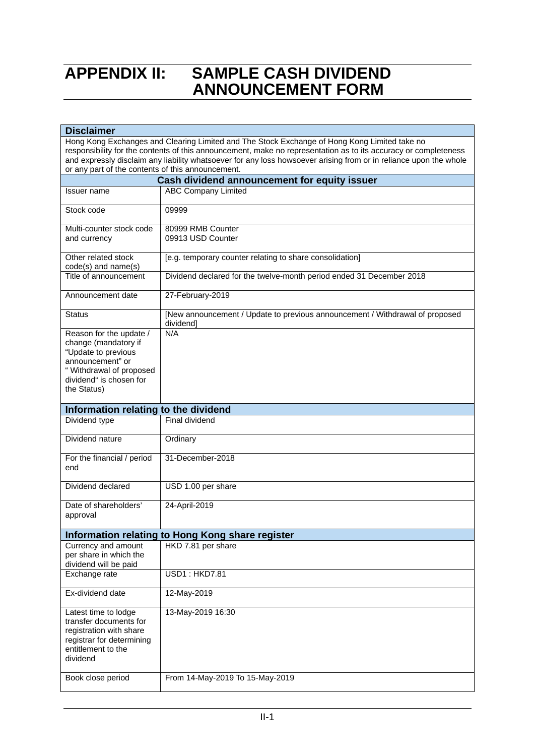## **APPENDIX II: SAMPLE CASH DIVIDEND ANNOUNCEMENT FORM**

| <b>Disclaimer</b>                                                                                                                                                                                                                                                                                                                                                                         |                                                                                           |  |  |  |  |  |  |
|-------------------------------------------------------------------------------------------------------------------------------------------------------------------------------------------------------------------------------------------------------------------------------------------------------------------------------------------------------------------------------------------|-------------------------------------------------------------------------------------------|--|--|--|--|--|--|
| Hong Kong Exchanges and Clearing Limited and The Stock Exchange of Hong Kong Limited take no<br>responsibility for the contents of this announcement, make no representation as to its accuracy or completeness<br>and expressly disclaim any liability whatsoever for any loss howsoever arising from or in reliance upon the whole<br>or any part of the contents of this announcement. |                                                                                           |  |  |  |  |  |  |
|                                                                                                                                                                                                                                                                                                                                                                                           |                                                                                           |  |  |  |  |  |  |
| Issuer name                                                                                                                                                                                                                                                                                                                                                                               | Cash dividend announcement for equity issuer<br><b>ABC Company Limited</b>                |  |  |  |  |  |  |
|                                                                                                                                                                                                                                                                                                                                                                                           |                                                                                           |  |  |  |  |  |  |
| Stock code                                                                                                                                                                                                                                                                                                                                                                                | 09999                                                                                     |  |  |  |  |  |  |
| Multi-counter stock code                                                                                                                                                                                                                                                                                                                                                                  | 80999 RMB Counter                                                                         |  |  |  |  |  |  |
| and currency                                                                                                                                                                                                                                                                                                                                                                              | 09913 USD Counter                                                                         |  |  |  |  |  |  |
| Other related stock<br>$code(s)$ and name $(s)$                                                                                                                                                                                                                                                                                                                                           | [e.g. temporary counter relating to share consolidation]                                  |  |  |  |  |  |  |
| Title of announcement                                                                                                                                                                                                                                                                                                                                                                     | Dividend declared for the twelve-month period ended 31 December 2018                      |  |  |  |  |  |  |
| Announcement date                                                                                                                                                                                                                                                                                                                                                                         | 27-February-2019                                                                          |  |  |  |  |  |  |
| <b>Status</b>                                                                                                                                                                                                                                                                                                                                                                             | [New announcement / Update to previous announcement / Withdrawal of proposed<br>dividend] |  |  |  |  |  |  |
| Reason for the update /<br>change (mandatory if<br>"Update to previous<br>announcement" or<br>" Withdrawal of proposed<br>dividend" is chosen for<br>the Status)                                                                                                                                                                                                                          | N/A                                                                                       |  |  |  |  |  |  |
| Information relating to the dividend                                                                                                                                                                                                                                                                                                                                                      |                                                                                           |  |  |  |  |  |  |
| Dividend type                                                                                                                                                                                                                                                                                                                                                                             | Final dividend                                                                            |  |  |  |  |  |  |
| Dividend nature                                                                                                                                                                                                                                                                                                                                                                           | Ordinary                                                                                  |  |  |  |  |  |  |
| For the financial / period<br>end                                                                                                                                                                                                                                                                                                                                                         | 31-December-2018                                                                          |  |  |  |  |  |  |
| Dividend declared                                                                                                                                                                                                                                                                                                                                                                         | USD 1.00 per share                                                                        |  |  |  |  |  |  |
| Date of shareholders'<br>approval                                                                                                                                                                                                                                                                                                                                                         | 24-April-2019                                                                             |  |  |  |  |  |  |
|                                                                                                                                                                                                                                                                                                                                                                                           | Information relating to Hong Kong share register                                          |  |  |  |  |  |  |
| Currency and amount<br>per share in which the<br>dividend will be paid                                                                                                                                                                                                                                                                                                                    | HKD 7.81 per share                                                                        |  |  |  |  |  |  |
| Exchange rate                                                                                                                                                                                                                                                                                                                                                                             | <b>USD1: HKD7.81</b>                                                                      |  |  |  |  |  |  |
| Ex-dividend date                                                                                                                                                                                                                                                                                                                                                                          | 12-May-2019                                                                               |  |  |  |  |  |  |
| Latest time to lodge<br>transfer documents for<br>registration with share<br>registrar for determining<br>entitlement to the<br>dividend                                                                                                                                                                                                                                                  | 13-May-2019 16:30                                                                         |  |  |  |  |  |  |
| Book close period                                                                                                                                                                                                                                                                                                                                                                         | From 14-May-2019 To 15-May-2019                                                           |  |  |  |  |  |  |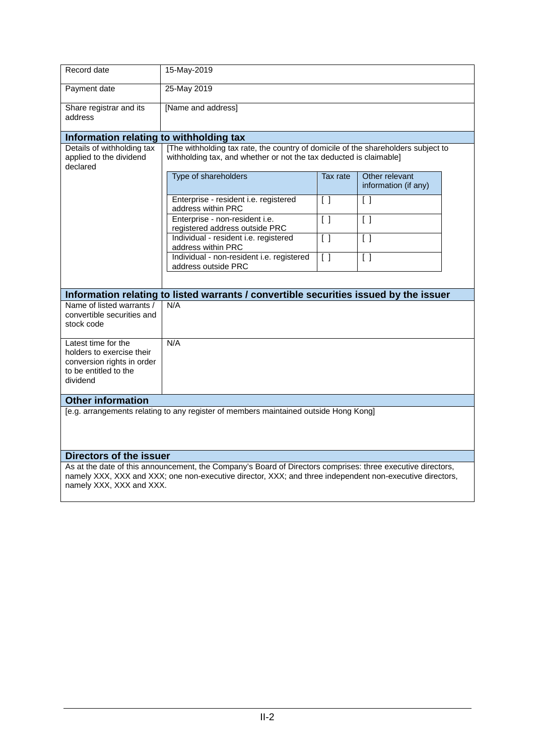| Record date                                                                                                         | 15-May-2019                                                                                                                                                                                                            |                                   |                                        |  |  |  |  |  |
|---------------------------------------------------------------------------------------------------------------------|------------------------------------------------------------------------------------------------------------------------------------------------------------------------------------------------------------------------|-----------------------------------|----------------------------------------|--|--|--|--|--|
| Payment date                                                                                                        | 25-May 2019                                                                                                                                                                                                            |                                   |                                        |  |  |  |  |  |
| Share registrar and its<br>address                                                                                  | [Name and address]                                                                                                                                                                                                     |                                   |                                        |  |  |  |  |  |
| Information relating to withholding tax                                                                             |                                                                                                                                                                                                                        |                                   |                                        |  |  |  |  |  |
| Details of withholding tax<br>applied to the dividend<br>declared                                                   | [The withholding tax rate, the country of domicile of the shareholders subject to<br>withholding tax, and whether or not the tax deducted is claimable]                                                                |                                   |                                        |  |  |  |  |  |
|                                                                                                                     | Type of shareholders                                                                                                                                                                                                   | Tax rate                          | Other relevant<br>information (if any) |  |  |  |  |  |
|                                                                                                                     | Enterprise - resident i.e. registered<br>address within PRC                                                                                                                                                            | $\begin{bmatrix} \end{bmatrix}$   | $\left[ \quad \right]$                 |  |  |  |  |  |
|                                                                                                                     | Enterprise - non-resident i.e.<br>registered address outside PRC                                                                                                                                                       | $\begin{bmatrix} 1 \end{bmatrix}$ | $\begin{bmatrix} 1 \end{bmatrix}$      |  |  |  |  |  |
|                                                                                                                     | Individual - resident i.e. registered<br>address within PRC                                                                                                                                                            | $\begin{bmatrix} \end{bmatrix}$   | $\begin{bmatrix} 1 \end{bmatrix}$      |  |  |  |  |  |
|                                                                                                                     | Individual - non-resident i.e. registered<br>address outside PRC                                                                                                                                                       | $\begin{bmatrix} \end{bmatrix}$   | $\lceil$ $\rceil$                      |  |  |  |  |  |
|                                                                                                                     |                                                                                                                                                                                                                        |                                   |                                        |  |  |  |  |  |
|                                                                                                                     | Information relating to listed warrants / convertible securities issued by the issuer                                                                                                                                  |                                   |                                        |  |  |  |  |  |
| Name of listed warrants /<br>convertible securities and<br>stock code                                               | N/A                                                                                                                                                                                                                    |                                   |                                        |  |  |  |  |  |
| Latest time for the<br>holders to exercise their<br>conversion rights in order<br>to be entitled to the<br>dividend | N/A                                                                                                                                                                                                                    |                                   |                                        |  |  |  |  |  |
| <b>Other information</b>                                                                                            |                                                                                                                                                                                                                        |                                   |                                        |  |  |  |  |  |
|                                                                                                                     | [e.g. arrangements relating to any register of members maintained outside Hong Kong]                                                                                                                                   |                                   |                                        |  |  |  |  |  |
| Directors of the issuer                                                                                             |                                                                                                                                                                                                                        |                                   |                                        |  |  |  |  |  |
|                                                                                                                     | As at the date of this announcement, the Company's Board of Directors comprises: three executive directors,<br>nomaly VVV, VVV and VVV; and non avacutive director, VVV; and three independent non avacutive directors |                                   |                                        |  |  |  |  |  |

namely XXX, XXX and XXX; one non-executive director, XXX; and three independent non-executive directors, namely XXX, XXX and XXX.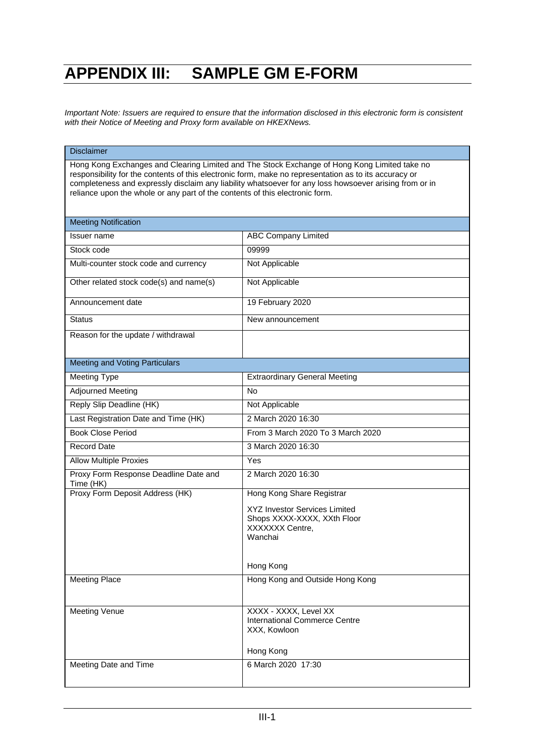# **APPENDIX III: SAMPLE GM E-FORM**

*Important Note: Issuers are required to ensure that the information disclosed in this electronic form is consistent with their Notice of Meeting and Proxy form available on HKEXNews.* 

#### **Disclaimer**

Hong Kong Exchanges and Clearing Limited and The Stock Exchange of Hong Kong Limited take no responsibility for the contents of this electronic form, make no representation as to its accuracy or completeness and expressly disclaim any liability whatsoever for any loss howsoever arising from or in reliance upon the whole or any part of the contents of this electronic form.

| <b>Meeting Notification</b>                        |                                                       |
|----------------------------------------------------|-------------------------------------------------------|
| <b>Issuer</b> name                                 | <b>ABC Company Limited</b>                            |
| Stock code                                         | 09999                                                 |
| Multi-counter stock code and currency              | Not Applicable                                        |
| Other related stock code(s) and name(s)            | Not Applicable                                        |
| Announcement date                                  | 19 February 2020                                      |
| <b>Status</b>                                      | New announcement                                      |
| Reason for the update / withdrawal                 |                                                       |
| <b>Meeting and Voting Particulars</b>              |                                                       |
| <b>Meeting Type</b>                                | <b>Extraordinary General Meeting</b>                  |
| <b>Adjourned Meeting</b>                           | <b>No</b>                                             |
| Reply Slip Deadline (HK)                           | Not Applicable                                        |
| Last Registration Date and Time (HK)               | 2 March 2020 16:30                                    |
| <b>Book Close Period</b>                           | From 3 March 2020 To 3 March 2020                     |
| <b>Record Date</b>                                 | 3 March 2020 16:30                                    |
| <b>Allow Multiple Proxies</b>                      | Yes                                                   |
| Proxy Form Response Deadline Date and<br>Time (HK) | 2 March 2020 16:30                                    |
| Proxy Form Deposit Address (HK)                    | Hong Kong Share Registrar                             |
|                                                    | <b>XYZ Investor Services Limited</b>                  |
|                                                    | Shops XXXX-XXXX, XXth Floor<br><b>XXXXXXX</b> Centre. |
|                                                    | Wanchai                                               |
|                                                    |                                                       |
|                                                    | Hong Kong                                             |
| <b>Meeting Place</b>                               | Hong Kong and Outside Hong Kong                       |
|                                                    |                                                       |
| <b>Meeting Venue</b>                               | XXXX - XXXX, Level XX                                 |
|                                                    | <b>International Commerce Centre</b><br>XXX, Kowloon  |
|                                                    |                                                       |
|                                                    | Hong Kong                                             |
| Meeting Date and Time                              | 6 March 2020 17:30                                    |
|                                                    |                                                       |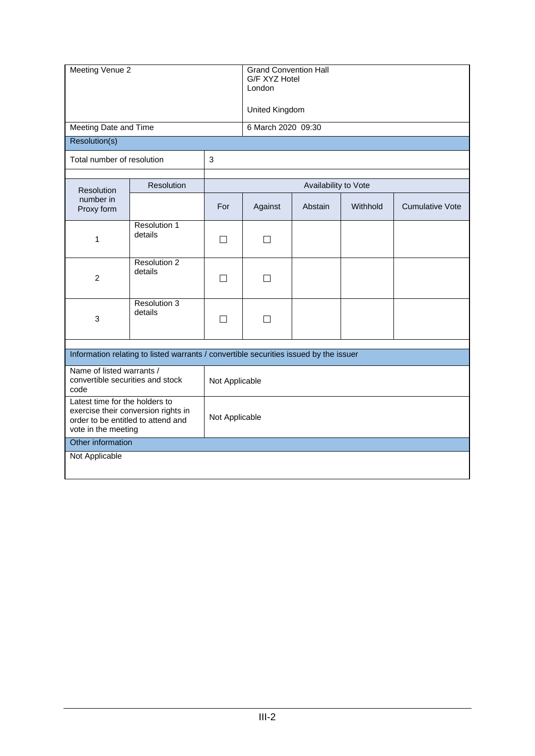| Meeting Venue 2                                                       |                                                                                       |                   | <b>Grand Convention Hall</b><br>G/F XYZ Hotel<br>London |         |          |                        |  |  |  |  |  |
|-----------------------------------------------------------------------|---------------------------------------------------------------------------------------|-------------------|---------------------------------------------------------|---------|----------|------------------------|--|--|--|--|--|
|                                                                       |                                                                                       |                   | United Kingdom                                          |         |          |                        |  |  |  |  |  |
| Meeting Date and Time                                                 |                                                                                       |                   | 6 March 2020 09:30                                      |         |          |                        |  |  |  |  |  |
| Resolution(s)                                                         |                                                                                       |                   |                                                         |         |          |                        |  |  |  |  |  |
| Total number of resolution                                            | 3                                                                                     |                   |                                                         |         |          |                        |  |  |  |  |  |
| Resolution                                                            | Resolution                                                                            |                   | Availability to Vote                                    |         |          |                        |  |  |  |  |  |
| number in<br>Proxy form                                               |                                                                                       | For               | Against                                                 | Abstain | Withhold | <b>Cumulative Vote</b> |  |  |  |  |  |
| 1                                                                     | Resolution 1<br>details                                                               | $\vert \ \ \vert$ | $\Box$                                                  |         |          |                        |  |  |  |  |  |
| $\overline{c}$                                                        | Resolution 2<br>details                                                               | П                 | П                                                       |         |          |                        |  |  |  |  |  |
| 3                                                                     | Resolution 3<br>details                                                               | П                 | $\Box$                                                  |         |          |                        |  |  |  |  |  |
|                                                                       | Information relating to listed warrants / convertible securities issued by the issuer |                   |                                                         |         |          |                        |  |  |  |  |  |
| Name of listed warrants /<br>convertible securities and stock<br>code | Not Applicable                                                                        |                   |                                                         |         |          |                        |  |  |  |  |  |
| Latest time for the holders to<br>vote in the meeting                 | exercise their conversion rights in<br>order to be entitled to attend and             | Not Applicable    |                                                         |         |          |                        |  |  |  |  |  |
| Other information                                                     |                                                                                       |                   |                                                         |         |          |                        |  |  |  |  |  |
| Not Applicable                                                        |                                                                                       |                   |                                                         |         |          |                        |  |  |  |  |  |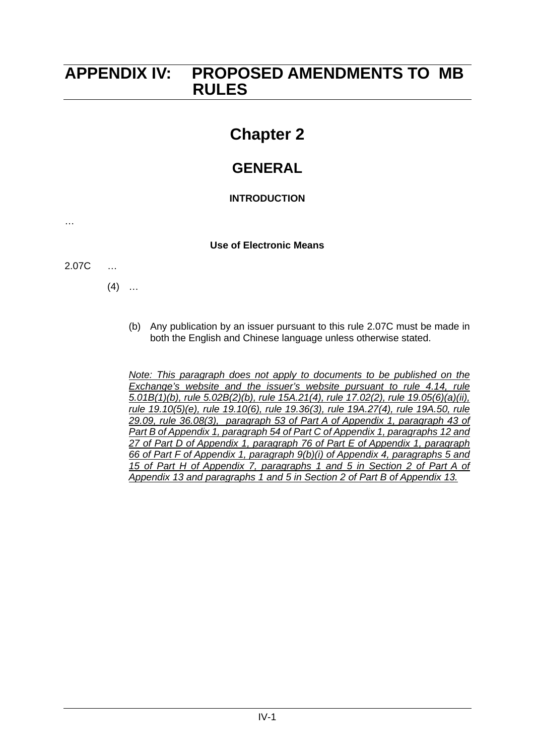### **APPENDIX IV: PROPOSED AMENDMENTS TO MB RULES**

## **Chapter 2**

### **GENERAL**

### **INTRODUCTION**

### **Use of Electronic Means**

2.07C …

…

 $(4)$  ...

(b) Any publication by an issuer pursuant to this rule 2.07C must be made in both the English and Chinese language unless otherwise stated.

*Note: This paragraph does not apply to documents to be published on the Exchange's website and the issuer's website pursuant to rule 4.14, rule 5.01B(1)(b), rule 5.02B(2)(b), rule 15A.21(4), rule 17.02(2), rule 19.05(6)(a)(ii), rule 19.10(5)(e), rule 19.10(6), rule 19.36(3), rule 19A.27(4), rule 19A.50, rule 29.09, rule 36.08(3), paragraph 53 of Part A of Appendix 1, paragraph 43 of Part B of Appendix 1, paragraph 54 of Part C of Appendix 1, paragraphs 12 and 27 of Part D of Appendix 1, paragraph 76 of Part E of Appendix 1, paragraph 66 of Part F of Appendix 1, paragraph 9(b)(i) of Appendix 4, paragraphs 5 and 15 of Part H of Appendix 7, paragraphs 1 and 5 in Section 2 of Part A of Appendix 13 and paragraphs 1 and 5 in Section 2 of Part B of Appendix 13.*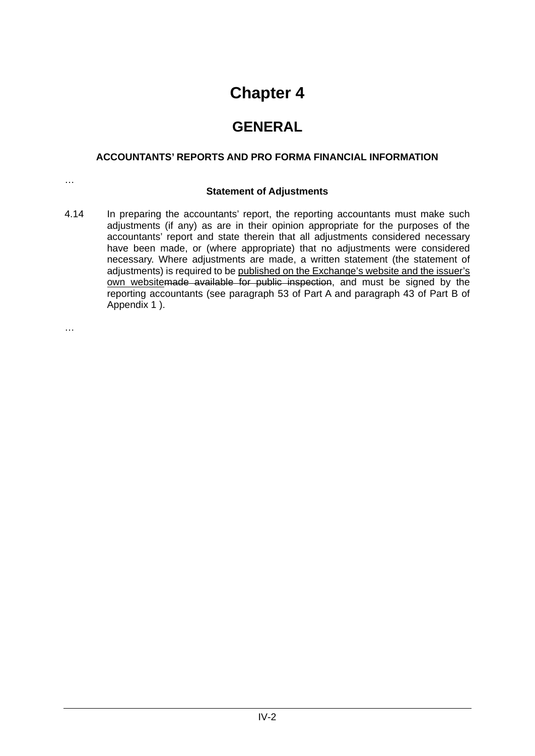### **GENERAL**

### **ACCOUNTANTS' REPORTS AND PRO FORMA FINANCIAL INFORMATION**

### **Statement of Adjustments**

4.14 In preparing the accountants' report, the reporting accountants must make such adjustments (if any) as are in their opinion appropriate for the purposes of the accountants' report and state therein that all adjustments considered necessary have been made, or (where appropriate) that no adjustments were considered necessary. Where adjustments are made, a written statement (the statement of adjustments) is required to be published on the Exchange's website and the issuer's own websitemade available for public inspection, and must be signed by the reporting accountants (see paragraph 53 of Part A and paragraph 43 of Part B of Appendix 1 ).

…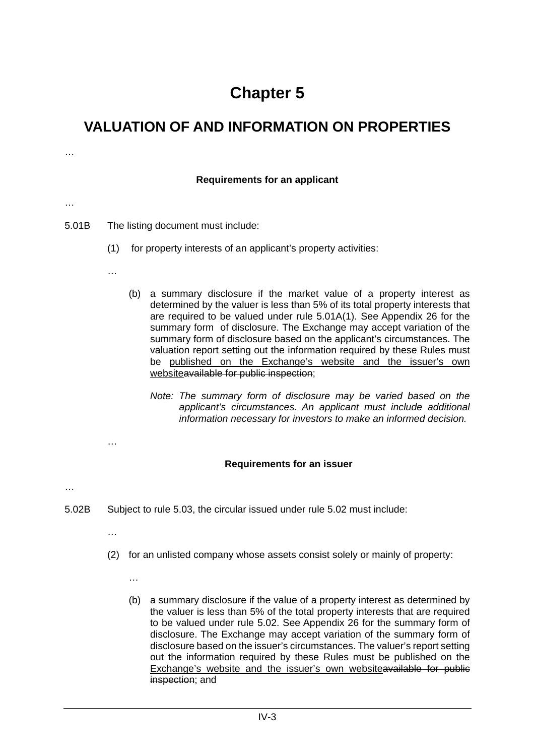### **VALUATION OF AND INFORMATION ON PROPERTIES**

…

### **Requirements for an applicant** … 5.01B The listing document must include: (1) for property interests of an applicant's property activities: … (b) a summary disclosure if the market value of a property interest as determined by the valuer is less than 5% of its total property interests that are required to be valued under rule 5.01A(1). See Appendix 26 for the summary form of disclosure. The Exchange may accept variation of the summary form of disclosure based on the applicant's circumstances. The valuation report setting out the information required by these Rules must be published on the Exchange's website and the issuer's own websiteavailable for public inspection; *Note: The summary form of disclosure may be varied based on the applicant's circumstances. An applicant must include additional information necessary for investors to make an informed decision.* … **Requirements for an issuer** … 5.02B Subject to rule 5.03, the circular issued under rule 5.02 must include: … (2) for an unlisted company whose assets consist solely or mainly of property: … (b) a summary disclosure if the value of a property interest as determined by the valuer is less than 5% of the total property interests that are required to be valued under rule 5.02. See Appendix 26 for the summary form of disclosure. The Exchange may accept variation of the summary form of disclosure based on the issuer's circumstances. The valuer's report setting out the information required by these Rules must be published on the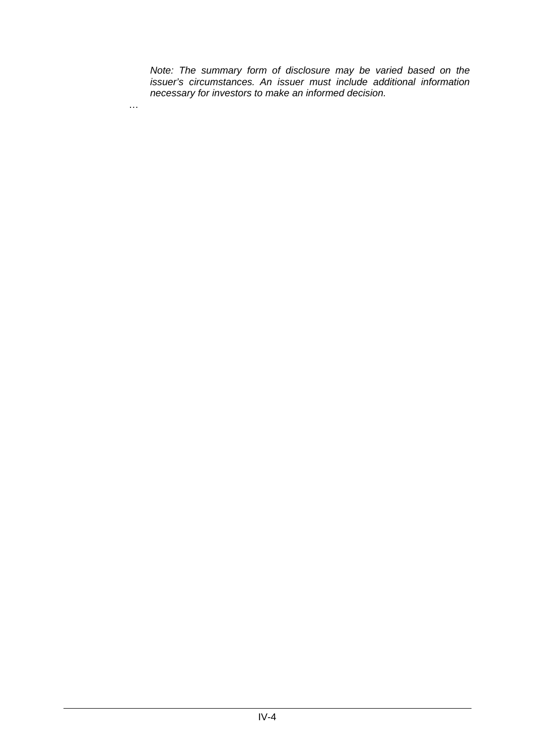*Note: The summary form of disclosure may be varied based on the issuer's circumstances. An issuer must include additional information necessary for investors to make an informed decision.*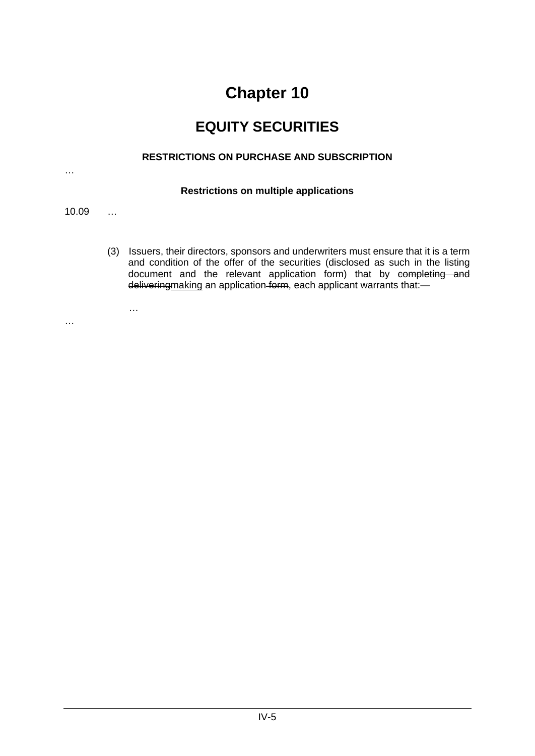### **EQUITY SECURITIES**

### **RESTRICTIONS ON PURCHASE AND SUBSCRIPTION**

### **Restrictions on multiple applications**

10.09 …

…

(3) Issuers, their directors, sponsors and underwriters must ensure that it is a term and condition of the offer of the securities (disclosed as such in the listing document and the relevant application form) that by completing and deliveringmaking an application form, each applicant warrants that:—

…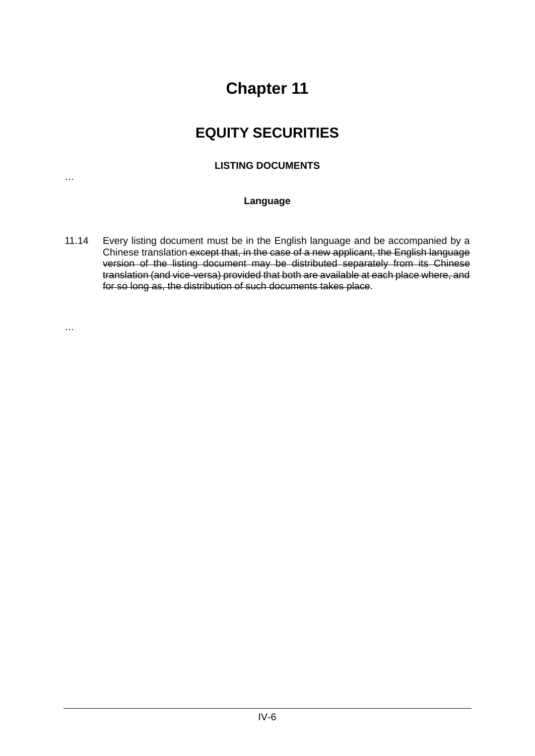### **EQUITY SECURITIES**

### **LISTING DOCUMENTS**

…

…

### **Language**

11.14 Every listing document must be in the English language and be accompanied by a Chinese translation except that, in the case of a new applicant, the English language version of the listing document may be distributed separately from its Chinese translation (and vice-versa) provided that both are available at each place where, and for so long as, the distribution of such documents takes place.

IV-6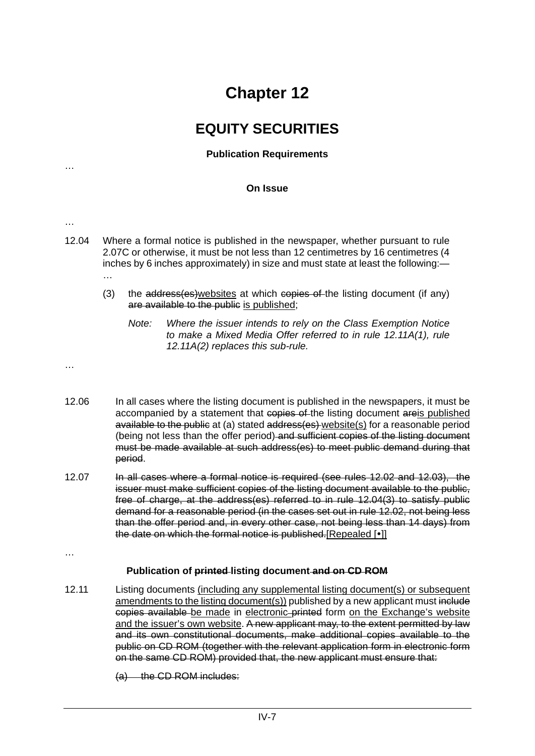### **EQUITY SECURITIES**

### **Publication Requirements**

#### **On Issue**

…

- …
- 12.04 Where a formal notice is published in the newspaper, whether pursuant to rule 2.07C or otherwise, it must be not less than 12 centimetres by 16 centimetres (4 inches by 6 inches approximately) in size and must state at least the following:— …
	- (3) the address(es)websites at which copies of the listing document (if any) are available to the public is published;
		- *Note: Where the issuer intends to rely on the Class Exemption Notice to make a Mixed Media Offer referred to in rule 12.11A(1), rule 12.11A(2) replaces this sub-rule.*

…

- 12.06 In all cases where the listing document is published in the newspapers, it must be accompanied by a statement that copies of the listing document areis published available to the public at (a) stated address(es) website(s) for a reasonable period (being not less than the offer period) and sufficient copies of the listing document must be made available at such address(es) to meet public demand during that period.
- 12.07 In all cases where a formal notice is required (see rules 12.02 and 12.03), the issuer must make sufficient copies of the listing document available to the public, free of charge, at the address(es) referred to in rule 12.04(3) to satisfy public demand for a reasonable period (in the cases set out in rule 12.02, not being less than the offer period and, in every other case, not being less than 14 days) from the date on which the formal notice is published.[Repealed [ $\bullet$ ]]

…

#### **Publication of printed listing document and on CD ROM**

- 12.11 Listing documents (including any supplemental listing document(s) or subsequent amendments to the listing document(s)) published by a new applicant must include copies available be made in electronic printed form on the Exchange's website and the issuer's own website. A new applicant may, to the extent permitted by law and its own constitutional documents, make additional copies available to the public on CD ROM (together with the relevant application form in electronic form on the same CD ROM) provided that, the new applicant must ensure that:
	- (a) the CD ROM includes: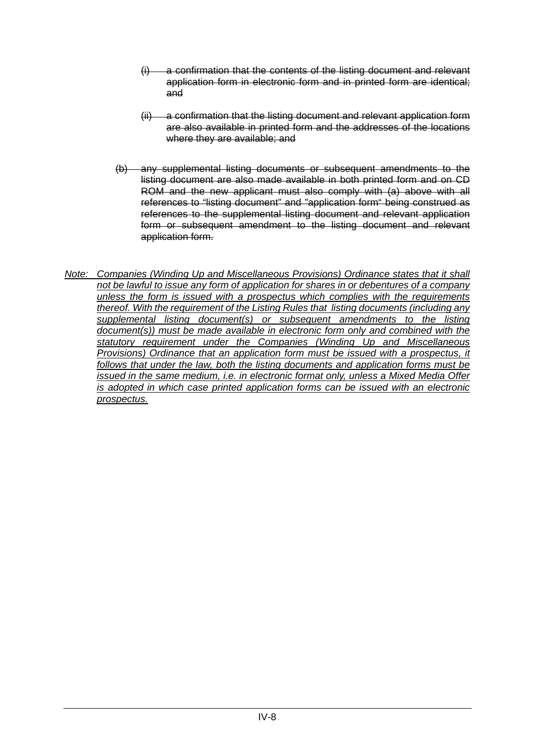- a confirmation that the contents of the listing document and relevant application form in electronic form and in printed form are identical; and
- (ii) a confirmation that the listing document and relevant application form are also available in printed form and the addresses of the locations where they are available; and
- (b) any supplemental listing documents or subsequent amendments to the listing document are also made available in both printed form and on CD ROM and the new applicant must also comply with (a) above with all references to "listing document" and "application form" being construed as references to the supplemental listing document and relevant application form or subsequent amendment to the listing document and relevant application form.
- *Note: Companies (Winding Up and Miscellaneous Provisions) Ordinance states that it shall not be lawful to issue any form of application for shares in or debentures of a company unless the form is issued with a prospectus which complies with the requirements thereof. With the requirement of the Listing Rules that listing documents (including any supplemental listing document(s) or subsequent amendments to the listing document(s)) must be made available in electronic form only and combined with the statutory requirement under the Companies (Winding Up and Miscellaneous Provisions) Ordinance that an application form must be issued with a prospectus, it follows that under the law, both the listing documents and application forms must be issued in the same medium, i.e. in electronic format only, unless a Mixed Media Offer is adopted in which case printed application forms can be issued with an electronic prospectus.*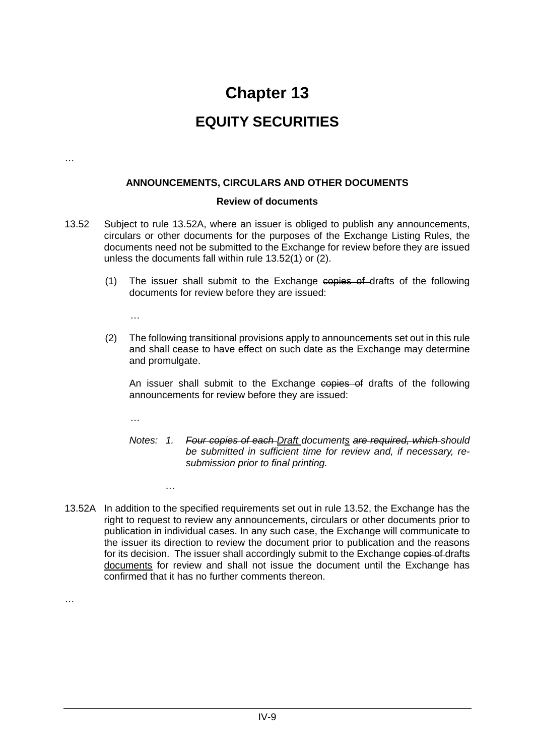### **EQUITY SECURITIES**

…

#### **ANNOUNCEMENTS, CIRCULARS AND OTHER DOCUMENTS**

#### **Review of documents**

- 13.52 Subject to rule 13.52A, where an issuer is obliged to publish any announcements, circulars or other documents for the purposes of the Exchange Listing Rules, the documents need not be submitted to the Exchange for review before they are issued unless the documents fall within rule 13.52(1) or (2).
	- (1) The issuer shall submit to the Exchange copies of drafts of the following documents for review before they are issued:

…

(2) The following transitional provisions apply to announcements set out in this rule and shall cease to have effect on such date as the Exchange may determine and promulgate.

An issuer shall submit to the Exchange copies of drafts of the following announcements for review before they are issued:

…

*…*

- *Notes: 1. Four copies of each Draft documents are required, which should be submitted in sufficient time for review and, if necessary, resubmission prior to final printing.*
- 13.52A In addition to the specified requirements set out in rule 13.52, the Exchange has the right to request to review any announcements, circulars or other documents prior to publication in individual cases. In any such case, the Exchange will communicate to the issuer its direction to review the document prior to publication and the reasons for its decision. The issuer shall accordingly submit to the Exchange copies of drafts documents for review and shall not issue the document until the Exchange has confirmed that it has no further comments thereon.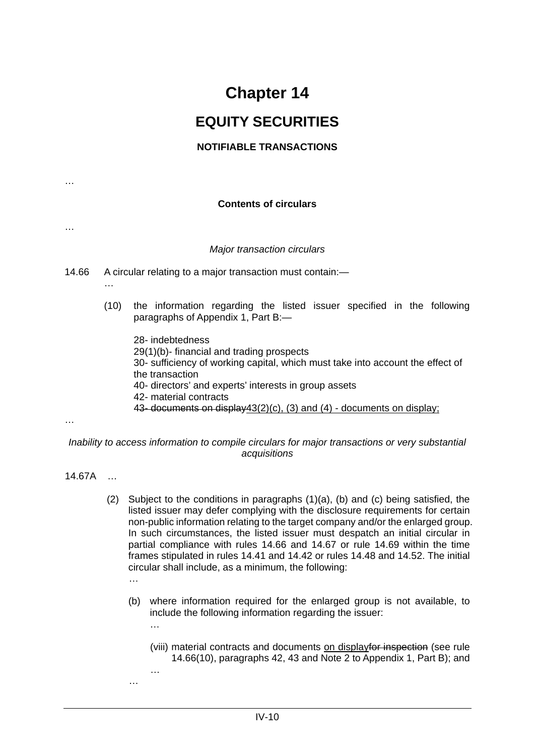### **EQUITY SECURITIES**

### **NOTIFIABLE TRANSACTIONS**

**Contents of circulars**

*Major transaction circulars*

- 14.66 A circular relating to a major transaction must contain:—
	- …
	- (10) the information regarding the listed issuer specified in the following paragraphs of Appendix 1, Part B:—
		- 28- indebtedness
		- 29(1)(b)- financial and trading prospects
		- 30- sufficiency of working capital, which must take into account the effect of the transaction
		- 40- directors' and experts' interests in group assets
		- 42- material contracts
		- 43- documents on display43(2)(c), (3) and (4) documents on display;

…

…

…

*Inability to access information to compile circulars for major transactions or very substantial acquisitions*

- 14.67A …
	- (2) Subject to the conditions in paragraphs (1)(a), (b) and (c) being satisfied, the listed issuer may defer complying with the disclosure requirements for certain non-public information relating to the target company and/or the enlarged group. In such circumstances, the listed issuer must despatch an initial circular in partial compliance with rules 14.66 and 14.67 or rule 14.69 within the time frames stipulated in rules 14.41 and 14.42 or rules 14.48 and 14.52. The initial circular shall include, as a minimum, the following:
		- (b) where information required for the enlarged group is not available, to include the following information regarding the issuer:
			- (viii) material contracts and documents on displayfor inspection (see rule 14.66(10), paragraphs 42, 43 and Note 2 to Appendix 1, Part B); and
		- …

…

…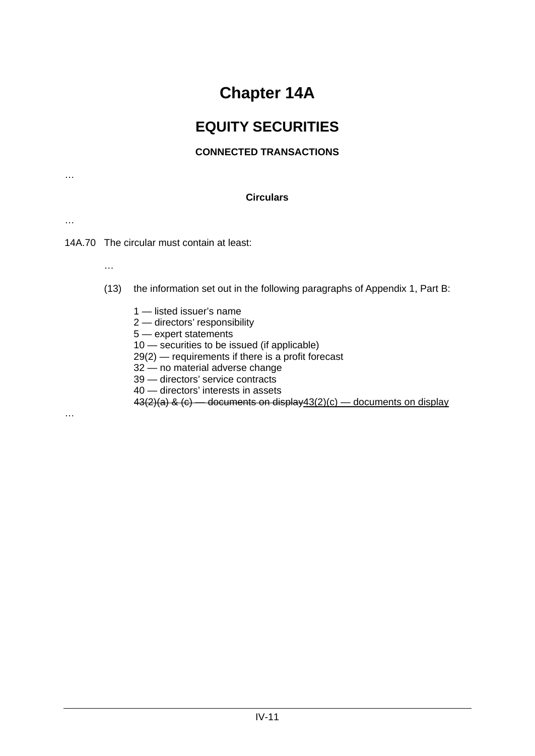# **Chapter 14A**

## **EQUITY SECURITIES**

### **CONNECTED TRANSACTIONS**

…

### **Circulars**

…

…

14A.70 The circular must contain at least:

- (13) the information set out in the following paragraphs of Appendix 1, Part B:
	- 1 listed issuer's name 2 — directors' responsibility 5 — expert statements 10 — securities to be issued (if applicable) 29(2) — requirements if there is a profit forecast 32 — no material adverse change 39 — directors' service contracts 40 — directors' interests in assets  $43(2)(a)$  &  $(c)$  — documents on display 43(2)(c) — documents on display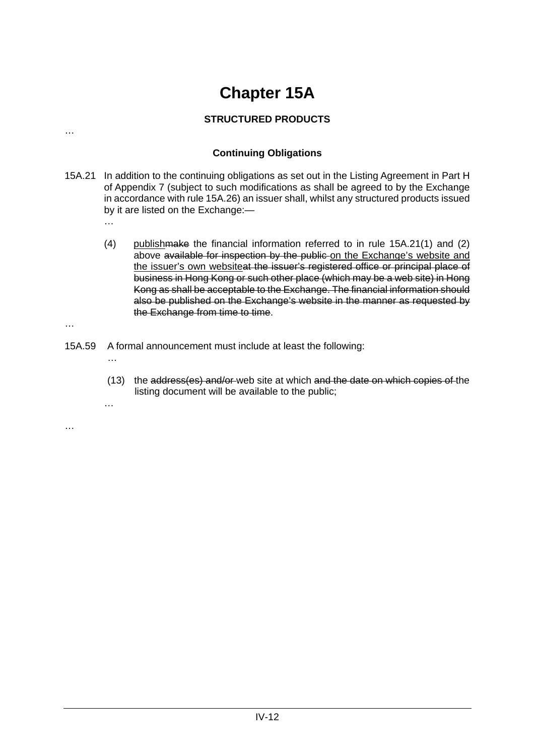# **Chapter 15A**

### **STRUCTURED PRODUCTS**

### **Continuing Obligations**

- 15A.21 In addition to the continuing obligations as set out in the Listing Agreement in Part H of Appendix 7 (subject to such modifications as shall be agreed to by the Exchange in accordance with rule 15A.26) an issuer shall, whilst any structured products issued by it are listed on the Exchange:—
	- (4) publishmake the financial information referred to in rule 15A.21(1) and (2) above available for inspection by the public on the Exchange's website and the issuer's own websiteat the issuer's registered office or principal place of business in Hong Kong or such other place (which may be a web site) in Hong Kong as shall be acceptable to the Exchange. The financial information should also be published on the Exchange's website in the manner as requested by the Exchange from time to time.
- 15A.59 A formal announcement must include at least the following:

…

…

…

…

…

…

(13) the address(es) and/or web site at which and the date on which copies of the listing document will be available to the public;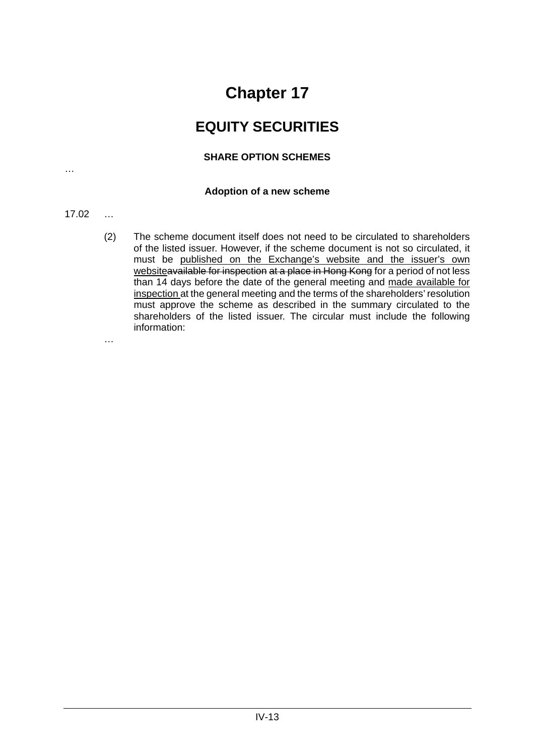### **EQUITY SECURITIES**

### **SHARE OPTION SCHEMES**

### **Adoption of a new scheme**

### 17.02 …

…

(2) The scheme document itself does not need to be circulated to shareholders of the listed issuer. However, if the scheme document is not so circulated, it must be published on the Exchange's website and the issuer's own websiteavailable for inspection at a place in Hong Kong for a period of not less than 14 days before the date of the general meeting and made available for inspection at the general meeting and the terms of the shareholders' resolution must approve the scheme as described in the summary circulated to the shareholders of the listed issuer. The circular must include the following information: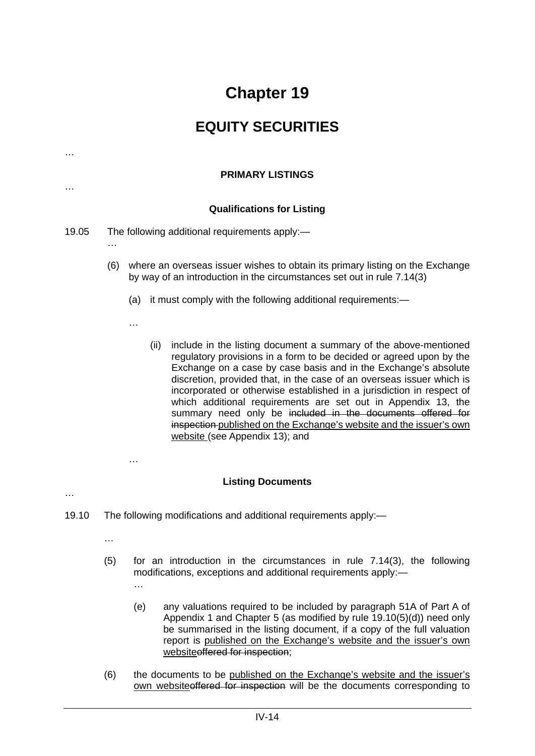### **EQUITY SECURITIES**

| $\cdots$ |     | <b>PRIMARY LISTINGS</b>                                                                                                                                 |
|----------|-----|---------------------------------------------------------------------------------------------------------------------------------------------------------|
|          |     | <b>Qualifications for Listing</b>                                                                                                                       |
| 19.05    | .   | The following additional requirements apply:-                                                                                                           |
|          | (6) | where an overseas issuer wishes to obtain its primary listing on the Exchange<br>by way of an introduction in the circumstances set out in rule 7.14(3) |
|          |     | it must comply with the following additional requirements:—<br>(a)                                                                                      |

(ii) include in the listing document a summary of the above-mentioned regulatory provisions in a form to be decided or agreed upon by the Exchange on a case by case basis and in the Exchange's absolute discretion, provided that, in the case of an overseas issuer which is incorporated or otherwise established in a jurisdiction in respect of which additional requirements are set out in Appendix 13, the summary need only be included in the documents offered for inspection published on the Exchange's website and the issuer's own website (see Appendix 13); and

#### **Listing Documents**

- 19.10 The following modifications and additional requirements apply:—
	- …

…

…

…

…

…

- (5) for an introduction in the circumstances in rule 7.14(3), the following modifications, exceptions and additional requirements apply:—
	- (e) any valuations required to be included by paragraph 51A of Part A of Appendix 1 and Chapter 5 (as modified by rule 19.10(5)(d)) need only be summarised in the listing document, if a copy of the full valuation report is published on the Exchange's website and the issuer's own websiteoffered for inspection;
- (6) the documents to be published on the Exchange's website and the issuer's own websiteoffered for inspection will be the documents corresponding to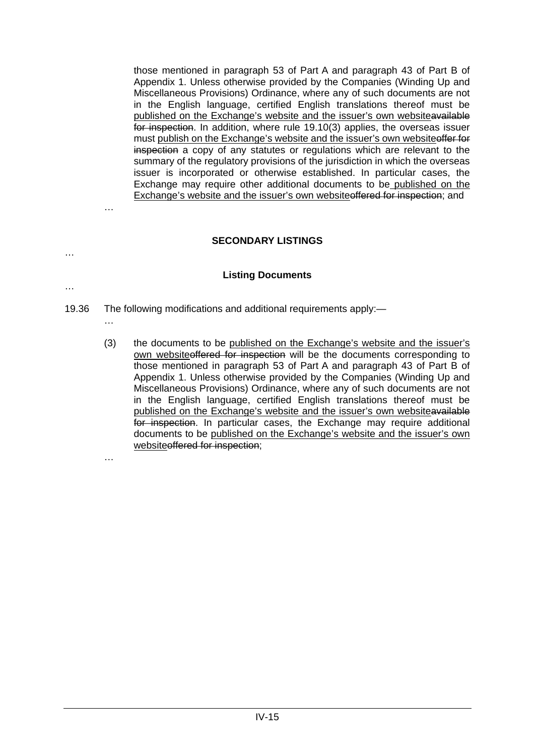those mentioned in paragraph 53 of Part A and paragraph 43 of Part B of Appendix 1. Unless otherwise provided by the Companies (Winding Up and Miscellaneous Provisions) Ordinance, where any of such documents are not in the English language, certified English translations thereof must be published on the Exchange's website and the issuer's own websiteavailable for inspection. In addition, where rule 19.10(3) applies, the overseas issuer must publish on the Exchange's website and the issuer's own website offer for inspection a copy of any statutes or regulations which are relevant to the summary of the regulatory provisions of the jurisdiction in which the overseas issuer is incorporated or otherwise established. In particular cases, the Exchange may require other additional documents to be published on the Exchange's website and the issuer's own websiteoffered for inspection; and

### **SECONDARY LISTINGS**

#### **Listing Documents**

- 19.36 The following modifications and additional requirements apply:—
	- (3) the documents to be published on the Exchange's website and the issuer's own websiteoffered for inspection will be the documents corresponding to those mentioned in paragraph 53 of Part A and paragraph 43 of Part B of Appendix 1. Unless otherwise provided by the Companies (Winding Up and Miscellaneous Provisions) Ordinance, where any of such documents are not in the English language, certified English translations thereof must be published on the Exchange's website and the issuer's own websiteavailable for inspection. In particular cases, the Exchange may require additional documents to be published on the Exchange's website and the issuer's own websiteoffered for inspection;

…

…

…

…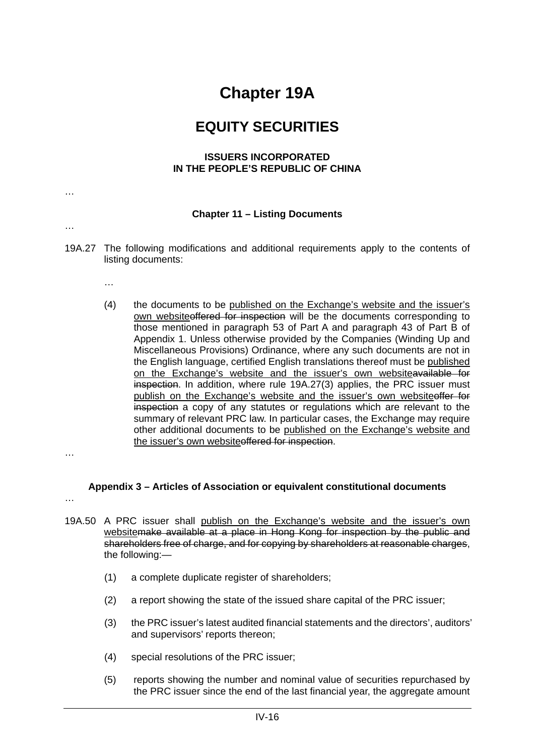## **Chapter 19A**

### **EQUITY SECURITIES**

#### **ISSUERS INCORPORATED IN THE PEOPLE'S REPUBLIC OF CHINA**

### **Chapter 11 – Listing Documents**

…

…

- 19A.27 The following modifications and additional requirements apply to the contents of listing documents:
	- …
	- (4) the documents to be published on the Exchange's website and the issuer's own websiteoffered for inspection will be the documents corresponding to those mentioned in paragraph 53 of Part A and paragraph 43 of Part B of Appendix 1. Unless otherwise provided by the Companies (Winding Up and Miscellaneous Provisions) Ordinance, where any such documents are not in the English language, certified English translations thereof must be published on the Exchange's website and the issuer's own websiteavailable for inspection. In addition, where rule 19A.27(3) applies, the PRC issuer must publish on the Exchange's website and the issuer's own website offer for inspection a copy of any statutes or regulations which are relevant to the summary of relevant PRC law. In particular cases, the Exchange may require other additional documents to be published on the Exchange's website and the issuer's own websiteoffered for inspection.
- …

### **Appendix 3 – Articles of Association or equivalent constitutional documents**

- 19A.50 A PRC issuer shall publish on the Exchange's website and the issuer's own websitemake available at a place in Hong Kong for inspection by the public and shareholders free of charge, and for copying by shareholders at reasonable charges, the following:—
	- (1) a complete duplicate register of shareholders;
	- (2) a report showing the state of the issued share capital of the PRC issuer;
	- (3) the PRC issuer's latest audited financial statements and the directors', auditors' and supervisors' reports thereon;
	- (4) special resolutions of the PRC issuer;
	- (5) reports showing the number and nominal value of securities repurchased by the PRC issuer since the end of the last financial year, the aggregate amount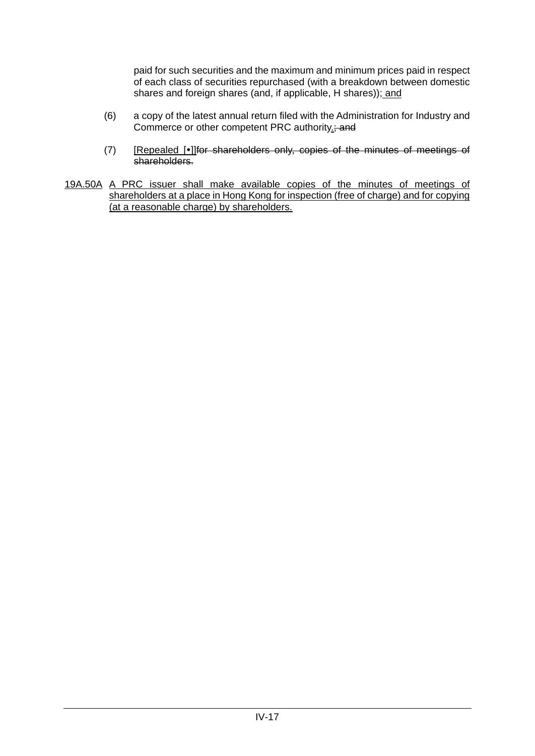paid for such securities and the maximum and minimum prices paid in respect of each class of securities repurchased (with a breakdown between domestic shares and foreign shares (and, if applicable, H shares)); and

- (6) a copy of the latest annual return filed with the Administration for Industry and Commerce or other competent PRC authority.; and
- (7) [Repealed [.] [for shareholders only, copies of the minutes of meetings of shareholders.
- 19A.50A A PRC issuer shall make available copies of the minutes of meetings of shareholders at a place in Hong Kong for inspection (free of charge) and for copying (at a reasonable charge) by shareholders.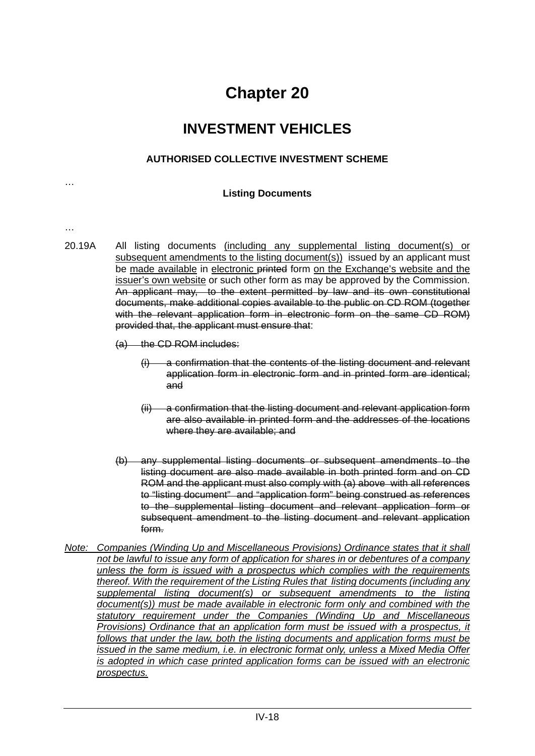### **INVESTMENT VEHICLES**

### **AUTHORISED COLLECTIVE INVESTMENT SCHEME**

### **Listing Documents**

…

…

20.19A All listing documents (including any supplemental listing document(s) or subsequent amendments to the listing document(s)) issued by an applicant must be made available in electronic printed form on the Exchange's website and the issuer's own website or such other form as may be approved by the Commission. An applicant may, to the extent permitted by law and its own constitutional documents, make additional copies available to the public on CD ROM (together with the relevant application form in electronic form on the same CD ROM) provided that, the applicant must ensure that:

(a) the CD ROM includes:

- (i) a confirmation that the contents of the listing document and relevant application form in electronic form and in printed form are identical; and
- (ii) a confirmation that the listing document and relevant application form are also available in printed form and the addresses of the locations where they are available; and
- (b) any supplemental listing documents or subsequent amendments to the listing document are also made available in both printed form and on CD ROM and the applicant must also comply with (a) above with all references to "listing document" and "application form" being construed as references to the supplemental listing document and relevant application form or subsequent amendment to the listing document and relevant application form.
- *Note: Companies (Winding Up and Miscellaneous Provisions) Ordinance states that it shall not be lawful to issue any form of application for shares in or debentures of a company unless the form is issued with a prospectus which complies with the requirements thereof. With the requirement of the Listing Rules that listing documents (including any supplemental listing document(s) or subsequent amendments to the listing document(s)) must be made available in electronic form only and combined with the statutory requirement under the Companies (Winding Up and Miscellaneous Provisions)* Ordinance that an application form must be issued with a prospectus, it *follows that under the law, both the listing documents and application forms must be issued in the same medium, i.e. in electronic format only, unless a Mixed Media Offer is adopted in which case printed application forms can be issued with an electronic prospectus.*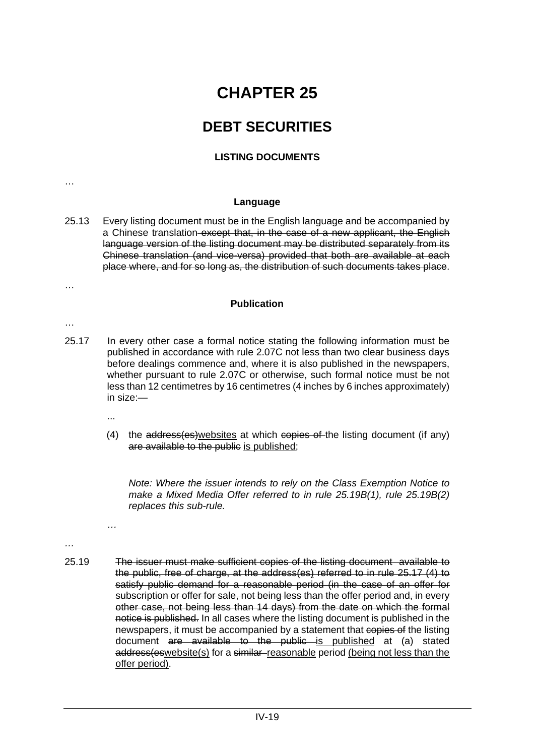# **CHAPTER 25**

## **DEBT SECURITIES**

### **LISTING DOCUMENTS**

#### **Language**

25.13 Every listing document must be in the English language and be accompanied by a Chinese translation except that, in the case of a new applicant, the English language version of the listing document may be distributed separately from its Chinese translation (and vice-versa) provided that both are available at each place where, and for so long as, the distribution of such documents takes place.

#### **Publication**

- 25.17 In every other case a formal notice stating the following information must be published in accordance with rule 2.07C not less than two clear business days before dealings commence and, where it is also published in the newspapers, whether pursuant to rule 2.07C or otherwise, such formal notice must be not less than 12 centimetres by 16 centimetres (4 inches by 6 inches approximately) in size:—
	- ...

*…*

(4) the address(es)websites at which copies of the listing document (if any) are available to the public is published;

*Note: Where the issuer intends to rely on the Class Exemption Notice to make a Mixed Media Offer referred to in rule 25.19B(1), rule 25.19B(2) replaces this sub-rule.*

*…*

…

…

…

25.19 The issuer must make sufficient copies of the listing document available to the public, free of charge, at the address(es) referred to in rule 25.17 (4) to satisfy public demand for a reasonable period (in the case of an offer for subscription or offer for sale, not being less than the offer period and, in every other case, not being less than 14 days) from the date on which the formal notice is published. In all cases where the listing document is published in the newspapers, it must be accompanied by a statement that copies of the listing document are available to the public is published at (a) stated address(eswebsite(s) for a similar-reasonable period (being not less than the offer period).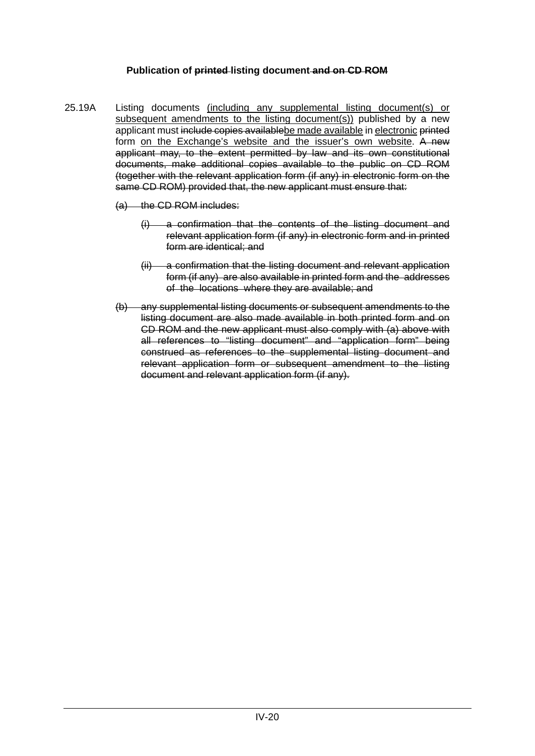### **Publication of printed listing document and on CD ROM**

- 25.19A Listing documents (including any supplemental listing document(s) or subsequent amendments to the listing document(s)) published by a new applicant must include copies availablebe made available in electronic printed form on the Exchange's website and the issuer's own website. A new applicant may, to the extent permitted by law and its own constitutional documents, make additional copies available to the public on CD ROM (together with the relevant application form (if any) in electronic form on the same CD ROM) provided that, the new applicant must ensure that:
	- (a) the CD ROM includes:
		- (i) a confirmation that the contents of the listing document and relevant application form (if any) in electronic form and in printed form are identical; and
		- (ii) a confirmation that the listing document and relevant application form (if any) are also available in printed form and the addresses of the locations where they are available; and
	- (b) any supplemental listing documents or subsequent amendments to the listing document are also made available in both printed form and on CD ROM and the new applicant must also comply with (a) above with all references to "listing document" and "application form" being construed as references to the supplemental listing document and relevant application form or subsequent amendment to the listing document and relevant application form (if any).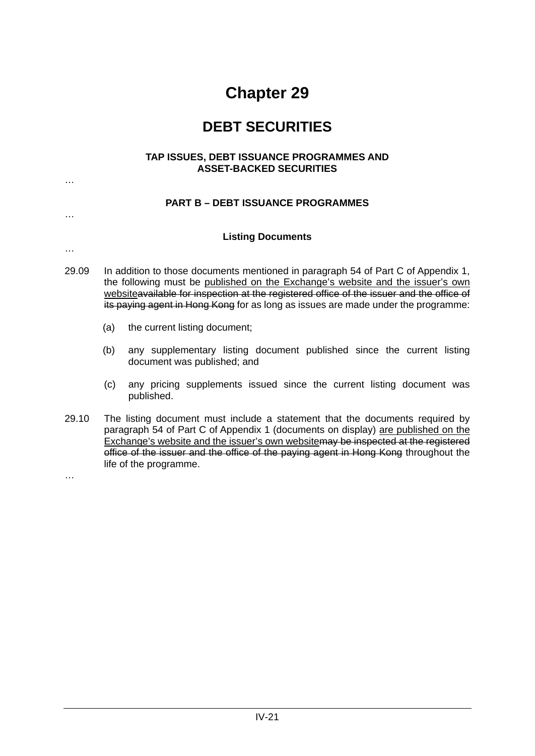### **DEBT SECURITIES**

#### **TAP ISSUES, DEBT ISSUANCE PROGRAMMES AND ASSET-BACKED SECURITIES**

### **PART B – DEBT ISSUANCE PROGRAMMES**

#### **Listing Documents**

- 29.09 In addition to those documents mentioned in paragraph 54 of Part C of Appendix 1, the following must be published on the Exchange's website and the issuer's own websiteavailable for inspection at the registered office of the issuer and the office of its paying agent in Hong Kong for as long as issues are made under the programme:
	- (a) the current listing document;

…

…

…

- (b) any supplementary listing document published since the current listing document was published; and
- (c) any pricing supplements issued since the current listing document was published.
- 29.10 The listing document must include a statement that the documents required by paragraph 54 of Part C of Appendix 1 (documents on display) are published on the Exchange's website and the issuer's own websitemay be inspected at the registered office of the issuer and the office of the paying agent in Hong Kong throughout the life of the programme.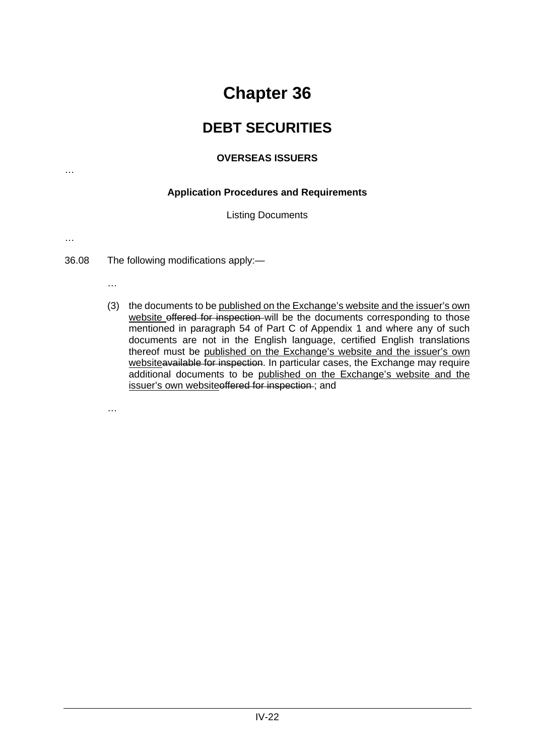### **DEBT SECURITIES**

### **OVERSEAS ISSUERS**

### **Application Procedures and Requirements**

Listing Documents

…

…

36.08 The following modifications apply:—

- …
- (3) the documents to be published on the Exchange's website and the issuer's own website offered for inspection will be the documents corresponding to those mentioned in paragraph 54 of Part C of Appendix 1 and where any of such documents are not in the English language, certified English translations thereof must be published on the Exchange's website and the issuer's own websiteavailable for inspection. In particular cases, the Exchange may require additional documents to be published on the Exchange's website and the issuer's own websiteoffered for inspection ; and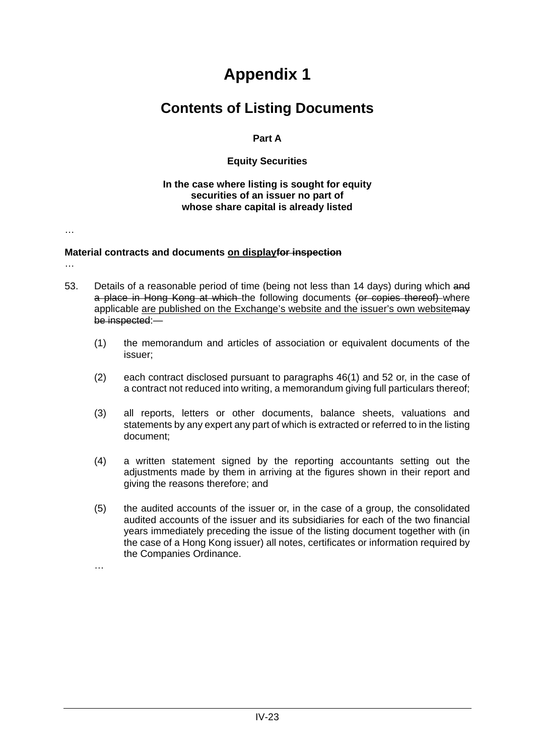### **Contents of Listing Documents**

### **Part A**

### **Equity Securities**

#### **In the case where listing is sought for equity securities of an issuer no part of whose share capital is already listed**

…

…

### **Material contracts and documents on displayfor inspection**

- 53. Details of a reasonable period of time (being not less than 14 days) during which and a place in Hong Kong at which the following documents (or copies thereof) where applicable are published on the Exchange's website and the issuer's own website may be inspected:—
	- (1) the memorandum and articles of association or equivalent documents of the issuer;
	- (2) each contract disclosed pursuant to paragraphs 46(1) and 52 or, in the case of a contract not reduced into writing, a memorandum giving full particulars thereof;
	- (3) all reports, letters or other documents, balance sheets, valuations and statements by any expert any part of which is extracted or referred to in the listing document;
	- (4) a written statement signed by the reporting accountants setting out the adjustments made by them in arriving at the figures shown in their report and giving the reasons therefore; and
	- (5) the audited accounts of the issuer or, in the case of a group, the consolidated audited accounts of the issuer and its subsidiaries for each of the two financial years immediately preceding the issue of the listing document together with (in the case of a Hong Kong issuer) all notes, certificates or information required by the Companies Ordinance.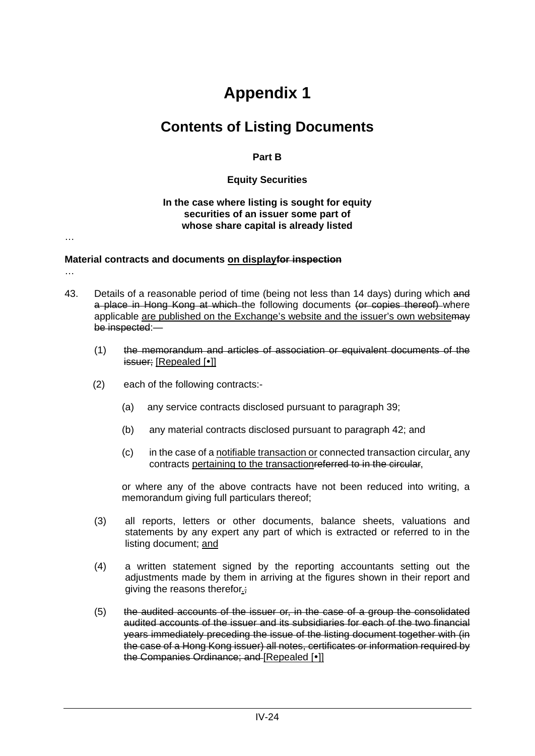## **Contents of Listing Documents**

**Part B**

### **Equity Securities**

#### **In the case where listing is sought for equity securities of an issuer some part of whose share capital is already listed**

…

…

#### **Material contracts and documents on displayfor inspection**

- 43. Details of a reasonable period of time (being not less than 14 days) during which and a place in Hong Kong at which the following documents (or copies thereof) where applicable are published on the Exchange's website and the issuer's own websitemay be inspected:—
	- (1) the memorandum and articles of association or equivalent documents of the issuer; [Repealed [•]]
	- (2) each of the following contracts:-
		- (a) any service contracts disclosed pursuant to paragraph 39;
		- (b) any material contracts disclosed pursuant to paragraph 42; and
		- (c) in the case of a notifiable transaction or connected transaction circular, any contracts pertaining to the transactionreferred to in the circular,

or where any of the above contracts have not been reduced into writing, a memorandum giving full particulars thereof;

- (3) all reports, letters or other documents, balance sheets, valuations and statements by any expert any part of which is extracted or referred to in the listing document; and
- (4) a written statement signed by the reporting accountants setting out the adjustments made by them in arriving at the figures shown in their report and giving the reasons therefor.;
- (5) the audited accounts of the issuer or, in the case of a group the consolidated audited accounts of the issuer and its subsidiaries for each of the two financial years immediately preceding the issue of the listing document together with (in the case of a Hong Kong issuer) all notes, certificates or information required by the Companies Ordinance; and [Repealed [ $\bullet$ ]]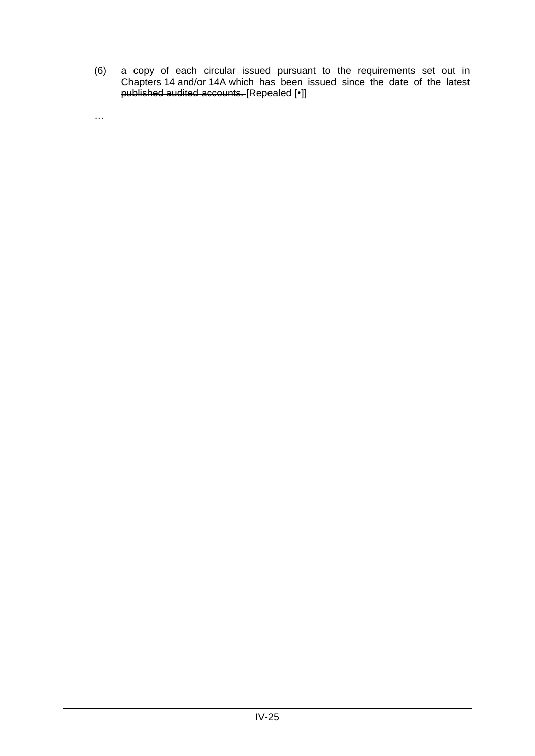(6) a copy of each circular issued pursuant to the requirements set out in Chapters [14](https://en-rules.hkex.com.hk/node/2655) and/or [14A](https://en-rules.hkex.com.hk/node/2775) which has been issued since the date of the latest published audited accounts. [Repealed [•]]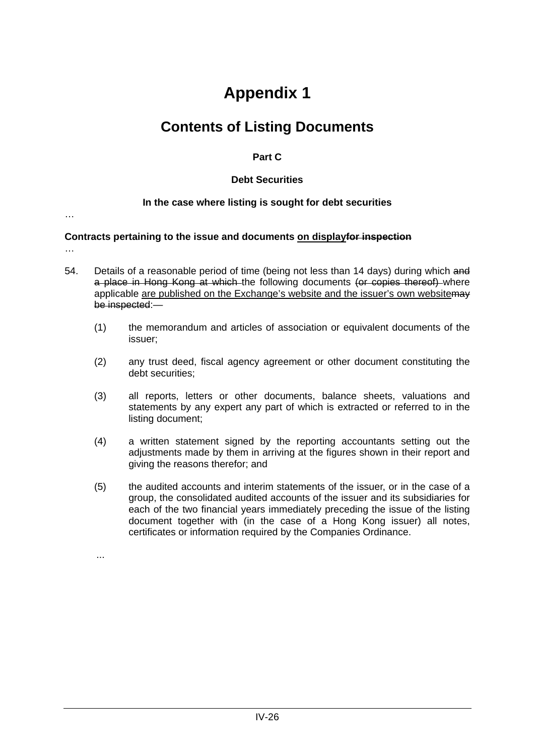## **Contents of Listing Documents**

### **Part C**

### **Debt Securities**

### **In the case where listing is sought for debt securities**

…

### **Contracts pertaining to the issue and documents on displayfor inspection**

- …
- 54. Details of a reasonable period of time (being not less than 14 days) during which and a place in Hong Kong at which the following documents (or copies thereof) where applicable are published on the Exchange's website and the issuer's own website may be inspected:—
	- (1) the memorandum and articles of association or equivalent documents of the issuer;
	- (2) any trust deed, fiscal agency agreement or other document constituting the debt securities;
	- (3) all reports, letters or other documents, balance sheets, valuations and statements by any expert any part of which is extracted or referred to in the listing document;
	- (4) a written statement signed by the reporting accountants setting out the adjustments made by them in arriving at the figures shown in their report and giving the reasons therefor; and
	- (5) the audited accounts and interim statements of the issuer, or in the case of a group, the consolidated audited accounts of the issuer and its subsidiaries for each of the two financial years immediately preceding the issue of the listing document together with (in the case of a Hong Kong issuer) all notes, certificates or information required by the Companies Ordinance.

...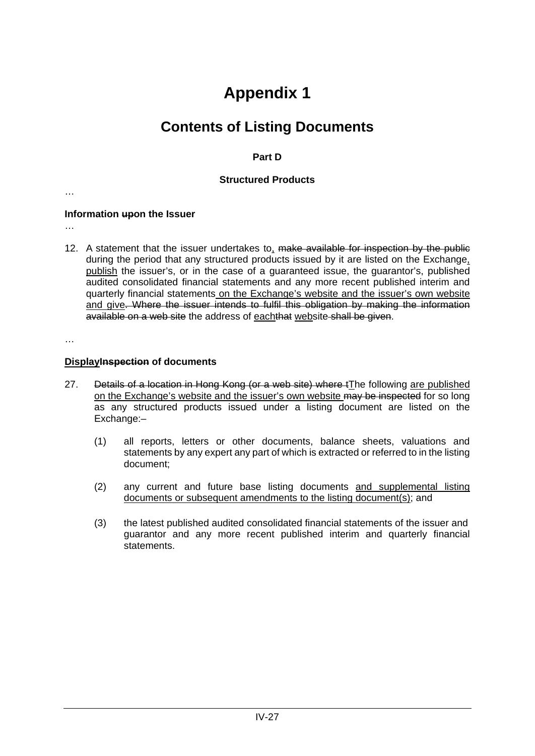## **Contents of Listing Documents**

### **Part D**

### **Structured Products**

…

### **Information upon the Issuer**

…

12. A statement that the issuer undertakes to, make available for inspection by the public during the period that any structured products issued by it are listed on the Exchange. publish the issuer's, or in the case of a guaranteed issue, the guarantor's, published audited consolidated financial statements and any more recent published interim and quarterly financial statements on the Exchange's website and the issuer's own website and give. Where the issuer intends to fulfil this obligation by making the information available on a web site the address of eachthat website shall be given.

…

### **DisplayInspection of documents**

- 27. Details of a location in Hong Kong (or a web site) where tThe following are published on the Exchange's website and the issuer's own website may be inspected for so long as any structured products issued under a listing document are listed on the Exchange:-
	- (1) all reports, letters or other documents, balance sheets, valuations and statements by any expert any part of which is extracted or referred to in the listing document;
	- (2) any current and future base listing documents and supplemental listing documents or subsequent amendments to the listing document(s); and
	- (3) the latest published audited consolidated financial statements of the issuer and guarantor and any more recent published interim and quarterly financial statements.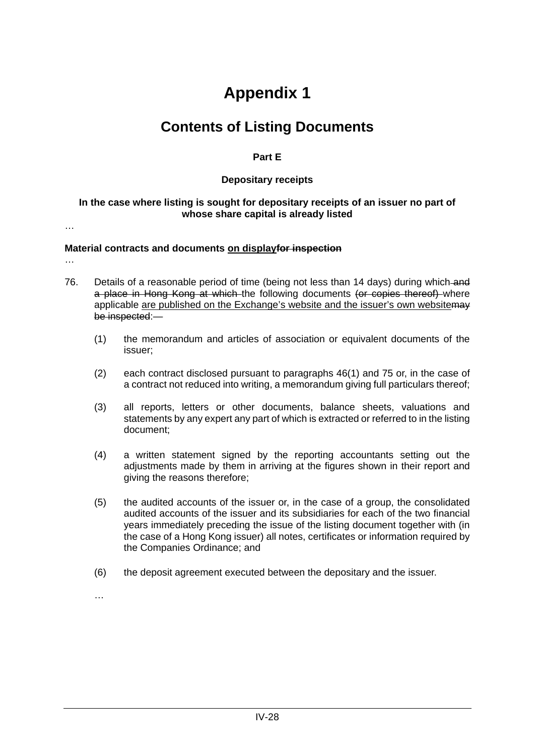## **Contents of Listing Documents**

### **Part E**

### **Depositary receipts**

### **In the case where listing is sought for depositary receipts of an issuer no part of whose share capital is already listed**

…

…

### **Material contracts and documents on displayfor inspection**

- 76. Details of a reasonable period of time (being not less than 14 days) during which and a place in Hong Kong at which the following documents (or copies thereof) where applicable are published on the Exchange's website and the issuer's own website may be inspected:—
	- (1) the memorandum and articles of association or equivalent documents of the issuer;
	- (2) each contract disclosed pursuant to paragraphs 46(1) and 75 or, in the case of a contract not reduced into writing, a memorandum giving full particulars thereof;
	- (3) all reports, letters or other documents, balance sheets, valuations and statements by any expert any part of which is extracted or referred to in the listing document;
	- (4) a written statement signed by the reporting accountants setting out the adjustments made by them in arriving at the figures shown in their report and giving the reasons therefore;
	- (5) the audited accounts of the issuer or, in the case of a group, the consolidated audited accounts of the issuer and its subsidiaries for each of the two financial years immediately preceding the issue of the listing document together with (in the case of a Hong Kong issuer) all notes, certificates or information required by the Companies Ordinance; and
	- (6) the deposit agreement executed between the depositary and the issuer.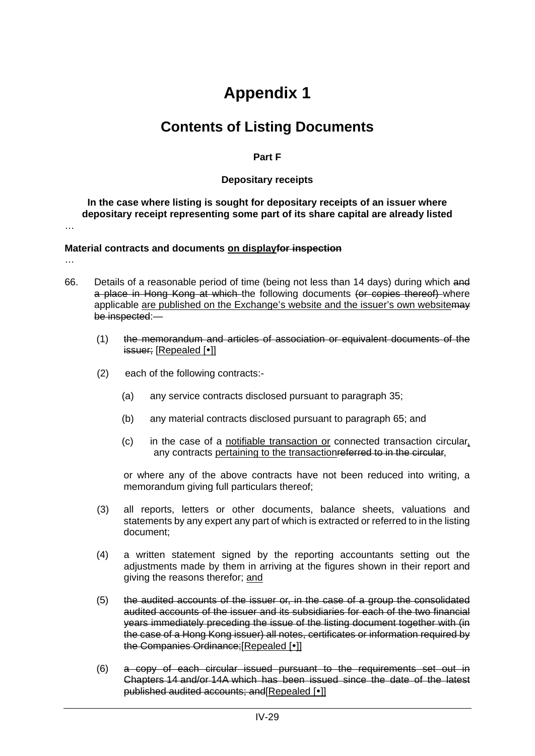## **Contents of Listing Documents**

#### **Part F**

#### **Depositary receipts**

**In the case where listing is sought for depositary receipts of an issuer where depositary receipt representing some part of its share capital are already listed** 

…

…

#### **Material contracts and documents on displayfor inspection**

- 66. Details of a reasonable period of time (being not less than 14 days) during which and a place in Hong Kong at which the following documents (or copies thereof) where applicable are published on the Exchange's website and the issuer's own websitemay be inspected:—
	- (1) the memorandum and articles of association or equivalent documents of the issuer; [Repealed [•]]
	- (2) each of the following contracts:-
		- (a) any service contracts disclosed pursuant to paragraph 35;
		- (b) any material contracts disclosed pursuant to paragraph 65; and
		- (c) in the case of a notifiable transaction or connected transaction circular, any contracts pertaining to the transactionreferred to in the circular,

or where any of the above contracts have not been reduced into writing, a memorandum giving full particulars thereof;

- (3) all reports, letters or other documents, balance sheets, valuations and statements by any expert any part of which is extracted or referred to in the listing document;
- (4) a written statement signed by the reporting accountants setting out the adjustments made by them in arriving at the figures shown in their report and giving the reasons therefor; and
- (5) the audited accounts of the issuer or, in the case of a group the consolidated audited accounts of the issuer and its subsidiaries for each of the two financial years immediately preceding the issue of the listing document together with (in the case of a Hong Kong issuer) all notes, certificates or information required by the Companies Ordinance: [Repealed [ $\cdot$ ]]
- (6) a copy of each circular issued pursuant to the requirements set out in Chapters [14](https://en-rules.hkex.com.hk/node/2655) and/or [14A](https://en-rules.hkex.com.hk/node/2775) which has been issued since the date of the latest published audited accounts; and [Repealed [ $\cdot$ ]]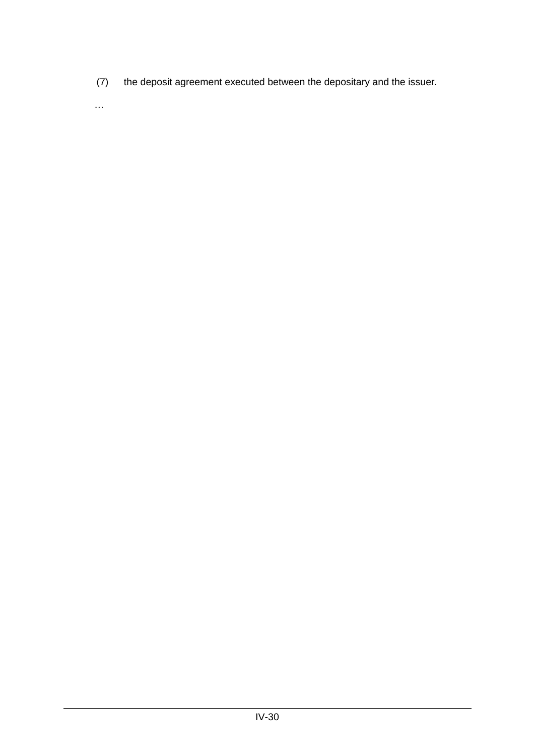(7) the deposit agreement executed between the depositary and the issuer.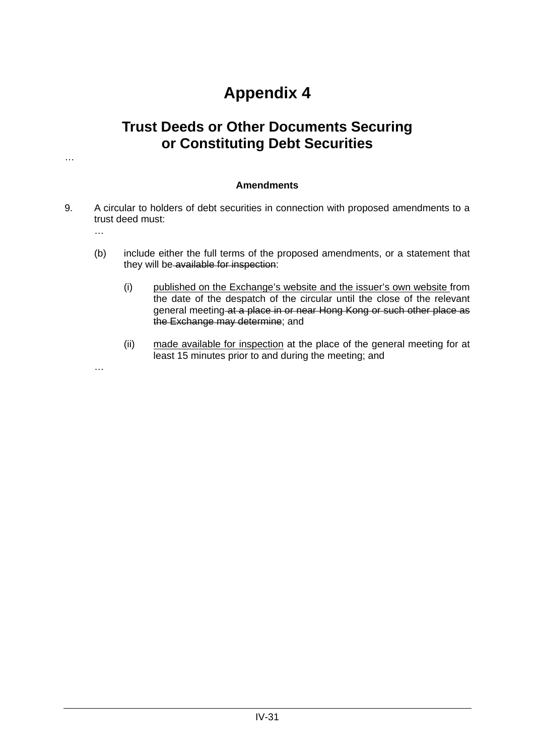### **Trust Deeds or Other Documents Securing or Constituting Debt Securities**

#### **Amendments**

- 9. A circular to holders of debt securities in connection with proposed amendments to a trust deed must:
	- …

…

- (b) include either the full terms of the proposed amendments, or a statement that they will be available for inspection:
	- (i) published on the Exchange's website and the issuer's own website from the date of the despatch of the circular until the close of the relevant general meeting at a place in or near Hong Kong or such other place as the Exchange may determine; and
	- (ii) made available for inspection at the place of the general meeting for at least 15 minutes prior to and during the meeting; and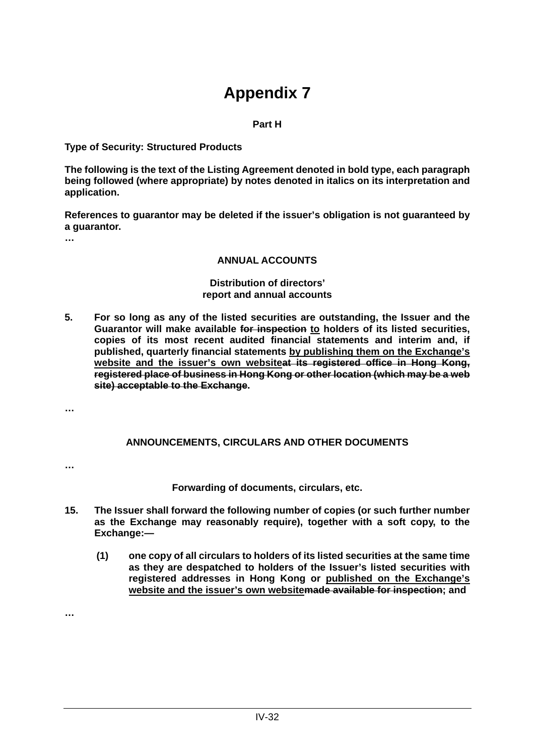#### **Part H**

**Type of Security: Structured Products**

**The following is the text of the Listing Agreement denoted in bold type, each paragraph being followed (where appropriate) by notes denoted in italics on its interpretation and application.**

**References to guarantor may be deleted if the issuer's obligation is not guaranteed by a guarantor.**

**…**

#### **ANNUAL ACCOUNTS**

#### **Distribution of directors' report and annual accounts**

**5. For so long as any of the listed securities are outstanding, the Issuer and the Guarantor will make available for inspection to holders of its listed securities, copies of its most recent audited financial statements and interim and, if published, quarterly financial statements by publishing them on the Exchange's website and the issuer's own websiteat its registered office in Hong Kong, registered place of business in Hong Kong or other location (which may be a web site) acceptable to the Exchange.**

**…**

#### **ANNOUNCEMENTS, CIRCULARS AND OTHER DOCUMENTS**

**…**

**Forwarding of documents, circulars, etc.**

- **15. The Issuer shall forward the following number of copies (or such further number as the Exchange may reasonably require), together with a soft copy, to the Exchange:—**
	- **(1) one copy of all circulars to holders of its listed securities at the same time as they are despatched to holders of the Issuer's listed securities with registered addresses in Hong Kong or published on the Exchange's website and the issuer's own websitemade available for inspection; and**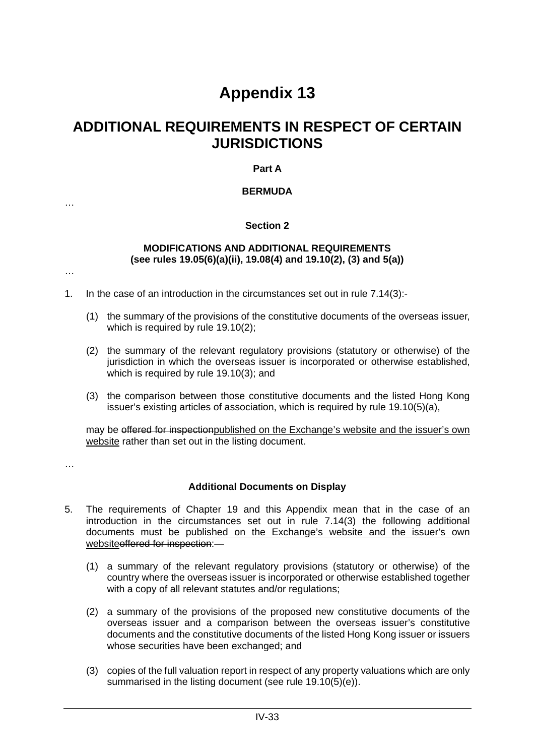### **ADDITIONAL REQUIREMENTS IN RESPECT OF CERTAIN JURISDICTIONS**

#### **Part A**

#### **BERMUDA**

#### **Section 2**

#### **MODIFICATIONS AND ADDITIONAL REQUIREMENTS (see rules 19.05(6)(a)(ii), 19.08(4) and 19.10(2), (3) and 5(a))**

…

…

- 1. In the case of an introduction in the circumstances set out in rule 7.14(3):-
	- (1) the summary of the provisions of the constitutive documents of the overseas issuer, which is required by rule 19.10(2);
	- (2) the summary of the relevant regulatory provisions (statutory or otherwise) of the jurisdiction in which the overseas issuer is incorporated or otherwise established, which is required by rule 19.10(3); and
	- (3) the comparison between those constitutive documents and the listed Hong Kong issuer's existing articles of association, which is required by rule 19.10(5)(a),

may be offered for inspectionpublished on the Exchange's website and the issuer's own website rather than set out in the listing document.

…

#### **Additional Documents on Display**

- 5. The requirements of Chapter 19 and this Appendix mean that in the case of an introduction in the circumstances set out in rule 7.14(3) the following additional documents must be published on the Exchange's website and the issuer's own websiteoffered for inspection:—
	- (1) a summary of the relevant regulatory provisions (statutory or otherwise) of the country where the overseas issuer is incorporated or otherwise established together with a copy of all relevant statutes and/or regulations;
	- (2) a summary of the provisions of the proposed new constitutive documents of the overseas issuer and a comparison between the overseas issuer's constitutive documents and the constitutive documents of the listed Hong Kong issuer or issuers whose securities have been exchanged; and
	- (3) copies of the full valuation report in respect of any property valuations which are only summarised in the listing document (see rule 19.10(5)(e)).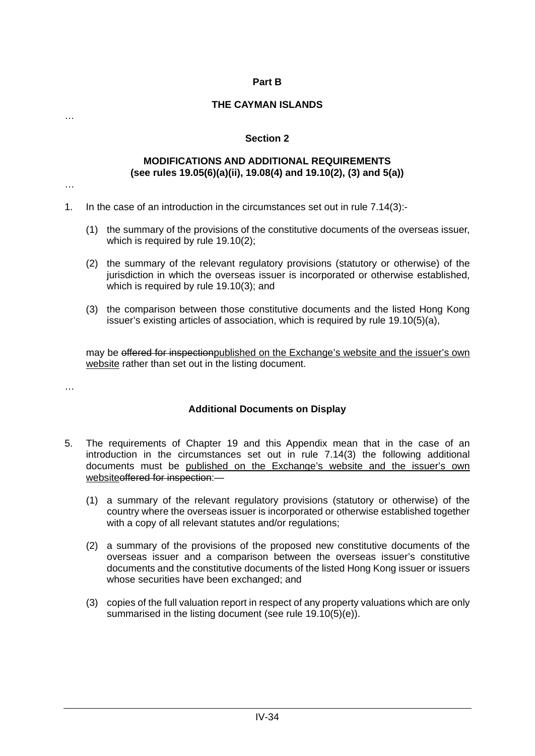#### **Part B**

#### **THE CAYMAN ISLANDS**

#### **Section 2**

#### **MODIFICATIONS AND ADDITIONAL REQUIREMENTS (see rules 19.05(6)(a)(ii), 19.08(4) and 19.10(2), (3) and 5(a))**

…

…

- 1. In the case of an introduction in the circumstances set out in rule 7.14(3):-
	- (1) the summary of the provisions of the constitutive documents of the overseas issuer, which is required by rule 19.10(2);
	- (2) the summary of the relevant regulatory provisions (statutory or otherwise) of the jurisdiction in which the overseas issuer is incorporated or otherwise established, which is required by rule 19.10(3); and
	- (3) the comparison between those constitutive documents and the listed Hong Kong issuer's existing articles of association, which is required by rule 19.10(5)(a),

may be offered for inspectionpublished on the Exchange's website and the issuer's own website rather than set out in the listing document.

…

#### **Additional Documents on Display**

- 5. The requirements of Chapter 19 and this Appendix mean that in the case of an introduction in the circumstances set out in rule 7.14(3) the following additional documents must be published on the Exchange's website and the issuer's own websiteoffered for inspection:-
	- (1) a summary of the relevant regulatory provisions (statutory or otherwise) of the country where the overseas issuer is incorporated or otherwise established together with a copy of all relevant statutes and/or regulations;
	- (2) a summary of the provisions of the proposed new constitutive documents of the overseas issuer and a comparison between the overseas issuer's constitutive documents and the constitutive documents of the listed Hong Kong issuer or issuers whose securities have been exchanged; and
	- (3) copies of the full valuation report in respect of any property valuations which are only summarised in the listing document (see rule 19.10(5)(e)).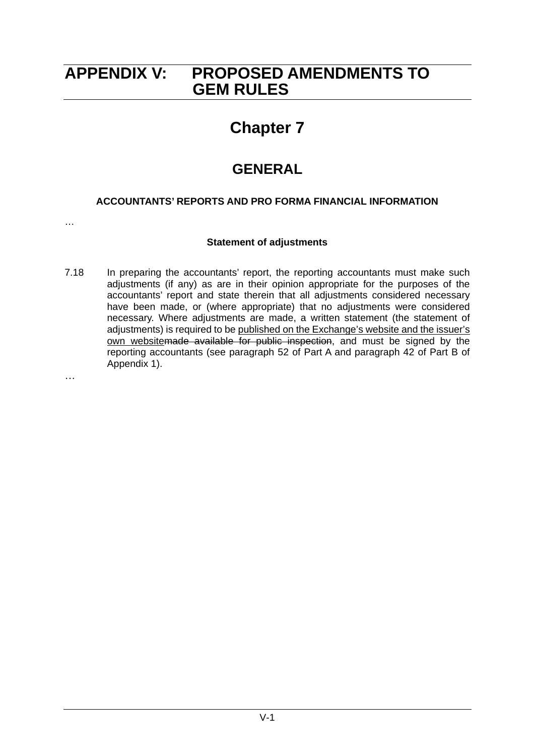### **APPENDIX V: PROPOSED AMENDMENTS TO GEM RULES**

## **Chapter 7**

### **GENERAL**

#### **ACCOUNTANTS' REPORTS AND PRO FORMA FINANCIAL INFORMATION**

…

#### **Statement of adjustments**

7.18 In preparing the accountants' report, the reporting accountants must make such adjustments (if any) as are in their opinion appropriate for the purposes of the accountants' report and state therein that all adjustments considered necessary have been made, or (where appropriate) that no adjustments were considered necessary. Where adjustments are made, a written statement (the statement of adjustments) is required to be published on the Exchange's website and the issuer's own websitemade available for public inspection, and must be signed by the reporting accountants (see paragraph 52 of Part A and paragraph 42 of Part B of Appendix 1).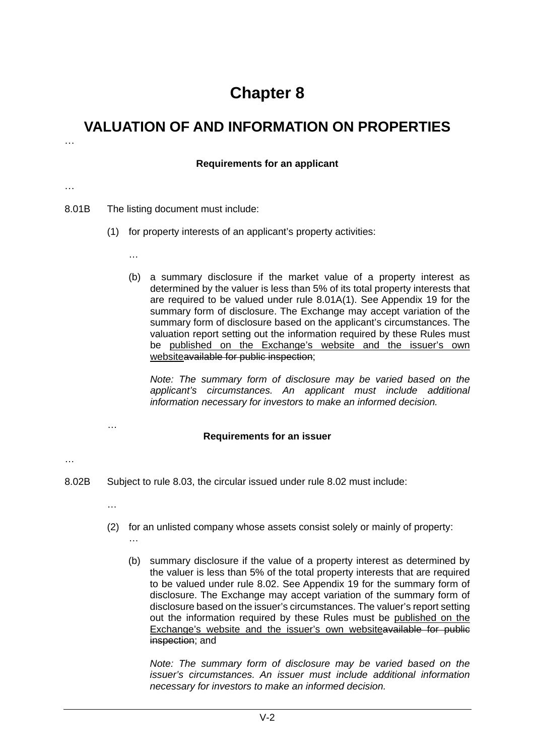### **VALUATION OF AND INFORMATION ON PROPERTIES**

#### **Requirements for an applicant**

…

…

8.01B The listing document must include:

- (1) for property interests of an applicant's property activities:
	- …
	- (b) a summary disclosure if the market value of a property interest as determined by the valuer is less than 5% of its total property interests that are required to be valued under rule 8.01A(1). See Appendix 19 for the summary form of disclosure. The Exchange may accept variation of the summary form of disclosure based on the applicant's circumstances. The valuation report setting out the information required by these Rules must be published on the Exchange's website and the issuer's own websiteavailable for public inspection;

*Note: The summary form of disclosure may be varied based on the applicant's circumstances. An applicant must include additional information necessary for investors to make an informed decision.*

#### **Requirements for an issuer**

- …
- 8.02B Subject to rule 8.03, the circular issued under rule 8.02 must include:
	- …

…

…

- (2) for an unlisted company whose assets consist solely or mainly of property:
	- (b) summary disclosure if the value of a property interest as determined by the valuer is less than 5% of the total property interests that are required to be valued under rule 8.02. See Appendix 19 for the summary form of disclosure. The Exchange may accept variation of the summary form of disclosure based on the issuer's circumstances. The valuer's report setting out the information required by these Rules must be published on the Exchange's website and the issuer's own websiteavailable for public inspection; and

*Note: The summary form of disclosure may be varied based on the issuer's circumstances. An issuer must include additional information necessary for investors to make an informed decision.*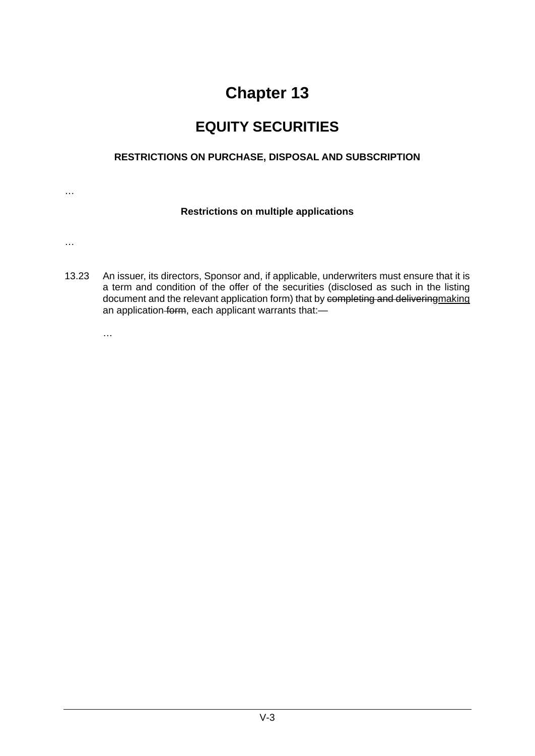## **EQUITY SECURITIES**

#### **RESTRICTIONS ON PURCHASE, DISPOSAL AND SUBSCRIPTION**

…

#### **Restrictions on multiple applications**

…

13.23 An issuer, its directors, Sponsor and, if applicable, underwriters must ensure that it is a term and condition of the offer of the securities (disclosed as such in the listing document and the relevant application form) that by completing and deliveringmaking an application form, each applicant warrants that:-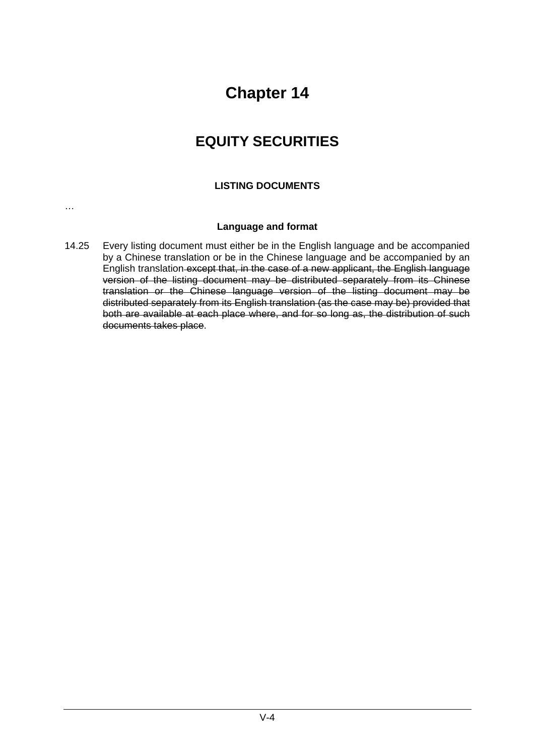## **EQUITY SECURITIES**

#### **LISTING DOCUMENTS**

…

#### **Language and format**

14.25 Every listing document must either be in the English language and be accompanied by a Chinese translation or be in the Chinese language and be accompanied by an English translation except that, in the case of a new applicant, the English language version of the listing document may be distributed separately from its Chinese translation or the Chinese language version of the listing document may be distributed separately from its English translation (as the case may be) provided that both are available at each place where, and for so long as, the distribution of such documents takes place.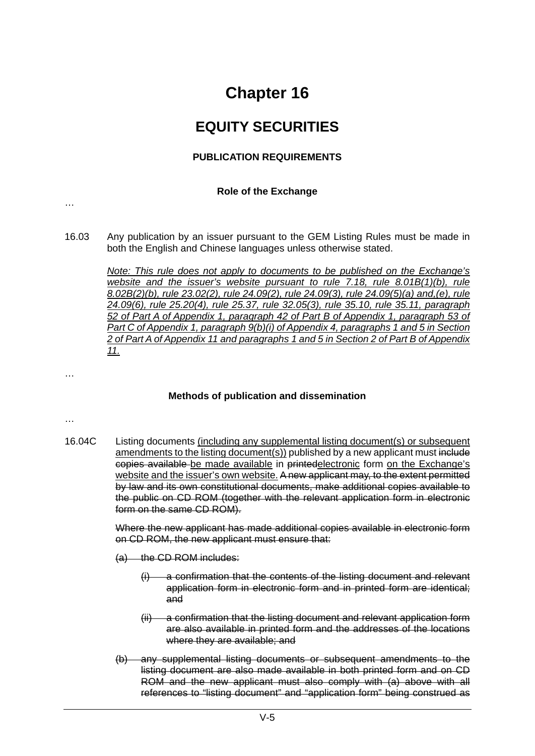### **EQUITY SECURITIES**

#### **PUBLICATION REQUIREMENTS**

#### **Role of the Exchange**

…

16.03 Any publication by an issuer pursuant to the GEM Listing Rules must be made in both the English and Chinese languages unless otherwise stated.

> *Note: This rule does not apply to documents to be published on the Exchange's website and the issuer's website pursuant to rule 7.18, rule 8.01B(1)(b), rule 8.02B(2)(b), rule 23.02(2), rule 24.09(2), rule 24.09(3), rule 24.09(5)(a) and,(e), rule 24.09(6), rule 25.20(4), rule 25.37, rule 32.05(3), rule 35.10, rule 35.11, paragraph 52 of Part A of Appendix 1, paragraph 42 of Part B of Appendix 1, paragraph 53 of Part C of Appendix 1, paragraph 9(b)(i) of Appendix 4, paragraphs 1 and 5 in Section 2 of Part A of Appendix 11 and paragraphs 1 and 5 in Section 2 of Part B of Appendix 11.*

#### **Methods of publication and dissemination**

…

…

16.04C Listing documents (including any supplemental listing document(s) or subsequent amendments to the listing document(s)) published by a new applicant must include copies available be made available in printedelectronic form on the Exchange's website and the issuer's own website. A new applicant may, to the extent permitted by law and its own constitutional documents, make additional copies available to the public on CD ROM (together with the relevant application form in electronic form on the same CD ROM).

> Where the new applicant has made additional copies available in electronic form on CD ROM, the new applicant must ensure that:

- (a) the CD ROM includes:
	- (i) a confirmation that the contents of the listing document and relevant application form in electronic form and in printed form are identical; and
	- (ii) a confirmation that the listing document and relevant application form are also available in printed form and the addresses of the locations where they are available; and
- (b) any supplemental listing documents or subsequent amendments to the listing document are also made available in both printed form and on CD ROM and the new applicant must also comply with (a) above with all references to "listing document" and "application form" being construed as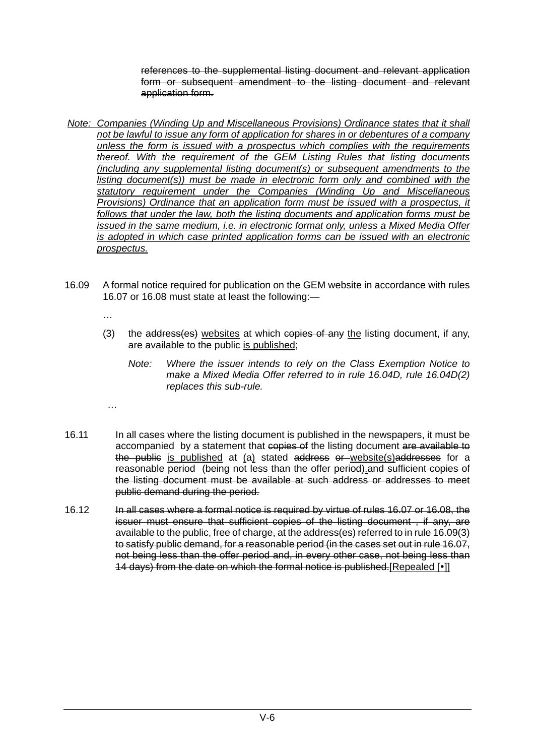references to the supplemental listing document and relevant application form or subsequent amendment to the listing document and relevant application form.

- *Note: Companies (Winding Up and Miscellaneous Provisions) Ordinance states that it shall not be lawful to issue any form of application for shares in or debentures of a company unless the form is issued with a prospectus which complies with the requirements thereof. With the requirement of the GEM Listing Rules that listing documents (including any supplemental listing document(s) or subsequent amendments to the listing document(s)) must be made in electronic form only and combined with the statutory requirement under the Companies (Winding Up and Miscellaneous Provisions) Ordinance that an application form must be issued with a prospectus, it follows that under the law, both the listing documents and application forms must be issued in the same medium, i.e. in electronic format only, unless a Mixed Media Offer is adopted in which case printed application forms can be issued with an electronic prospectus.*
- 16.09 A formal notice required for publication on the GEM website in accordance with rules 16.07 or 16.08 must state at least the following:—
	- …

- (3) the address(es) websites at which copies of any the listing document, if any, are available to the public is published;
	- *Note: Where the issuer intends to rely on the Class Exemption Notice to make a Mixed Media Offer referred to in rule 16.04D, rule 16.04D(2) replaces this sub-rule.*
- 16.11 In all cases where the listing document is published in the newspapers, it must be accompanied by a statement that copies of the listing document are available to the public is published at (a) stated address or website(s)addresses for a reasonable period (being not less than the offer period).and sufficient copies of the listing document must be available at such address or addresses to meet public demand during the period.
	- 16.12 In all cases where a formal notice is required by virtue of rules 16.07 or 16.08, the issuer must ensure that sufficient copies of the listing document , if any, are available to the public, free of charge, at the address(es) referred to in rule 16.09(3) to satisfy public demand, for a reasonable period (in the cases set out in rule 16.07, not being less than the offer period and, in every other case, not being less than 14 days) from the date on which the formal notice is published. [Repealed [.]]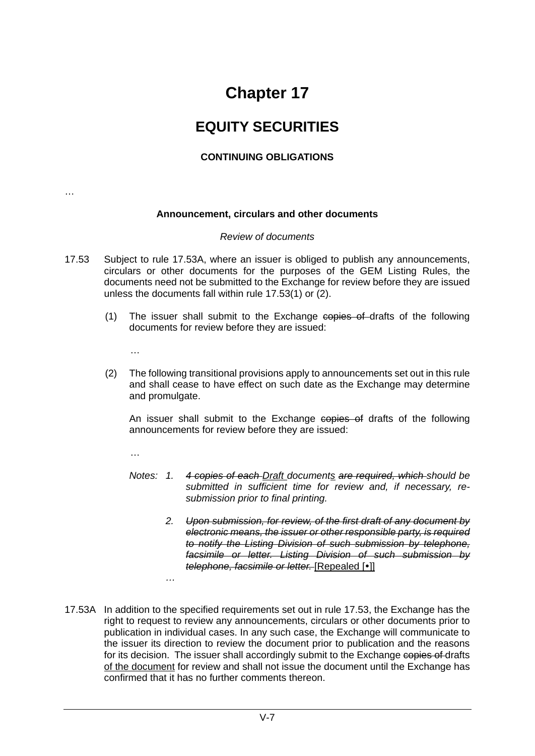### **EQUITY SECURITIES**

#### **CONTINUING OBLIGATIONS**

…

#### **Announcement, circulars and other documents**

#### *Review of documents*

- 17.53 Subject to rule 17.53A, where an issuer is obliged to publish any announcements, circulars or other documents for the purposes of the GEM Listing Rules, the documents need not be submitted to the Exchange for review before they are issued unless the documents fall within rule 17.53(1) or (2).
	- (1) The issuer shall submit to the Exchange copies of drafts of the following documents for review before they are issued:
		- …
	- (2) The following transitional provisions apply to announcements set out in this rule and shall cease to have effect on such date as the Exchange may determine and promulgate.

An issuer shall submit to the Exchange copies of drafts of the following announcements for review before they are issued:

…

- *Notes: 1. 4 copies of each Draft documents are required, which should be submitted in sufficient time for review and, if necessary, resubmission prior to final printing.* 
	- *2. Upon submission, for review, of the first draft of any document by electronic means, the issuer or other responsible party, is required to notify the Listing Division of such submission by telephone, facsimile or letter. Listing Division of such submission by telephone, facsimile or letter.* [Repealed [ $\cdot$ ]]
- 17.53A In addition to the specified requirements set out in rule 17.53, the Exchange has the right to request to review any announcements, circulars or other documents prior to publication in individual cases. In any such case, the Exchange will communicate to the issuer its direction to review the document prior to publication and the reasons for its decision. The issuer shall accordingly submit to the Exchange copies of drafts of the document for review and shall not issue the document until the Exchange has confirmed that it has no further comments thereon.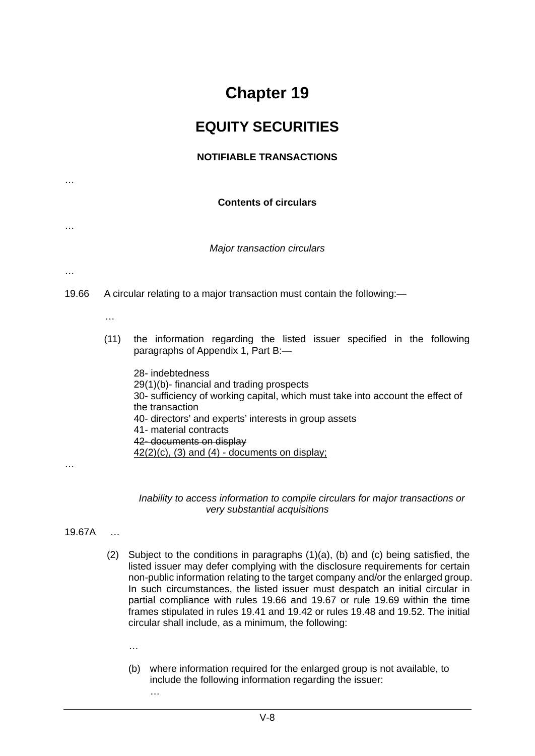### **EQUITY SECURITIES**

#### **NOTIFIABLE TRANSACTIONS**

**Contents of circulars**

*Major transaction circulars*

…

…

…

19.66 A circular relating to a major transaction must contain the following:—

- …
- (11) the information regarding the listed issuer specified in the following paragraphs of Appendix 1, Part B:—

28- indebtedness 29(1)(b)- financial and trading prospects 30- sufficiency of working capital, which must take into account the effect of the transaction 40- directors' and experts' interests in group assets 41- material contracts 42- documents on display  $42(2)(c)$ , (3) and (4) - documents on display;

…

*Inability to access information to compile circulars for major transactions or very substantial acquisitions*

- 19.67A …
	- (2) Subject to the conditions in paragraphs (1)(a), (b) and (c) being satisfied, the listed issuer may defer complying with the disclosure requirements for certain non-public information relating to the target company and/or the enlarged group. In such circumstances, the listed issuer must despatch an initial circular in partial compliance with rules 19.66 and 19.67 or rule 19.69 within the time frames stipulated in rules 19.41 and 19.42 or rules 19.48 and 19.52. The initial circular shall include, as a minimum, the following:
		- …
		- (b) where information required for the enlarged group is not available, to include the following information regarding the issuer:
			- …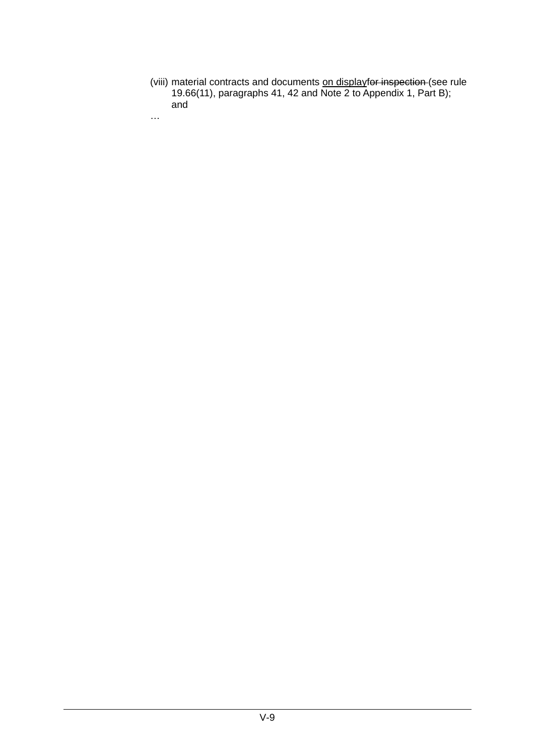(viii) material contracts and documents on displayfor inspection (see rule 19.66(11), paragraphs 41, 42 and Note 2 to Appendix 1, Part B); and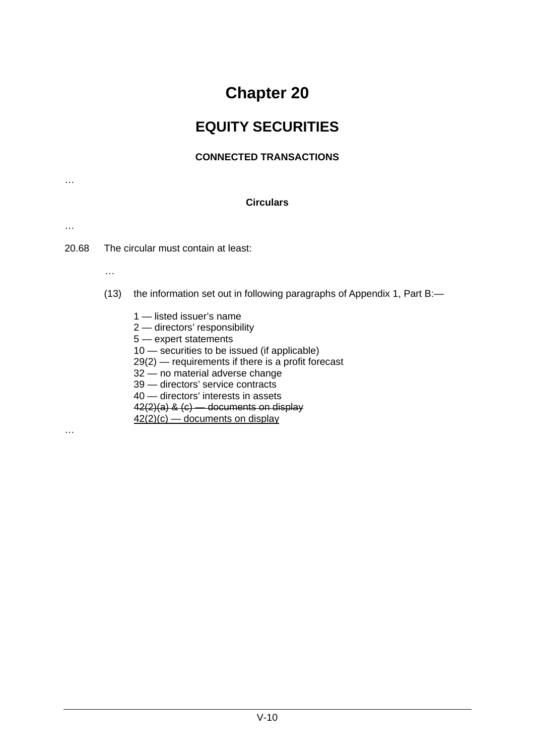## **EQUITY SECURITIES**

#### **CONNECTED TRANSACTIONS**

| <b>Circulars</b> |          |                                                                                                                                                                                                                                                                                                                                                                                             |  |
|------------------|----------|---------------------------------------------------------------------------------------------------------------------------------------------------------------------------------------------------------------------------------------------------------------------------------------------------------------------------------------------------------------------------------------------|--|
| .                |          |                                                                                                                                                                                                                                                                                                                                                                                             |  |
| 20.68            |          | The circular must contain at least:                                                                                                                                                                                                                                                                                                                                                         |  |
|                  | $\cdots$ |                                                                                                                                                                                                                                                                                                                                                                                             |  |
|                  | (13)     | the information set out in following paragraphs of Appendix 1, Part B:-                                                                                                                                                                                                                                                                                                                     |  |
|                  |          | 1 — listed issuer's name<br>2 - directors' responsibility<br>5 - expert statements<br>10 – securities to be issued (if applicable)<br>$29(2)$ - requirements if there is a profit forecast<br>32 - no material adverse change<br>39 - directors' service contracts<br>40 - directors' interests in assets<br>$42(2)(a)$ & $(c)$ — documents on display<br>$42(2)(c)$ — documents on display |  |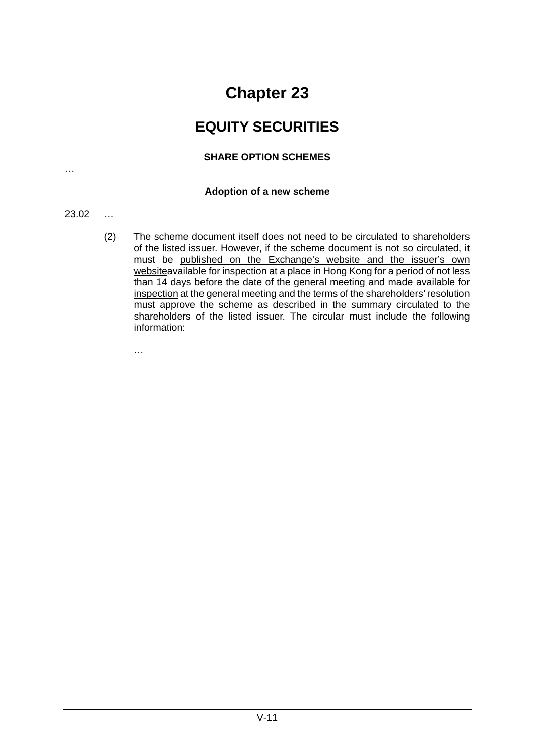### **EQUITY SECURITIES**

#### **SHARE OPTION SCHEMES**

#### **Adoption of a new scheme**

#### 23.02 …

…

(2) The scheme document itself does not need to be circulated to shareholders of the listed issuer. However, if the scheme document is not so circulated, it must be published on the Exchange's website and the issuer's own websiteavailable for inspection at a place in Hong Kong for a period of not less than 14 days before the date of the general meeting and made available for inspection at the general meeting and the terms of the shareholders' resolution must approve the scheme as described in the summary circulated to the shareholders of the listed issuer. The circular must include the following information: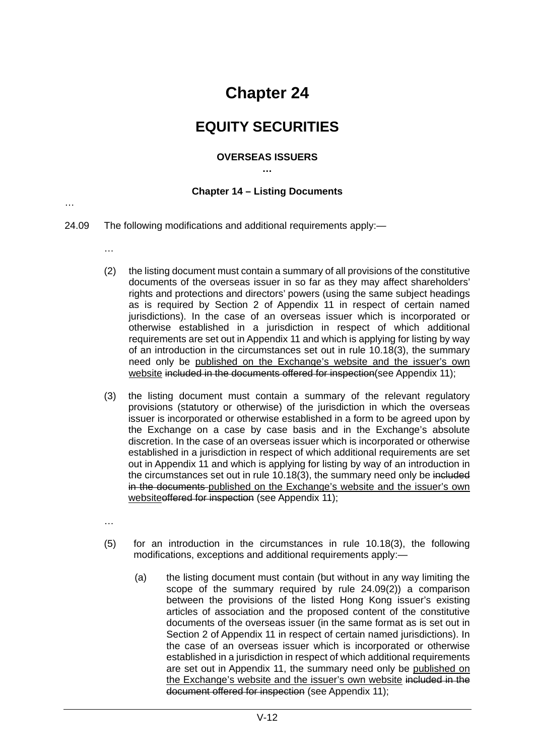### **EQUITY SECURITIES**

#### **OVERSEAS ISSUERS**

**…**

#### **Chapter 14 – Listing Documents**

- 24.09 The following modifications and additional requirements apply:—
	- …

- (2) the listing document must contain a summary of all provisions of the constitutive documents of the overseas issuer in so far as they may affect shareholders' rights and protections and directors' powers (using the same subject headings as is required by Section 2 of Appendix 11 in respect of certain named jurisdictions). In the case of an overseas issuer which is incorporated or otherwise established in a jurisdiction in respect of which additional requirements are set out in Appendix 11 and which is applying for listing by way of an introduction in the circumstances set out in rule 10.18(3), the summary need only be published on the Exchange's website and the issuer's own website included in the documents offered for inspection(see Appendix 11);
- (3) the listing document must contain a summary of the relevant regulatory provisions (statutory or otherwise) of the jurisdiction in which the overseas issuer is incorporated or otherwise established in a form to be agreed upon by the Exchange on a case by case basis and in the Exchange's absolute discretion. In the case of an overseas issuer which is incorporated or otherwise established in a jurisdiction in respect of which additional requirements are set out in Appendix 11 and which is applying for listing by way of an introduction in the circumstances set out in rule 10.18(3), the summary need only be included in the documents-published on the Exchange's website and the issuer's own websiteoffered for inspection (see Appendix 11);
- …
- (5) for an introduction in the circumstances in rule 10.18(3), the following modifications, exceptions and additional requirements apply:—
	- (a) the listing document must contain (but without in any way limiting the scope of the summary required by rule 24.09(2)) a comparison between the provisions of the listed Hong Kong issuer's existing articles of association and the proposed content of the constitutive documents of the overseas issuer (in the same format as is set out in Section 2 of Appendix 11 in respect of certain named jurisdictions). In the case of an overseas issuer which is incorporated or otherwise established in a jurisdiction in respect of which additional requirements are set out in Appendix 11, the summary need only be published on the Exchange's website and the issuer's own website included in the document offered for inspection (see Appendix 11);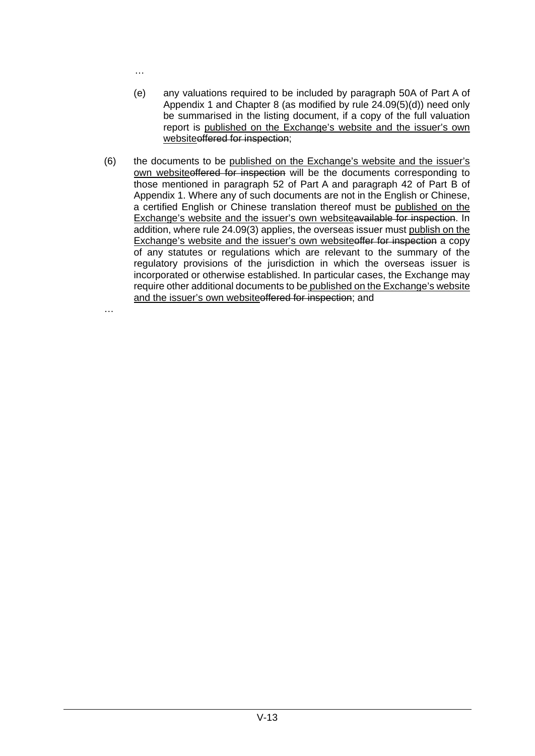…

- (e) any valuations required to be included by paragraph 50A of Part A of Appendix 1 and Chapter 8 (as modified by rule 24.09(5)(d)) need only be summarised in the listing document, if a copy of the full valuation report is published on the Exchange's website and the issuer's own websiteoffered for inspection;
- (6) the documents to be published on the Exchange's website and the issuer's own websiteoffered for inspection will be the documents corresponding to those mentioned in paragraph 52 of Part A and paragraph 42 of Part B of Appendix 1. Where any of such documents are not in the English or Chinese, a certified English or Chinese translation thereof must be published on the Exchange's website and the issuer's own websiteavailable for inspection. In addition, where rule 24.09(3) applies, the overseas issuer must publish on the Exchange's website and the issuer's own websiteoffer for inspection a copy of any statutes or regulations which are relevant to the summary of the regulatory provisions of the jurisdiction in which the overseas issuer is incorporated or otherwise established. In particular cases, the Exchange may require other additional documents to be published on the Exchange's website and the issuer's own websiteoffered for inspection; and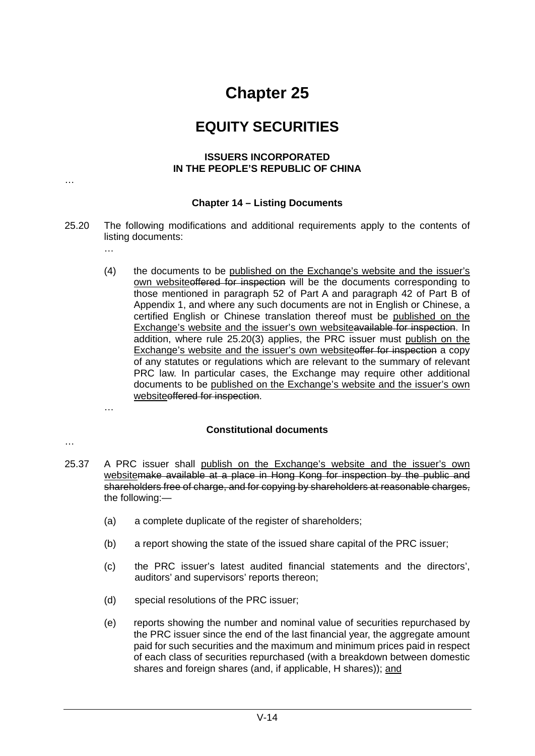### **EQUITY SECURITIES**

#### **ISSUERS INCORPORATED IN THE PEOPLE'S REPUBLIC OF CHINA**

#### **Chapter 14 – Listing Documents**

- 25.20 The following modifications and additional requirements apply to the contents of listing documents:
	- (4) the documents to be published on the Exchange's website and the issuer's own websiteoffered for inspection will be the documents corresponding to those mentioned in paragraph 52 of Part A and paragraph 42 of Part B of Appendix 1, and where any such documents are not in English or Chinese, a certified English or Chinese translation thereof must be published on the Exchange's website and the issuer's own websiteavailable for inspection. In addition, where rule 25.20(3) applies, the PRC issuer must publish on the Exchange's website and the issuer's own websiteoffer for inspection a copy of any statutes or regulations which are relevant to the summary of relevant PRC law. In particular cases, the Exchange may require other additional documents to be published on the Exchange's website and the issuer's own websiteoffered for inspection.

#### **Constitutional documents**

…

…

…

- 25.37 A PRC issuer shall publish on the Exchange's website and the issuer's own websitemake available at a place in Hong Kong for inspection by the public and shareholders free of charge, and for copying by shareholders at reasonable charges, the following:—
	- (a) a complete duplicate of the register of shareholders;
	- (b) a report showing the state of the issued share capital of the PRC issuer;
	- (c) the PRC issuer's latest audited financial statements and the directors', auditors' and supervisors' reports thereon;
	- (d) special resolutions of the PRC issuer;
	- (e) reports showing the number and nominal value of securities repurchased by the PRC issuer since the end of the last financial year, the aggregate amount paid for such securities and the maximum and minimum prices paid in respect of each class of securities repurchased (with a breakdown between domestic shares and foreign shares (and, if applicable, H shares)); and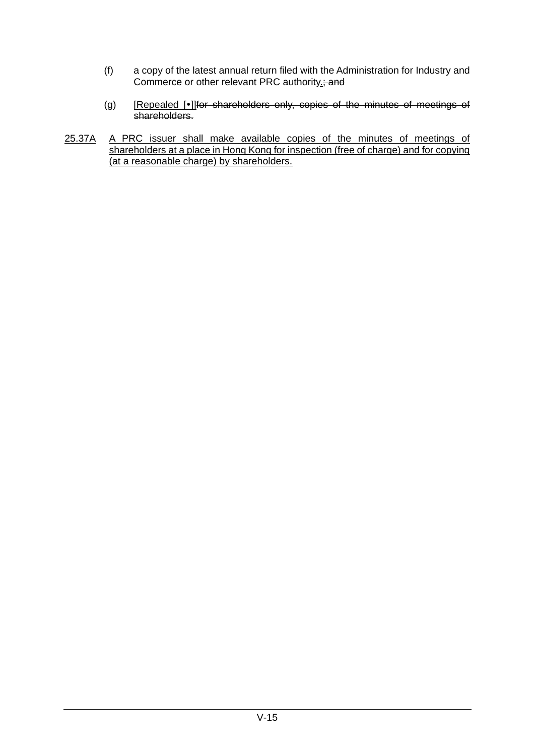- (f) a copy of the latest annual return filed with the Administration for Industry and Commerce or other relevant PRC authority<sub>-7</sub> and
- (g) [Repealed [.] The shareholders only, copies of the minutes of meetings of shareholders.
- 25.37A A PRC issuer shall make available copies of the minutes of meetings of shareholders at a place in Hong Kong for inspection (free of charge) and for copying (at a reasonable charge) by shareholders.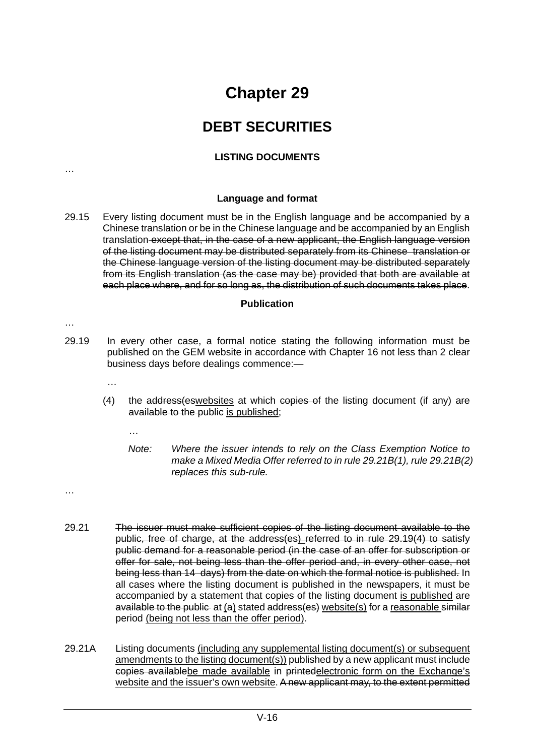### **DEBT SECURITIES**

#### **LISTING DOCUMENTS**

**Language and format**

29.15 Every listing document must be in the English language and be accompanied by a Chinese translation or be in the Chinese language and be accompanied by an English translation except that, in the case of a new applicant, the English language version of the listing document may be distributed separately from its Chinese translation or the Chinese language version of the listing document may be distributed separately from its English translation (as the case may be) provided that both are available at each place where, and for so long as, the distribution of such documents takes place.

#### **Publication**

…

…

- 29.19 In every other case, a formal notice stating the following information must be published on the GEM website in accordance with Chapter 16 not less than 2 clear business days before dealings commence:—
	- …

- (4) the  $\frac{1}{4}$  address(eswebsites at which copies of the listing document (if any) are available to the public is published;
	- *Note: Where the issuer intends to rely on the Class Exemption Notice to make a Mixed Media Offer referred to in rule 29.21B(1), rule 29.21B(2) replaces this sub-rule.*
- …
- 29.21 The issuer must make sufficient copies of the listing document available to the public, free of charge, at the address(es) referred to in rule 29.19(4) to satisfy public demand for a reasonable period (in the case of an offer for subscription or offer for sale, not being less than the offer period and, in every other case, not being less than 14 days) from the date on which the formal notice is published. In all cases where the listing document is published in the newspapers, it must be accompanied by a statement that copies of the listing document is published are available to the public at (a) stated address(es) website(s) for a reasonable similar period (being not less than the offer period).
- 29.21A Listing documents (including any supplemental listing document(s) or subsequent amendments to the listing document(s)) published by a new applicant must include copies availablebe made available in printedelectronic form on the Exchange's website and the issuer's own website. A new applicant may, to the extent permitted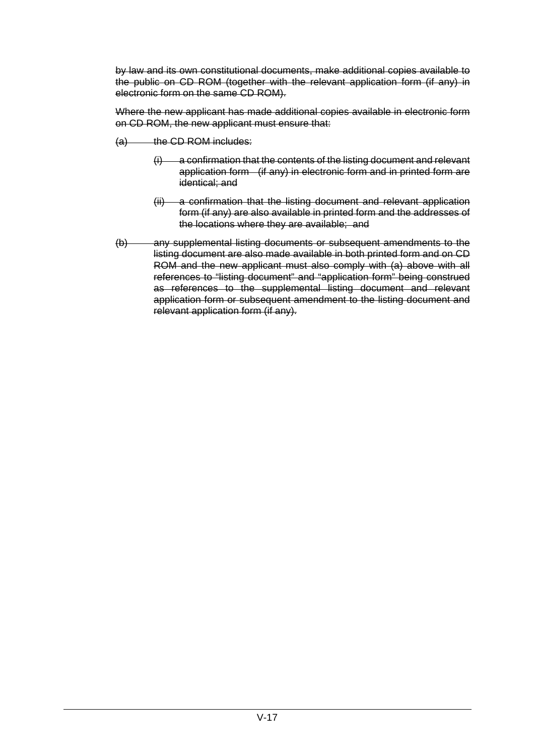by law and its own constitutional documents, make additional copies available to the public on CD ROM (together with the relevant application form (if any) in electronic form on the same CD ROM).

Where the new applicant has made additional copies available in electronic form on CD ROM, the new applicant must ensure that:

- $(a)$  the CD ROM includes:
	- $(i)$  a confirmation that the contents of the listing document and relevant application form (if any) in electronic form and in printed form are identical; and
	- (ii) a confirmation that the listing document and relevant application form (if any) are also available in printed form and the addresses of the locations where they are available; and
- (b) any supplemental listing documents or subsequent amendments to the listing document are also made available in both printed form and on CD ROM and the new applicant must also comply with (a) above with all references to "listing document" and "application form" being construed as references to the supplemental listing document and relevant application form or subsequent amendment to the listing document and relevant application form (if any).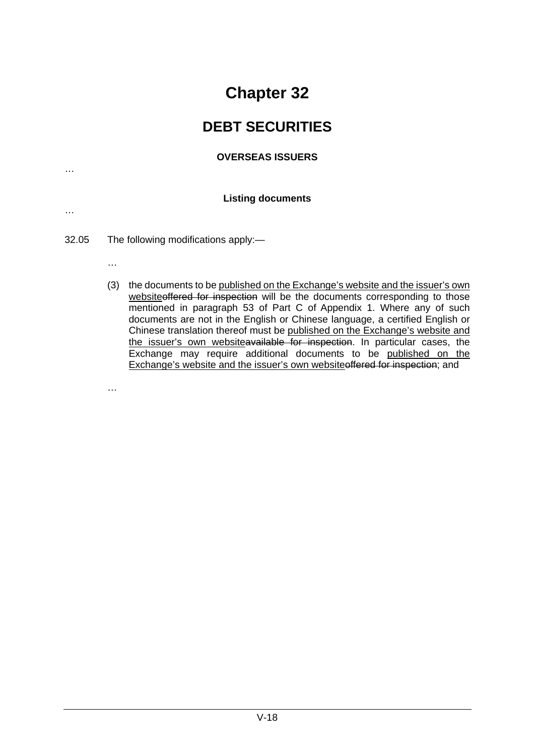### **DEBT SECURITIES**

#### **OVERSEAS ISSUERS**

#### **Listing documents**

- 32.05 The following modifications apply:—
	- …

…

…

…

(3) the documents to be published on the Exchange's website and the issuer's own websiteoffered for inspection will be the documents corresponding to those mentioned in paragraph 53 of Part C of Appendix 1. Where any of such documents are not in the English or Chinese language, a certified English or Chinese translation thereof must be published on the Exchange's website and the issuer's own websiteavailable for inspection. In particular cases, the Exchange may require additional documents to be published on the Exchange's website and the issuer's own websiteoffered for inspection; and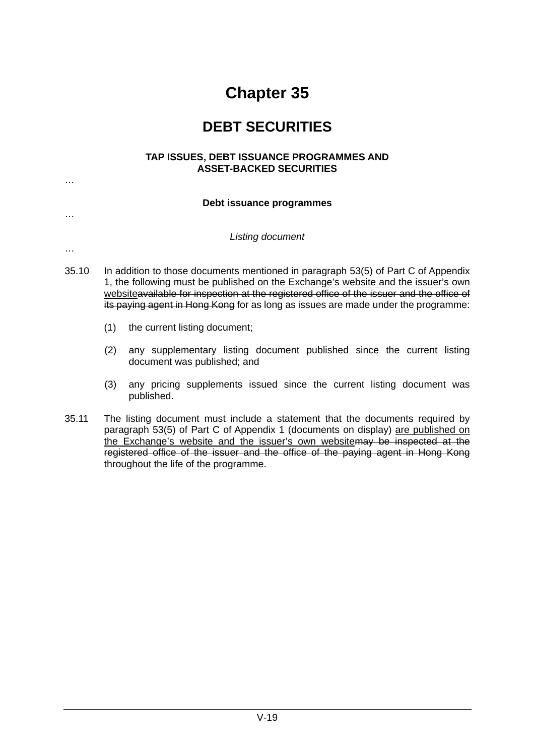### **DEBT SECURITIES**

#### **TAP ISSUES, DEBT ISSUANCE PROGRAMMES AND ASSET-BACKED SECURITIES**

#### **Debt issuance programmes**

*Listing document*

…

…

- 35.10 In addition to those documents mentioned in paragraph 53(5) of Part C of Appendix 1, the following must be published on the Exchange's website and the issuer's own websiteavailable for inspection at the registered office of the issuer and the office of its paying agent in Hong Kong for as long as issues are made under the programme:
	- (1) the current listing document;
	- (2) any supplementary listing document published since the current listing document was published; and
	- (3) any pricing supplements issued since the current listing document was published.
- 35.11 The listing document must include a statement that the documents required by paragraph 53(5) of Part C of Appendix 1 (documents on display) are published on the Exchange's website and the issuer's own websitemay be inspected at the registered office of the issuer and the office of the paying agent in Hong Kong throughout the life of the programme.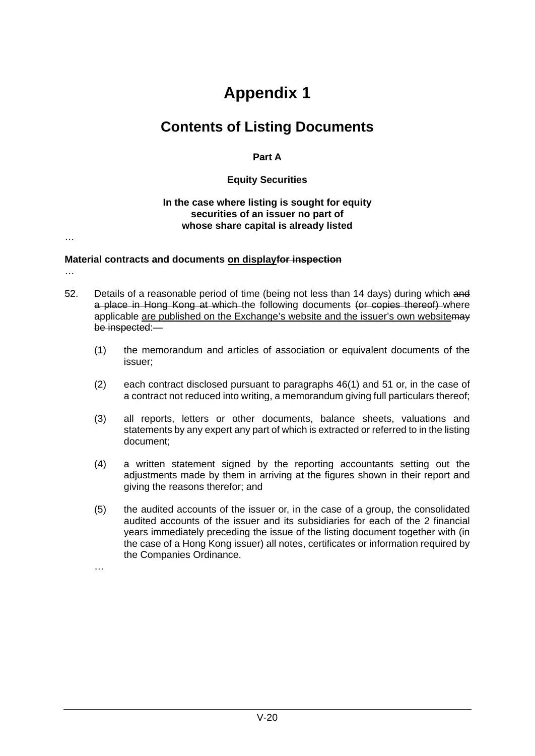## **Contents of Listing Documents**

#### **Part A**

#### **Equity Securities**

#### **In the case where listing is sought for equity securities of an issuer no part of whose share capital is already listed**

…

#### **Material contracts and documents on displayfor inspection**

- …
- 52. Details of a reasonable period of time (being not less than 14 days) during which and a place in Hong Kong at which the following documents (or copies thereof) where applicable are published on the Exchange's website and the issuer's own websitemay be inspected:—
	- (1) the memorandum and articles of association or equivalent documents of the issuer;
	- (2) each contract disclosed pursuant to paragraphs 46(1) and 51 or, in the case of a contract not reduced into writing, a memorandum giving full particulars thereof;
	- (3) all reports, letters or other documents, balance sheets, valuations and statements by any expert any part of which is extracted or referred to in the listing document;
	- (4) a written statement signed by the reporting accountants setting out the adjustments made by them in arriving at the figures shown in their report and giving the reasons therefor; and
	- (5) the audited accounts of the issuer or, in the case of a group, the consolidated audited accounts of the issuer and its subsidiaries for each of the 2 financial years immediately preceding the issue of the listing document together with (in the case of a Hong Kong issuer) all notes, certificates or information required by the Companies Ordinance.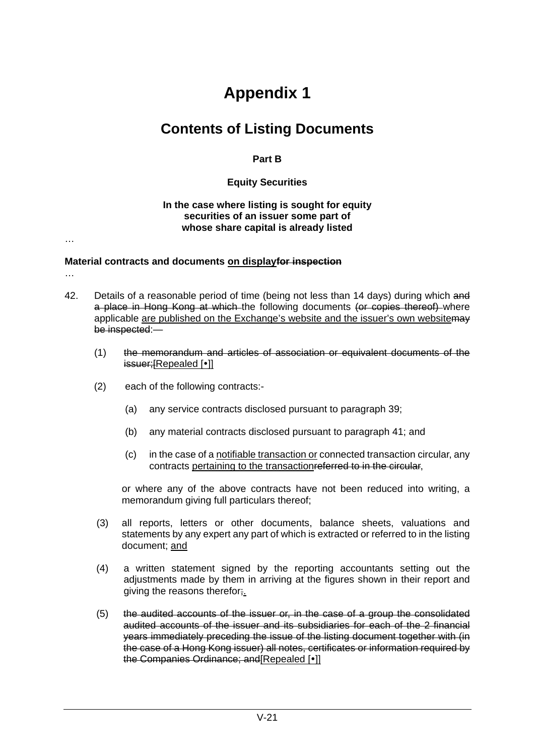## **Contents of Listing Documents**

#### **Part B**

#### **Equity Securities**

#### **In the case where listing is sought for equity securities of an issuer some part of whose share capital is already listed**

#### **Material contracts and documents on displayfor inspection**

…

…

- 42. Details of a reasonable period of time (being not less than 14 days) during which and a place in Hong Kong at which the following documents (or copies thereof) where applicable are published on the Exchange's website and the issuer's own websitemay be inspected:—
	- (1) the memorandum and articles of association or equivalent documents of the issuer;[Repealed [•]]
	- (2) each of the following contracts:-
		- (a) any service contracts disclosed pursuant to paragraph 39;
		- (b) any material contracts disclosed pursuant to paragraph 41; and
		- (c) in the case of a notifiable transaction or connected transaction circular, any contracts pertaining to the transactionreferred to in the circular,

or where any of the above contracts have not been reduced into writing, a memorandum giving full particulars thereof;

- (3) all reports, letters or other documents, balance sheets, valuations and statements by any expert any part of which is extracted or referred to in the listing document; and
- (4) a written statement signed by the reporting accountants setting out the adjustments made by them in arriving at the figures shown in their report and giving the reasons therefor;
- (5) the audited accounts of the issuer or, in the case of a group the consolidated audited accounts of the issuer and its subsidiaries for each of the 2 financial years immediately preceding the issue of the listing document together with (in the case of a Hong Kong issuer) all notes, certificates or information required by the Companies Ordinance; and Repealed [ $\cdot$ ]]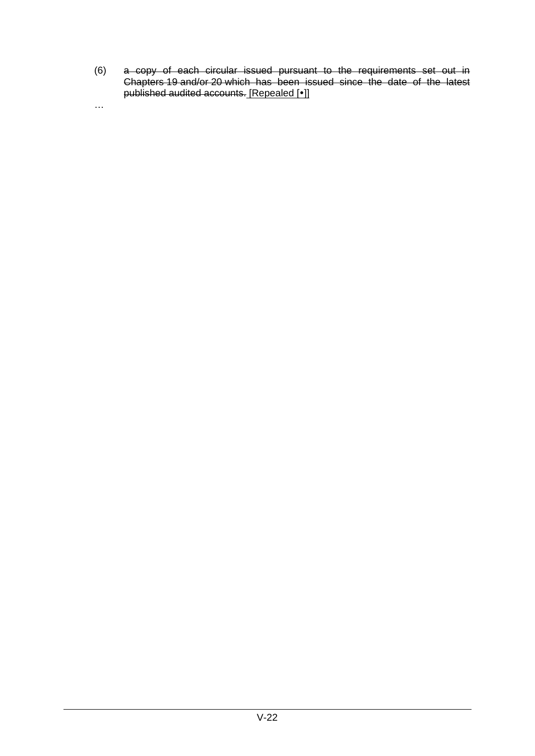(6) a copy of each circular issued pursuant to the requirements set out in Chapters [19](https://en-rules.hkex.com.hk/node/1098) and/or [20](https://en-rules.hkex.com.hk/node/1214) which has been issued since the date of the latest published audited accounts. [Repealed [•]]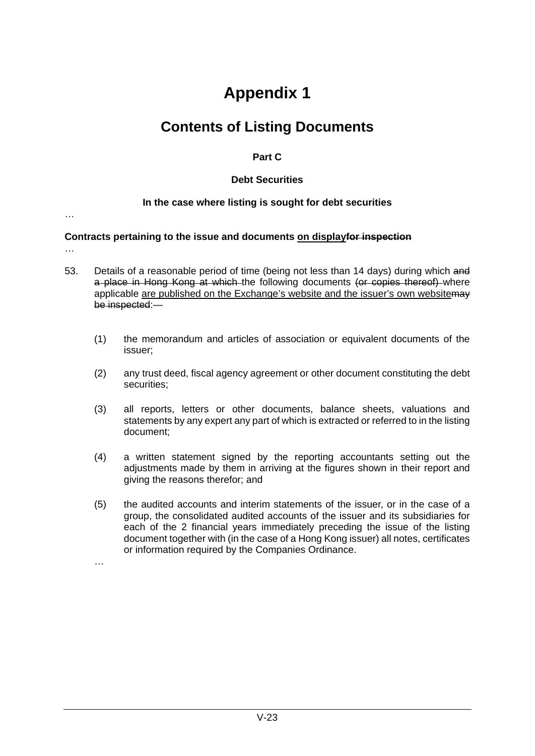## **Contents of Listing Documents**

#### **Part C**

#### **Debt Securities**

#### **In the case where listing is sought for debt securities**

…

#### **Contracts pertaining to the issue and documents on displayfor inspection**

- …
- 53. Details of a reasonable period of time (being not less than 14 days) during which and a place in Hong Kong at which the following documents (or copies thereof) where applicable are published on the Exchange's website and the issuer's own website may be inspected:—
	- (1) the memorandum and articles of association or equivalent documents of the issuer;
	- (2) any trust deed, fiscal agency agreement or other document constituting the debt securities;
	- (3) all reports, letters or other documents, balance sheets, valuations and statements by any expert any part of which is extracted or referred to in the listing document;
	- (4) a written statement signed by the reporting accountants setting out the adjustments made by them in arriving at the figures shown in their report and giving the reasons therefor; and
	- (5) the audited accounts and interim statements of the issuer, or in the case of a group, the consolidated audited accounts of the issuer and its subsidiaries for each of the 2 financial years immediately preceding the issue of the listing document together with (in the case of a Hong Kong issuer) all notes, certificates or information required by the Companies Ordinance.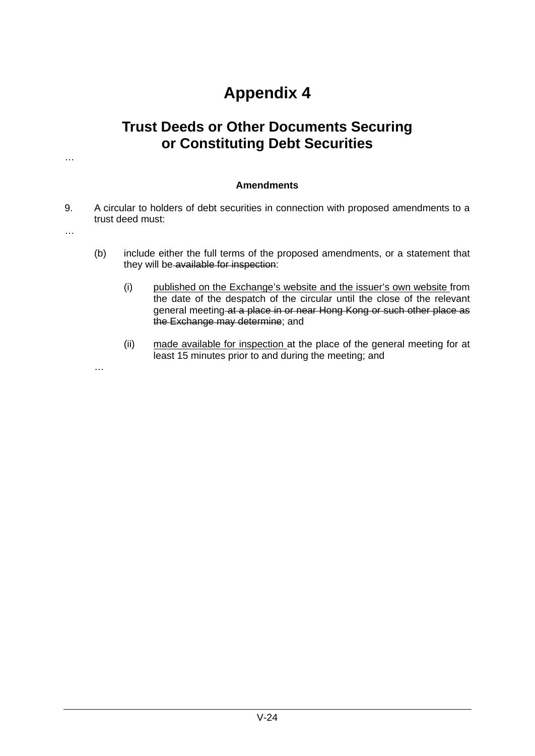### **Trust Deeds or Other Documents Securing or Constituting Debt Securities**

#### **Amendments**

9. A circular to holders of debt securities in connection with proposed amendments to a trust deed must:

…

…

- (b) include either the full terms of the proposed amendments, or a statement that they will be available for inspection:
	- (i) published on the Exchange's website and the issuer's own website from the date of the despatch of the circular until the close of the relevant general meeting at a place in or near Hong Kong or such other place as the Exchange may determine; and
	- (ii) made available for inspection at the place of the general meeting for at least 15 minutes prior to and during the meeting; and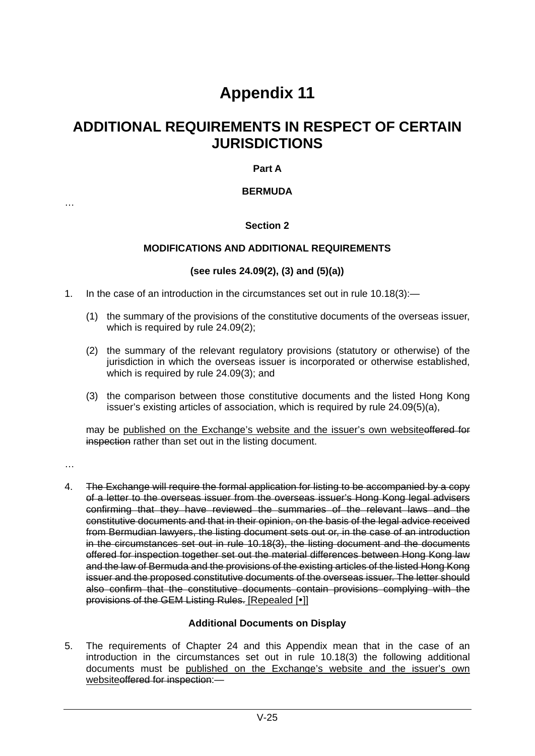### **ADDITIONAL REQUIREMENTS IN RESPECT OF CERTAIN JURISDICTIONS**

#### **Part A**

#### **BERMUDA**

#### **Section 2**

#### **MODIFICATIONS AND ADDITIONAL REQUIREMENTS**

#### **(see rules 24.09(2), (3) and (5)(a))**

- 1. In the case of an introduction in the circumstances set out in rule 10.18(3):—
	- (1) the summary of the provisions of the constitutive documents of the overseas issuer, which is required by rule 24.09(2);
	- (2) the summary of the relevant regulatory provisions (statutory or otherwise) of the jurisdiction in which the overseas issuer is incorporated or otherwise established, which is required by rule 24.09(3); and
	- (3) the comparison between those constitutive documents and the listed Hong Kong issuer's existing articles of association, which is required by rule 24.09(5)(a),

may be published on the Exchange's website and the issuer's own websiteoffered for inspection rather than set out in the listing document.

…

…

4. The Exchange will require the formal application for listing to be accompanied by a copy of a letter to the overseas issuer from the overseas issuer's Hong Kong legal advisers confirming that they have reviewed the summaries of the relevant laws and the constitutive documents and that in their opinion, on the basis of the legal advice received from Bermudian lawyers, the listing document sets out or, in the case of an introduction in the circumstances set out in rule 10.18(3), the listing document and the documents offered for inspection together set out the material differences between Hong Kong law and the law of Bermuda and the provisions of the existing articles of the listed Hong Kong issuer and the proposed constitutive documents of the overseas issuer. The letter should also confirm that the constitutive documents contain provisions complying with the provisions of the GEM Listing Rules. [Repealed [ $\bullet$ ]]

#### **Additional Documents on Display**

5. The requirements of Chapter 24 and this Appendix mean that in the case of an introduction in the circumstances set out in rule 10.18(3) the following additional documents must be published on the Exchange's website and the issuer's own websiteoffered for inspection:—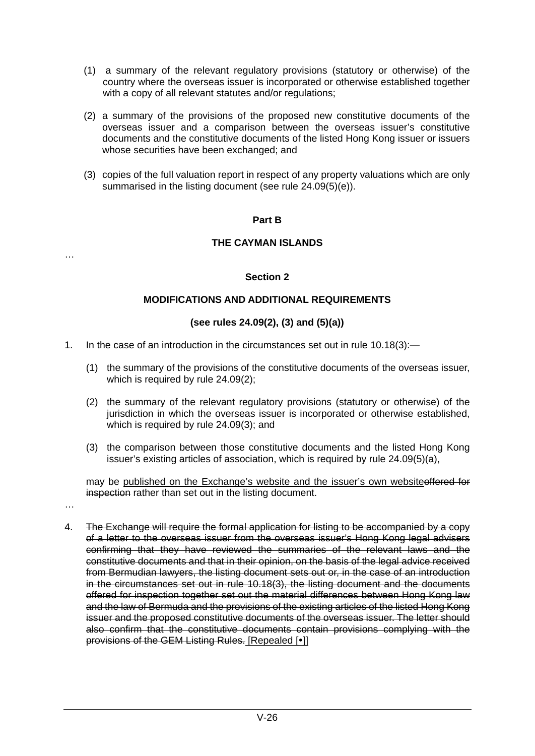- (1) a summary of the relevant regulatory provisions (statutory or otherwise) of the country where the overseas issuer is incorporated or otherwise established together with a copy of all relevant statutes and/or regulations;
- (2) a summary of the provisions of the proposed new constitutive documents of the overseas issuer and a comparison between the overseas issuer's constitutive documents and the constitutive documents of the listed Hong Kong issuer or issuers whose securities have been exchanged; and
- (3) copies of the full valuation report in respect of any property valuations which are only summarised in the listing document (see rule 24.09(5)(e)).

#### **Part B**

#### **THE CAYMAN ISLANDS**

#### **Section 2**

#### **MODIFICATIONS AND ADDITIONAL REQUIREMENTS**

#### **(see rules 24.09(2), (3) and (5)(a))**

- 1. In the case of an introduction in the circumstances set out in rule 10.18(3):—
	- (1) the summary of the provisions of the constitutive documents of the overseas issuer, which is required by rule 24.09(2);
	- (2) the summary of the relevant regulatory provisions (statutory or otherwise) of the jurisdiction in which the overseas issuer is incorporated or otherwise established, which is required by rule 24.09(3); and
	- (3) the comparison between those constitutive documents and the listed Hong Kong issuer's existing articles of association, which is required by rule 24.09(5)(a),

may be published on the Exchange's website and the issuer's own websiteoffered for inspection rather than set out in the listing document.

…

…

4. The Exchange will require the formal application for listing to be accompanied by a copy of a letter to the overseas issuer from the overseas issuer's Hong Kong legal advisers confirming that they have reviewed the summaries of the relevant laws and the constitutive documents and that in their opinion, on the basis of the legal advice received from Bermudian lawyers, the listing document sets out or, in the case of an introduction in the circumstances set out in rule 10.18(3), the listing document and the documents offered for inspection together set out the material differences between Hong Kong law and the law of Bermuda and the provisions of the existing articles of the listed Hong Kong issuer and the proposed constitutive documents of the overseas issuer. The letter should also confirm that the constitutive documents contain provisions complying with the provisions of the GEM Listing Rules. [Repealed [ $\cdot$ ]]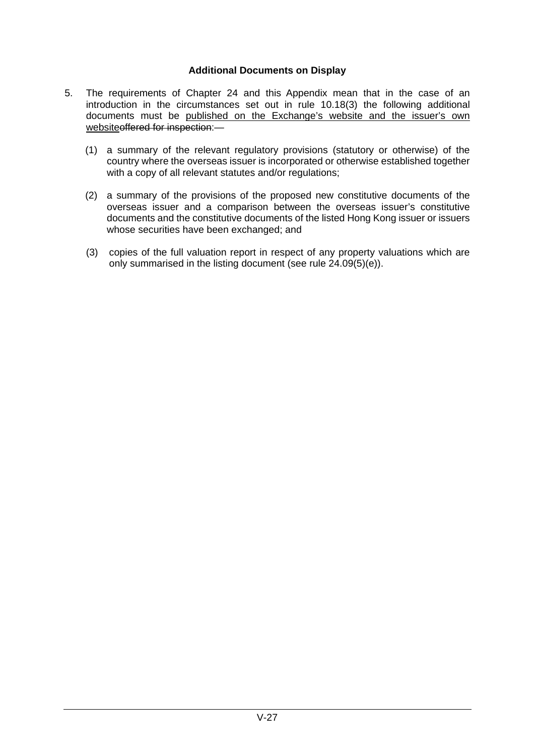#### **Additional Documents on Display**

- 5. The requirements of Chapter 24 and this Appendix mean that in the case of an introduction in the circumstances set out in rule 10.18(3) the following additional documents must be published on the Exchange's website and the issuer's own websiteoffered for inspection:-
	- (1) a summary of the relevant regulatory provisions (statutory or otherwise) of the country where the overseas issuer is incorporated or otherwise established together with a copy of all relevant statutes and/or regulations;
	- (2) a summary of the provisions of the proposed new constitutive documents of the overseas issuer and a comparison between the overseas issuer's constitutive documents and the constitutive documents of the listed Hong Kong issuer or issuers whose securities have been exchanged; and
	- (3) copies of the full valuation report in respect of any property valuations which are only summarised in the listing document (see rule 24.09(5)(e)).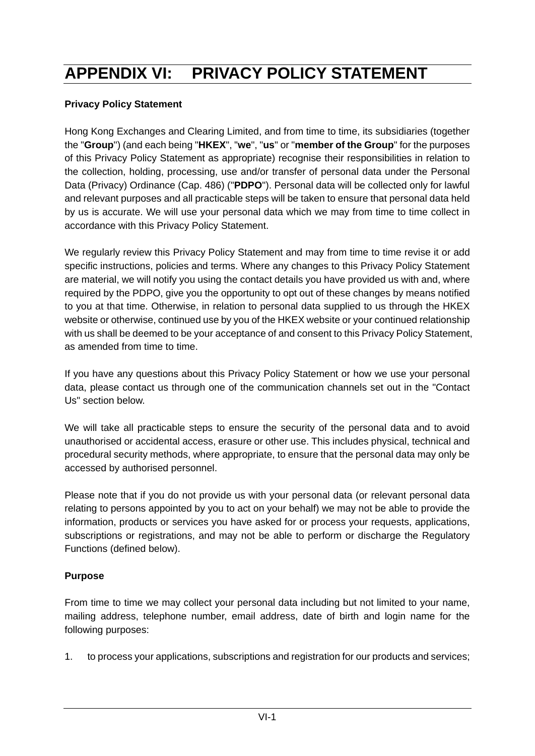# **APPENDIX VI: PRIVACY POLICY STATEMENT**

#### **Privacy Policy Statement**

Hong Kong Exchanges and Clearing Limited, and from time to time, its subsidiaries (together the "**Group**") (and each being "**HKEX**", "**we**", "**us**" or "**member of the Group**" for the purposes of this Privacy Policy Statement as appropriate) recognise their responsibilities in relation to the collection, holding, processing, use and/or transfer of personal data under the Personal Data (Privacy) Ordinance (Cap. 486) ("**PDPO**"). Personal data will be collected only for lawful and relevant purposes and all practicable steps will be taken to ensure that personal data held by us is accurate. We will use your personal data which we may from time to time collect in accordance with this Privacy Policy Statement.

We regularly review this Privacy Policy Statement and may from time to time revise it or add specific instructions, policies and terms. Where any changes to this Privacy Policy Statement are material, we will notify you using the contact details you have provided us with and, where required by the PDPO, give you the opportunity to opt out of these changes by means notified to you at that time. Otherwise, in relation to personal data supplied to us through the HKEX website or otherwise, continued use by you of the HKEX website or your continued relationship with us shall be deemed to be your acceptance of and consent to this Privacy Policy Statement, as amended from time to time.

If you have any questions about this Privacy Policy Statement or how we use your personal data, please contact us through one of the communication channels set out in the "Contact Us" section below.

We will take all practicable steps to ensure the security of the personal data and to avoid unauthorised or accidental access, erasure or other use. This includes physical, technical and procedural security methods, where appropriate, to ensure that the personal data may only be accessed by authorised personnel.

Please note that if you do not provide us with your personal data (or relevant personal data relating to persons appointed by you to act on your behalf) we may not be able to provide the information, products or services you have asked for or process your requests, applications, subscriptions or registrations, and may not be able to perform or discharge the Regulatory Functions (defined below).

#### **Purpose**

From time to time we may collect your personal data including but not limited to your name, mailing address, telephone number, email address, date of birth and login name for the following purposes:

1. to process your applications, subscriptions and registration for our products and services;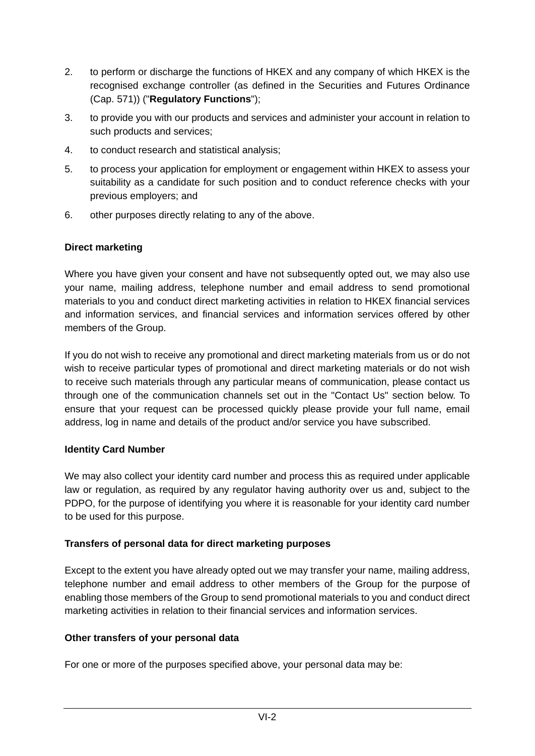- 2. to perform or discharge the functions of HKEX and any company of which HKEX is the recognised exchange controller (as defined in the Securities and Futures Ordinance (Cap. 571)) ("**Regulatory Functions**");
- 3. to provide you with our products and services and administer your account in relation to such products and services;
- 4. to conduct research and statistical analysis;
- 5. to process your application for employment or engagement within HKEX to assess your suitability as a candidate for such position and to conduct reference checks with your previous employers; and
- 6. other purposes directly relating to any of the above.

#### **Direct marketing**

Where you have given your consent and have not subsequently opted out, we may also use your name, mailing address, telephone number and email address to send promotional materials to you and conduct direct marketing activities in relation to HKEX financial services and information services, and financial services and information services offered by other members of the Group.

If you do not wish to receive any promotional and direct marketing materials from us or do not wish to receive particular types of promotional and direct marketing materials or do not wish to receive such materials through any particular means of communication, please contact us through one of the communication channels set out in the "Contact Us" section below. To ensure that your request can be processed quickly please provide your full name, email address, log in name and details of the product and/or service you have subscribed.

#### **Identity Card Number**

We may also collect your identity card number and process this as required under applicable law or regulation, as required by any regulator having authority over us and, subject to the PDPO, for the purpose of identifying you where it is reasonable for your identity card number to be used for this purpose.

#### **Transfers of personal data for direct marketing purposes**

Except to the extent you have already opted out we may transfer your name, mailing address, telephone number and email address to other members of the Group for the purpose of enabling those members of the Group to send promotional materials to you and conduct direct marketing activities in relation to their financial services and information services.

#### **Other transfers of your personal data**

For one or more of the purposes specified above, your personal data may be: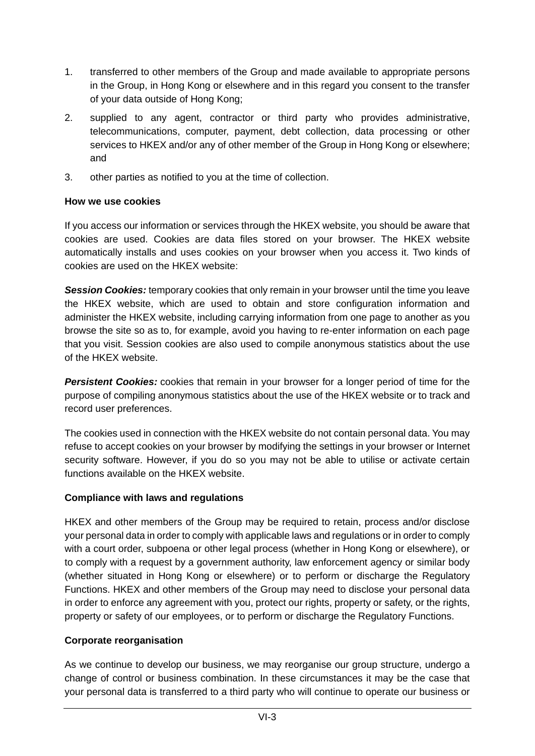- 1. transferred to other members of the Group and made available to appropriate persons in the Group, in Hong Kong or elsewhere and in this regard you consent to the transfer of your data outside of Hong Kong;
- 2. supplied to any agent, contractor or third party who provides administrative, telecommunications, computer, payment, debt collection, data processing or other services to HKEX and/or any of other member of the Group in Hong Kong or elsewhere; and
- 3. other parties as notified to you at the time of collection.

#### **How we use cookies**

If you access our information or services through the HKEX website, you should be aware that cookies are used. Cookies are data files stored on your browser. The HKEX website automatically installs and uses cookies on your browser when you access it. Two kinds of cookies are used on the HKEX website:

*Session Cookies:* temporary cookies that only remain in your browser until the time you leave the HKEX website, which are used to obtain and store configuration information and administer the HKEX website, including carrying information from one page to another as you browse the site so as to, for example, avoid you having to re-enter information on each page that you visit. Session cookies are also used to compile anonymous statistics about the use of the HKEX website.

**Persistent Cookies:** cookies that remain in your browser for a longer period of time for the purpose of compiling anonymous statistics about the use of the HKEX website or to track and record user preferences.

The cookies used in connection with the HKEX website do not contain personal data. You may refuse to accept cookies on your browser by modifying the settings in your browser or Internet security software. However, if you do so you may not be able to utilise or activate certain functions available on the HKEX website.

#### **Compliance with laws and regulations**

HKEX and other members of the Group may be required to retain, process and/or disclose your personal data in order to comply with applicable laws and regulations or in order to comply with a court order, subpoena or other legal process (whether in Hong Kong or elsewhere), or to comply with a request by a government authority, law enforcement agency or similar body (whether situated in Hong Kong or elsewhere) or to perform or discharge the Regulatory Functions. HKEX and other members of the Group may need to disclose your personal data in order to enforce any agreement with you, protect our rights, property or safety, or the rights, property or safety of our employees, or to perform or discharge the Regulatory Functions.

#### **Corporate reorganisation**

As we continue to develop our business, we may reorganise our group structure, undergo a change of control or business combination. In these circumstances it may be the case that your personal data is transferred to a third party who will continue to operate our business or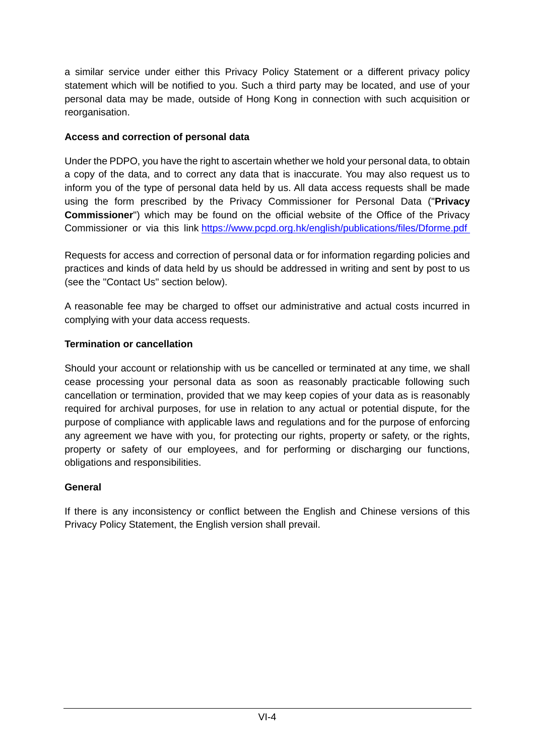a similar service under either this Privacy Policy Statement or a different privacy policy statement which will be notified to you. Such a third party may be located, and use of your personal data may be made, outside of Hong Kong in connection with such acquisition or reorganisation.

## **Access and correction of personal data**

Under the PDPO, you have the right to ascertain whether we hold your personal data, to obtain a copy of the data, and to correct any data that is inaccurate. You may also request us to inform you of the type of personal data held by us. All data access requests shall be made using the form prescribed by the Privacy Commissioner for Personal Data ("**Privacy Commissioner**") which may be found on the official website of the Office of the Privacy Commissioner or via this link <https://www.pcpd.org.hk/english/publications/files/Dforme.pdf>

Requests for access and correction of personal data or for information regarding policies and practices and kinds of data held by us should be addressed in writing and sent by post to us (see the "Contact Us" section below).

A reasonable fee may be charged to offset our administrative and actual costs incurred in complying with your data access requests.

## **Termination or cancellation**

Should your account or relationship with us be cancelled or terminated at any time, we shall cease processing your personal data as soon as reasonably practicable following such cancellation or termination, provided that we may keep copies of your data as is reasonably required for archival purposes, for use in relation to any actual or potential dispute, for the purpose of compliance with applicable laws and regulations and for the purpose of enforcing any agreement we have with you, for protecting our rights, property or safety, or the rights, property or safety of our employees, and for performing or discharging our functions, obligations and responsibilities.

## **General**

If there is any inconsistency or conflict between the English and Chinese versions of this Privacy Policy Statement, the English version shall prevail.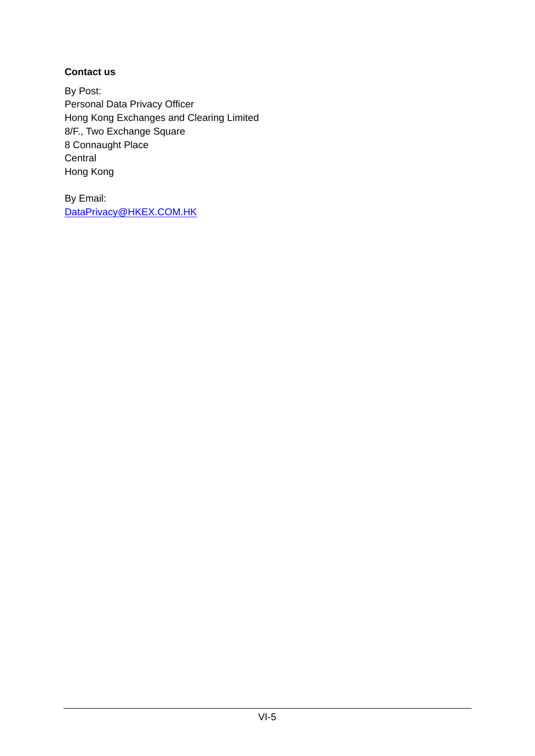## **Contact us**

By Post: Personal Data Privacy Officer Hong Kong Exchanges and Clearing Limited 8/F., Two Exchange Square 8 Connaught Place **Central** Hong Kong

By Email: [DataPrivacy@HKEX.COM.HK](mailto:DataPrivacy@HKEX.COM.HK)